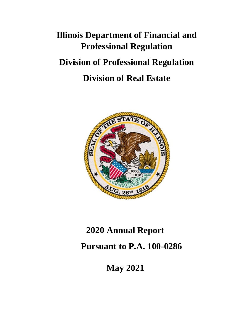# **Illinois Department of Financial and Professional Regulation Division of Professional Regulation Division of Real Estate**



# **2020 Annual Report**

# **Pursuant to P.A. 100-0286**

**May 2021**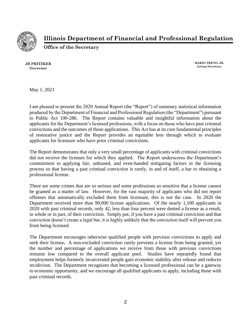

**Illinois Department of Financial and Professional Regulation**

**Office of the Secretary**

**JB PRITZKER Governor**

**MARIO TRETO, JR. Acting Secretary**

May 1, 2021

I am pleased to present the 2020 Annual Report (the "Report") of summary statistical information produced by the Department of Financial and Professional Regulation (the "Department") pursuant to Public Act 100-286. The Report contains valuable and insightful information about the applicants for the Department's licensed professions, with a focus on those who have past criminal convictions and the outcomes of those applications. This Act has at its core fundamental principles of restorative justice and the Report provides an equitable lens through which to evaluate applicants for licensure who have prior criminal convictions.

The Report demonstrates that only a very small percentage of applicants with criminal convictions did not receive the licenses for which they applied. The Report underscores the Department's commitment to applying fair, unbiased, and even-handed mitigating factors in the licensing process so that having a past criminal conviction is rarely, in and of itself, a bar to obtaining a professional license.

There are some crimes that are so serious and some professions so sensitive that a license cannot be granted as a matter of law. However, for the vast majority of applicants who did not report offenses that automatically excluded them from licensure, this is not the case. In 2020 the Department received more than 99,000 license applications. Of the nearly 1,100 applicants in 2020 with past criminal records, only 42, less than four percent were denied a license as a result, in whole or in part, of their conviction. Simply put, if you have a past criminal conviction and that conviction doesn't create a legal bar, it is highly unlikely that the conviction itself will prevent you from being licensed.

The Department encourages otherwise qualified people with previous convictions to apply and seek their license**.** A non-excluded conviction rarely prevents a license from being granted, yet the number and percentage of applications we receive from those with previous convictions remains low compared to the overall applicant pool. Studies have repeatedly found that employment helps formerly incarcerated people gain economic stability after release and reduces recidivism. The Department recognizes that becoming a licensed professional can be a gateway to economic opportunity, and we encourage all qualified applicants to apply, including those with past criminal records.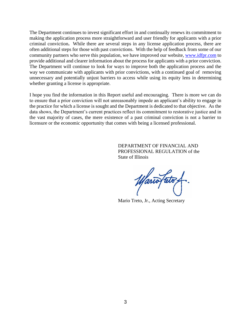The Department continues to invest significant effort in and continually renews its commitment to making the application process more straightforward and user friendly for applicants with a prior criminal conviction**.** While there are several steps in any license application process, there are often additional steps for those with past convictions. With the help of feedback from some of our community partners who serve this population, we have improved our website, [www.idfpr.com](http://www.idfpr.com/) to provide additional and clearer information about the process for applicants with a prior conviction. The Department will continue to look for ways to improve both the application process and the way we communicate with applicants with prior convictions, with a continued goal of removing unnecessary and potentially unjust barriers to access while using its equity lens in determining whether granting a license is appropriate.

I hope you find the information in this Report useful and encouraging. There is more we can do to ensure that a prior conviction will not unreasonably impede an applicant's ability to engage in the practice for which a license is sought and the Department is dedicated to that objective. As the data shows, the Department's current practices reflect its commitment to restorative justice and in the vast majority of cases, the mere existence of a past criminal conviction is not a barrier to licensure or the economic opportunity that comes with being a licensed professional.

> DEPARTMENT OF FINANCIAL AND PROFESSIONAL REGULATION of the State of Illinois

Mario Treto, Jr., Acting Secretary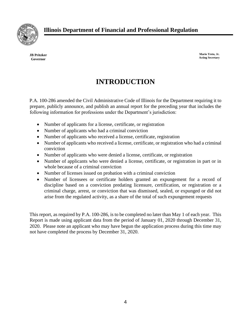

**JB Pritzker Governor**

**Mario Treto, Jr. Acting Secretary**

# **INTRODUCTION**

P.A. 100-286 amended the Civil Administrative Code of Illinois for the Department requiring it to prepare, publicly announce, and publish an annual report for the preceding year that includes the following information for professions under the Department's jurisdiction:

- Number of applicants for a license, certificate, or registration
- Number of applicants who had a criminal conviction
- Number of applicants who received a license, certificate, registration
- Number of applicants who received a license, certificate, or registration who had a criminal conviction
- Number of applicants who were denied a license, certificate, or registration
- Number of applicants who were denied a license, certificate, or registration in part or in whole because of a criminal conviction
- Number of licenses issued on probation with a criminal conviction
- Number of licensees or certificate holders granted an expungement for a record of discipline based on a conviction predating licensure, certification, or registration or a criminal charge, arrest, or conviction that was dismissed, sealed, or expunged or did not arise from the regulated activity, as a share of the total of such expungement requests

This report, as required by P.A. 100-286, is to be completed no later than May 1 of each year. This Report is made using applicant data from the period of January 01, 2020 through December 31, 2020. Please note an applicant who may have begun the application process during this time may not have completed the process by December 31, 2020.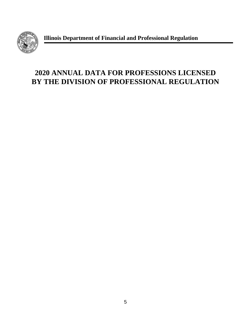

**Illinois Department of Financial and Professional Regulation**

# **2020 ANNUAL DATA FOR PROFESSIONS LICENSED BY THE DIVISION OF PROFESSIONAL REGULATION**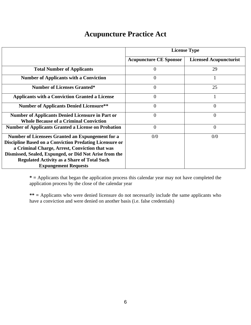#### **Acupuncture Practice Act**

|                                                                                                          | <b>License Type</b>           |                               |  |
|----------------------------------------------------------------------------------------------------------|-------------------------------|-------------------------------|--|
|                                                                                                          | <b>Acupuncture CE Sponsor</b> | <b>Licensed Acupuncturist</b> |  |
| <b>Total Number of Applicants</b>                                                                        | 0                             | 29                            |  |
| <b>Number of Applicants with a Conviction</b>                                                            | $\Omega$                      |                               |  |
| <b>Number of Licenses Granted*</b>                                                                       | 0                             | 25                            |  |
| <b>Applicants with a Conviction Granted a License</b>                                                    | $\theta$                      |                               |  |
| <b>Number of Applicants Denied Licensure**</b>                                                           | $\overline{0}$                | $\overline{0}$                |  |
| <b>Number of Applicants Denied Licensure in Part or</b><br><b>Whole Because of a Criminal Conviction</b> | $\theta$                      | $\Omega$                      |  |
| <b>Number of Applicants Granted a License on Probation</b>                                               | $\theta$                      | $\theta$                      |  |
| Number of Licensees Granted an Expungement for a                                                         | 0/0                           | 0/0                           |  |
| <b>Discipline Based on a Conviction Predating Licensure or</b>                                           |                               |                               |  |
| a Criminal Charge, Arrest, Conviction that was                                                           |                               |                               |  |
| Dismissed, Sealed, Expunged, or Did Not Arise from the                                                   |                               |                               |  |
| <b>Regulated Activity as a Share of Total Such</b>                                                       |                               |                               |  |
| <b>Expungement Requests</b>                                                                              |                               |                               |  |

**\* =** Applicants that began the application process this calendar year may not have completed the application process by the close of the calendar year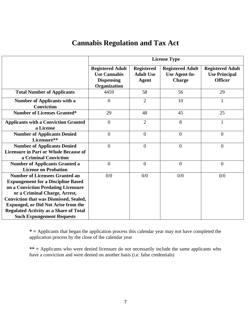#### **Cannabis Regulation and Tax Act**

|                                                          | <b>License Type</b>                                                                 |                                                |                                                                  |                                                                   |  |
|----------------------------------------------------------|-------------------------------------------------------------------------------------|------------------------------------------------|------------------------------------------------------------------|-------------------------------------------------------------------|--|
|                                                          | <b>Registered Adult</b><br><b>Use Cannabis</b><br><b>Dispensing</b><br>Organization | <b>Registered</b><br><b>Adult Use</b><br>Agent | <b>Registered Adult</b><br><b>Use Agent-In-</b><br><b>Charge</b> | <b>Registered Adult</b><br><b>Use Principal</b><br><b>Officer</b> |  |
| <b>Total Number of Applicants</b>                        | 4459                                                                                | 58                                             | 56                                                               | 29                                                                |  |
|                                                          |                                                                                     |                                                |                                                                  |                                                                   |  |
| <b>Number of Applicants with a</b>                       | $\theta$                                                                            | $\overline{2}$                                 | 10                                                               | $\mathbf{1}$                                                      |  |
| <b>Conviction</b>                                        |                                                                                     |                                                |                                                                  |                                                                   |  |
| <b>Number of Licenses Granted*</b>                       | 29                                                                                  | 48                                             | 45                                                               | 25                                                                |  |
| <b>Applicants with a Conviction Granted</b><br>a License | $\overline{0}$                                                                      | $\overline{2}$                                 | 8                                                                | 1                                                                 |  |
| <b>Number of Applicants Denied</b><br>Licensure**        | $\overline{0}$                                                                      | $\overline{0}$                                 | $\overline{0}$                                                   | $\overline{0}$                                                    |  |
| <b>Number of Applicants Denied</b>                       | $\overline{0}$                                                                      | $\overline{0}$                                 | $\overline{0}$                                                   | $\overline{0}$                                                    |  |
| <b>Licensure in Part or Whole Because of</b>             |                                                                                     |                                                |                                                                  |                                                                   |  |
| a Criminal Conviction                                    |                                                                                     |                                                |                                                                  |                                                                   |  |
| <b>Number of Applicants Granted a</b>                    | $\overline{0}$                                                                      | $\boldsymbol{0}$                               | $\overline{0}$                                                   | $\boldsymbol{0}$                                                  |  |
| <b>License on Probation</b>                              |                                                                                     |                                                |                                                                  |                                                                   |  |
| <b>Number of Licensees Granted an</b>                    | 0/0                                                                                 | 0/0                                            | 0/0                                                              | 0/0                                                               |  |
| <b>Expungement for a Discipline Based</b>                |                                                                                     |                                                |                                                                  |                                                                   |  |
| on a Conviction Predating Licensure                      |                                                                                     |                                                |                                                                  |                                                                   |  |
| or a Criminal Charge, Arrest,                            |                                                                                     |                                                |                                                                  |                                                                   |  |
| <b>Conviction that was Dismissed, Sealed,</b>            |                                                                                     |                                                |                                                                  |                                                                   |  |
| <b>Expunged, or Did Not Arise from the</b>               |                                                                                     |                                                |                                                                  |                                                                   |  |
| <b>Regulated Activity as a Share of Total</b>            |                                                                                     |                                                |                                                                  |                                                                   |  |
| <b>Such Expungement Requests</b>                         |                                                                                     |                                                |                                                                  |                                                                   |  |

**\* =** Applicants that began the application process this calendar year may not have completed the application process by the close of the calendar year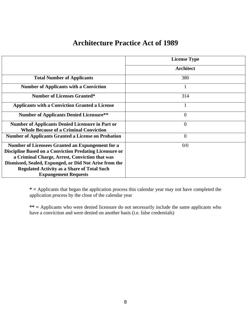| <b>Architecture Practice Act of 1989</b> |  |  |
|------------------------------------------|--|--|
|------------------------------------------|--|--|

|                                                                                                          | <b>License Type</b> |
|----------------------------------------------------------------------------------------------------------|---------------------|
|                                                                                                          | <b>Architect</b>    |
| <b>Total Number of Applicants</b>                                                                        | 380                 |
| <b>Number of Applicants with a Conviction</b>                                                            | 1                   |
| <b>Number of Licenses Granted*</b>                                                                       | 314                 |
| <b>Applicants with a Conviction Granted a License</b>                                                    |                     |
| <b>Number of Applicants Denied Licensure**</b>                                                           | $\overline{0}$      |
| <b>Number of Applicants Denied Licensure in Part or</b><br><b>Whole Because of a Criminal Conviction</b> | $\overline{0}$      |
| <b>Number of Applicants Granted a License on Probation</b>                                               | $\overline{0}$      |
| Number of Licensees Granted an Expungement for a                                                         | 0/0                 |
| <b>Discipline Based on a Conviction Predating Licensure or</b>                                           |                     |
| a Criminal Charge, Arrest, Conviction that was                                                           |                     |
| Dismissed, Sealed, Expunged, or Did Not Arise from the                                                   |                     |
| <b>Regulated Activity as a Share of Total Such</b>                                                       |                     |
| <b>Expungement Requests</b>                                                                              |                     |

**\* =** Applicants that began the application process this calendar year may not have completed the application process by the close of the calendar year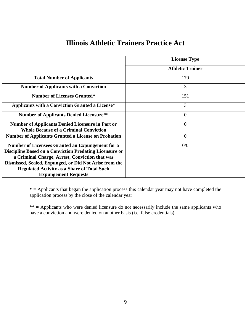|                                                                                                                                                                                                                                | <b>License Type</b>     |
|--------------------------------------------------------------------------------------------------------------------------------------------------------------------------------------------------------------------------------|-------------------------|
|                                                                                                                                                                                                                                | <b>Athletic Trainer</b> |
| <b>Total Number of Applicants</b>                                                                                                                                                                                              | 170                     |
| <b>Number of Applicants with a Conviction</b>                                                                                                                                                                                  | 3                       |
| <b>Number of Licenses Granted*</b>                                                                                                                                                                                             | 151                     |
| <b>Applicants with a Conviction Granted a License*</b>                                                                                                                                                                         | 3                       |
| <b>Number of Applicants Denied Licensure**</b>                                                                                                                                                                                 | $\overline{0}$          |
| <b>Number of Applicants Denied Licensure in Part or</b><br><b>Whole Because of a Criminal Conviction</b>                                                                                                                       | $\overline{0}$          |
| <b>Number of Applicants Granted a License on Probation</b>                                                                                                                                                                     | $\overline{0}$          |
| Number of Licensees Granted an Expungement for a<br><b>Discipline Based on a Conviction Predating Licensure or</b><br>a Criminal Charge, Arrest, Conviction that was<br>Dismissed, Sealed, Expunged, or Did Not Arise from the | 0/0                     |
| <b>Regulated Activity as a Share of Total Such</b><br><b>Expungement Requests</b>                                                                                                                                              |                         |

#### **Illinois Athletic Trainers Practice Act**

**\* =** Applicants that began the application process this calendar year may not have completed the application process by the close of the calendar year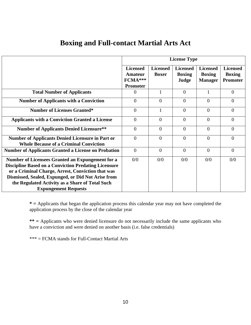|                                                                                                                                                                                                                                                                                                              | <b>License Type</b>                                      |                                 |                                           |                                                    |                                                     |
|--------------------------------------------------------------------------------------------------------------------------------------------------------------------------------------------------------------------------------------------------------------------------------------------------------------|----------------------------------------------------------|---------------------------------|-------------------------------------------|----------------------------------------------------|-----------------------------------------------------|
|                                                                                                                                                                                                                                                                                                              | <b>Licensed</b><br>Amateur<br>FCMA***<br><b>Promoter</b> | <b>Licensed</b><br><b>Boxer</b> | <b>Licensed</b><br><b>Boxing</b><br>Judge | <b>Licensed</b><br><b>Boxing</b><br><b>Manager</b> | <b>Licensed</b><br><b>Boxing</b><br><b>Promoter</b> |
| <b>Total Number of Applicants</b>                                                                                                                                                                                                                                                                            | $\Omega$                                                 | 1                               | $\Omega$                                  | 1                                                  | $\overline{0}$                                      |
| <b>Number of Applicants with a Conviction</b>                                                                                                                                                                                                                                                                | $\theta$                                                 | $\theta$                        | $\Omega$                                  | $\theta$                                           | $\Omega$                                            |
| <b>Number of Licenses Granted*</b>                                                                                                                                                                                                                                                                           | $\overline{0}$                                           | 1                               | $\overline{0}$                            | $\theta$                                           | $\Omega$                                            |
| <b>Applicants with a Conviction Granted a License</b>                                                                                                                                                                                                                                                        | $\overline{0}$                                           | $\overline{0}$                  | $\overline{0}$                            | $\overline{0}$                                     | $\overline{0}$                                      |
| <b>Number of Applicants Denied Licensure**</b>                                                                                                                                                                                                                                                               | $\Omega$                                                 | $\theta$                        | $\Omega$                                  | $\Omega$                                           | $\Omega$                                            |
| <b>Number of Applicants Denied Licensure in Part or</b><br><b>Whole Because of a Criminal Conviction</b>                                                                                                                                                                                                     | $\overline{0}$                                           | $\theta$                        | $\theta$                                  | $\theta$                                           | $\overline{0}$                                      |
| <b>Number of Applicants Granted a License on Probation</b>                                                                                                                                                                                                                                                   | $\Omega$                                                 | $\theta$                        | $\Omega$                                  | $\theta$                                           | $\theta$                                            |
| Number of Licensees Granted an Expungement for a<br><b>Discipline Based on a Conviction Predating Licensure</b><br>or a Criminal Charge, Arrest, Conviction that was<br>Dismissed, Sealed, Expunged, or Did Not Arise from<br>the Regulated Activity as a Share of Total Such<br><b>Expungement Requests</b> | 0/0                                                      | 0/0                             | 0/0                                       | 0/0                                                | 0/0                                                 |

#### **Boxing and Full-contact Martial Arts Act**

**\* =** Applicants that began the application process this calendar year may not have completed the application process by the close of the calendar year

**\*\* =** Applicants who were denied licensure do not necessarily include the same applicants who have a conviction and were denied on another basis (i.e. false credentials)

\*\*\* = FCMA stands for Full-Contact Martial Arts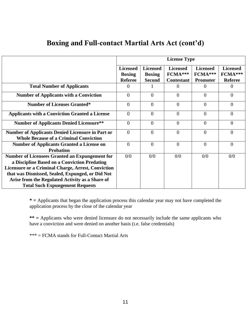|                                                           | <b>License Type</b>              |                                  |                            |                            |                            |
|-----------------------------------------------------------|----------------------------------|----------------------------------|----------------------------|----------------------------|----------------------------|
|                                                           | <b>Licensed</b><br><b>Boxing</b> | <b>Licensed</b><br><b>Boxing</b> | <b>Licensed</b><br>FCMA*** | <b>Licensed</b><br>FCMA*** | <b>Licensed</b><br>FCMA*** |
|                                                           | <b>Referee</b>                   | <b>Second</b>                    | <b>Contestant</b>          | <b>Promoter</b>            | <b>Referee</b>             |
| <b>Total Number of Applicants</b>                         | $\theta$                         |                                  | $\theta$                   | $\Omega$                   | $\theta$                   |
| <b>Number of Applicants with a Conviction</b>             | $\overline{0}$                   | $\theta$                         | $\overline{0}$             | $\theta$                   | $\Omega$                   |
| <b>Number of Licenses Granted*</b>                        | $\theta$                         | $\theta$                         | $\theta$                   | $\theta$                   | $\Omega$                   |
| <b>Applicants with a Conviction Granted a License</b>     | $\overline{0}$                   | $\theta$                         | $\overline{0}$             | $\overline{0}$             | $\Omega$                   |
| <b>Number of Applicants Denied Licensure**</b>            | $\overline{0}$                   | $\theta$                         | $\overline{0}$             | $\overline{0}$             | $\Omega$                   |
| <b>Number of Applicants Denied Licensure in Part or</b>   | $\overline{0}$                   | $\overline{0}$                   | $\overline{0}$             | $\overline{0}$             | $\Omega$                   |
| <b>Whole Because of a Criminal Conviction</b>             |                                  |                                  |                            |                            |                            |
| <b>Number of Applicants Granted a License on</b>          | $\overline{0}$                   | $\overline{0}$                   | $\overline{0}$             | $\overline{0}$             | $\Omega$                   |
| <b>Probation</b>                                          |                                  |                                  |                            |                            |                            |
| <b>Number of Licensees Granted an Expungement for</b>     | 0/0                              | 0/0                              | 0/0                        | 0/0                        | 0/0                        |
| a Discipline Based on a Conviction Predating              |                                  |                                  |                            |                            |                            |
| <b>Licensure or a Criminal Charge, Arrest, Conviction</b> |                                  |                                  |                            |                            |                            |
| that was Dismissed, Sealed, Expunged, or Did Not          |                                  |                                  |                            |                            |                            |
| Arise from the Regulated Activity as a Share of           |                                  |                                  |                            |                            |                            |
| <b>Total Such Expungement Requests</b>                    |                                  |                                  |                            |                            |                            |

#### **Boxing and Full-contact Martial Arts Act (cont'd)**

**\* =** Applicants that began the application process this calendar year may not have completed the application process by the close of the calendar year

**\*\* =** Applicants who were denied licensure do not necessarily include the same applicants who have a conviction and were denied on another basis (i.e. false credentials)

\*\*\* = FCMA stands for Full-Contact Martial Arts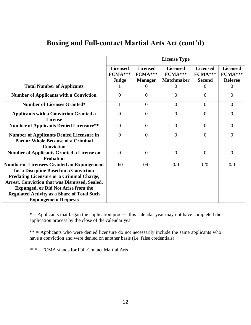|                                                                                                                                                                                                                                                                                                                                             | <b>License Type</b>                 |                                              |                                                 |                                             |                                              |
|---------------------------------------------------------------------------------------------------------------------------------------------------------------------------------------------------------------------------------------------------------------------------------------------------------------------------------------------|-------------------------------------|----------------------------------------------|-------------------------------------------------|---------------------------------------------|----------------------------------------------|
|                                                                                                                                                                                                                                                                                                                                             | <b>Licensed</b><br>FCMA***<br>Judge | <b>Licensed</b><br>FCMA***<br><b>Manager</b> | <b>Licensed</b><br>FCMA***<br><b>Matchmaker</b> | <b>Licensed</b><br>FCMA***<br><b>Second</b> | <b>Licensed</b><br>FCMA***<br><b>Referee</b> |
| <b>Total Number of Applicants</b>                                                                                                                                                                                                                                                                                                           |                                     | $\overline{0}$                               | $\Omega$                                        | $\Omega$                                    | $\theta$                                     |
| <b>Number of Applicants with a Conviction</b>                                                                                                                                                                                                                                                                                               | $\Omega$                            | $\theta$                                     | $\Omega$                                        | $\theta$                                    | $\Omega$                                     |
| <b>Number of Licenses Granted*</b>                                                                                                                                                                                                                                                                                                          | 1                                   | $\overline{0}$                               | $\theta$                                        | $\overline{0}$                              | $\theta$                                     |
| <b>Applicants with a Conviction Granted a</b><br><b>License</b>                                                                                                                                                                                                                                                                             | $\Omega$                            | $\overline{0}$                               | $\overline{0}$                                  | $\overline{0}$                              | $\theta$                                     |
| <b>Number of Applicants Denied Licensure**</b>                                                                                                                                                                                                                                                                                              | $\Omega$                            | $\overline{0}$                               | $\Omega$                                        | $\theta$                                    | $\Omega$                                     |
| <b>Number of Applicants Denied Licensure in</b><br><b>Part or Whole Because of a Criminal</b><br><b>Conviction</b>                                                                                                                                                                                                                          | $\Omega$                            | $\overline{0}$                               | $\overline{0}$                                  | $\theta$                                    | $\Omega$                                     |
| <b>Number of Applicants Granted a License on</b><br><b>Probation</b>                                                                                                                                                                                                                                                                        | $\overline{0}$                      | $\overline{0}$                               | $\overline{0}$                                  | $\overline{0}$                              | $\Omega$                                     |
| <b>Number of Licensees Granted an Expungement</b><br>for a Discipline Based on a Conviction<br><b>Predating Licensure or a Criminal Charge,</b><br><b>Arrest, Conviction that was Dismissed, Sealed,</b><br><b>Expunged, or Did Not Arise from the</b><br><b>Regulated Activity as a Share of Total Such</b><br><b>Expungement Requests</b> | 0/0                                 | 0/0                                          | 0/0                                             | 0/0                                         | 0/0                                          |

#### **Boxing and Full-contact Martial Arts Act (cont'd)**

**\* =** Applicants that began the application process this calendar year may not have completed the application process by the close of the calendar year

**\*\* =** Applicants who were denied licensure do not necessarily include the same applicants who have a conviction and were denied on another basis (i.e. false credentials)

\*\*\* = FCMA stands for Full-Contact Martial Arts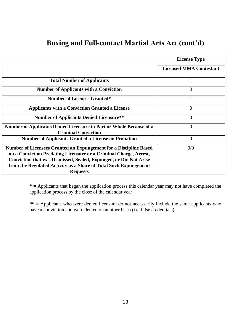#### **Boxing and Full-contact Martial Arts Act (cont'd)**

|                                                                                                   | <b>License Type</b>            |
|---------------------------------------------------------------------------------------------------|--------------------------------|
|                                                                                                   | <b>Licensed MMA Contestant</b> |
| <b>Total Number of Applicants</b>                                                                 | 1                              |
| <b>Number of Applicants with a Conviction</b>                                                     | $\theta$                       |
| <b>Number of Licenses Granted*</b>                                                                |                                |
| <b>Applicants with a Conviction Granted a License</b>                                             | 0                              |
| <b>Number of Applicants Denied Licensure**</b>                                                    | $\theta$                       |
| Number of Applicants Denied Licensure in Part or Whole Because of a<br><b>Criminal Conviction</b> | $\theta$                       |
| <b>Number of Applicants Granted a License on Probation</b>                                        | 0                              |
| Number of Licensees Granted an Expungement for a Discipline Based                                 | 0/0                            |
| on a Conviction Predating Licensure or a Criminal Charge, Arrest,                                 |                                |
| <b>Conviction that was Dismissed, Sealed, Expunged, or Did Not Arise</b>                          |                                |
| from the Regulated Activity as a Share of Total Such Expungement                                  |                                |
| <b>Requests</b>                                                                                   |                                |

**\* =** Applicants that began the application process this calendar year may not have completed the application process by the close of the calendar year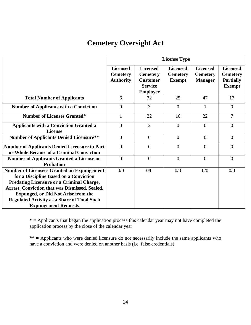#### **Cemetery Oversight Act**

|                                                                                                                                                                                                                                                                                                                                      | <b>License Type</b>                                    |                                                                                            |                                                     |                                                      |                                                                         |
|--------------------------------------------------------------------------------------------------------------------------------------------------------------------------------------------------------------------------------------------------------------------------------------------------------------------------------------|--------------------------------------------------------|--------------------------------------------------------------------------------------------|-----------------------------------------------------|------------------------------------------------------|-------------------------------------------------------------------------|
|                                                                                                                                                                                                                                                                                                                                      | <b>Licensed</b><br><b>Cemetery</b><br><b>Authority</b> | <b>Licensed</b><br><b>Cemetery</b><br><b>Customer</b><br><b>Service</b><br><b>Employee</b> | <b>Licensed</b><br><b>Cemetery</b><br><b>Exempt</b> | <b>Licensed</b><br><b>Cemetery</b><br><b>Manager</b> | <b>Licensed</b><br><b>Cemetery</b><br><b>Partially</b><br><b>Exempt</b> |
| <b>Total Number of Applicants</b>                                                                                                                                                                                                                                                                                                    | 6                                                      | 72                                                                                         | 25                                                  | 47                                                   | 17                                                                      |
| <b>Number of Applicants with a Conviction</b>                                                                                                                                                                                                                                                                                        | $\theta$                                               | $\overline{3}$                                                                             | $\Omega$                                            | 1                                                    | $\theta$                                                                |
| <b>Number of Licenses Granted*</b>                                                                                                                                                                                                                                                                                                   | $\mathbf{1}$                                           | 22                                                                                         | 16                                                  | 22                                                   | $\overline{7}$                                                          |
| <b>Applicants with a Conviction Granted a</b><br><b>License</b>                                                                                                                                                                                                                                                                      | $\overline{0}$                                         | $\overline{2}$                                                                             | $\theta$                                            | $\theta$                                             | $\overline{0}$                                                          |
| <b>Number of Applicants Denied Licensure**</b>                                                                                                                                                                                                                                                                                       | $\overline{0}$                                         | $\overline{0}$                                                                             | $\Omega$                                            | $\theta$                                             | $\theta$                                                                |
| <b>Number of Applicants Denied Licensure in Part</b><br>or Whole Because of a Criminal Conviction                                                                                                                                                                                                                                    | $\overline{0}$                                         | $\theta$                                                                                   | $\overline{0}$                                      | $\overline{0}$                                       | $\overline{0}$                                                          |
| <b>Number of Applicants Granted a License on</b><br><b>Probation</b>                                                                                                                                                                                                                                                                 | $\overline{0}$                                         | $\overline{0}$                                                                             | $\overline{0}$                                      | $\Omega$                                             | $\Omega$                                                                |
| <b>Number of Licensees Granted an Expungement</b><br>for a Discipline Based on a Conviction<br><b>Predating Licensure or a Criminal Charge,</b><br>Arrest, Conviction that was Dismissed, Sealed,<br><b>Expunged, or Did Not Arise from the</b><br><b>Regulated Activity as a Share of Total Such</b><br><b>Expungement Requests</b> | 0/0                                                    | 0/0                                                                                        | 0/0                                                 | 0/0                                                  | 0/0                                                                     |

**\* =** Applicants that began the application process this calendar year may not have completed the application process by the close of the calendar year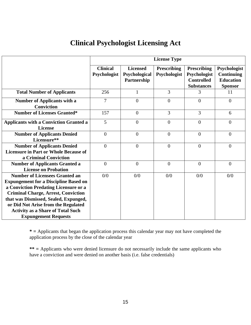#### **Clinical Psychologist Licensing Act**

|                                                                                                                                                                              | <b>License Type</b>             |                                                 |                                    |                                                                              |                                                                         |
|------------------------------------------------------------------------------------------------------------------------------------------------------------------------------|---------------------------------|-------------------------------------------------|------------------------------------|------------------------------------------------------------------------------|-------------------------------------------------------------------------|
|                                                                                                                                                                              | <b>Clinical</b><br>Psychologist | <b>Licensed</b><br>Psychological<br>Partnership | <b>Prescribing</b><br>Psychologist | <b>Prescribing</b><br>Psychologist<br><b>Controlled</b><br><b>Substances</b> | Psychologist<br><b>Continuing</b><br><b>Education</b><br><b>Sponsor</b> |
| <b>Total Number of Applicants</b>                                                                                                                                            | 256                             | $\mathbf{1}$                                    | $\overline{3}$                     | 3                                                                            | 11                                                                      |
| <b>Number of Applicants with a</b><br><b>Conviction</b>                                                                                                                      | 7                               | $\theta$                                        | $\theta$                           | $\overline{0}$                                                               | $\overline{0}$                                                          |
| <b>Number of Licenses Granted*</b>                                                                                                                                           | 157                             | $\overline{0}$                                  | $\overline{3}$                     | 3                                                                            | 6                                                                       |
| <b>Applicants with a Conviction Granted a</b><br><b>License</b>                                                                                                              | 5                               | $\overline{0}$                                  | $\theta$                           | $\theta$                                                                     | $\overline{0}$                                                          |
| <b>Number of Applicants Denied</b><br>Licensure**                                                                                                                            | $\overline{0}$                  | $\overline{0}$                                  | $\overline{0}$                     | $\overline{0}$                                                               | $\overline{0}$                                                          |
| <b>Number of Applicants Denied</b><br><b>Licensure in Part or Whole Because of</b><br>a Criminal Conviction                                                                  | $\overline{0}$                  | $\overline{0}$                                  | $\overline{0}$                     | $\theta$                                                                     | $\overline{0}$                                                          |
| <b>Number of Applicants Granted a</b><br><b>License on Probation</b>                                                                                                         | $\overline{0}$                  | $\overline{0}$                                  | $\overline{0}$                     | $\theta$                                                                     | $\overline{0}$                                                          |
| <b>Number of Licensees Granted an</b><br><b>Expungement for a Discipline Based on</b><br>a Conviction Predating Licensure or a<br><b>Criminal Charge, Arrest, Conviction</b> | 0/0                             | 0/0                                             | 0/0                                | 0/0                                                                          | 0/0                                                                     |
| that was Dismissed, Sealed, Expunged,<br>or Did Not Arise from the Regulated<br><b>Activity as a Share of Total Such</b><br><b>Expungement Requests</b>                      |                                 |                                                 |                                    |                                                                              |                                                                         |

**\* =** Applicants that began the application process this calendar year may not have completed the application process by the close of the calendar year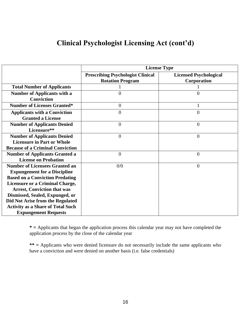#### **Clinical Psychologist Licensing Act (cont'd)**

|                                          | <b>License Type</b>                      |                               |  |  |
|------------------------------------------|------------------------------------------|-------------------------------|--|--|
|                                          | <b>Prescribing Psychologist Clinical</b> | <b>Licensed Psychological</b> |  |  |
|                                          | <b>Rotation Program</b>                  | Corporation                   |  |  |
| <b>Total Number of Applicants</b>        |                                          |                               |  |  |
| <b>Number of Applicants with a</b>       | $\Omega$                                 | 0                             |  |  |
| <b>Conviction</b>                        |                                          |                               |  |  |
| <b>Number of Licenses Granted*</b>       | $\overline{0}$                           |                               |  |  |
| <b>Applicants with a Conviction</b>      | $\theta$                                 | $\overline{0}$                |  |  |
| <b>Granted a License</b>                 |                                          |                               |  |  |
| <b>Number of Applicants Denied</b>       | $\overline{0}$                           | $\overline{0}$                |  |  |
| Licensure**                              |                                          |                               |  |  |
| <b>Number of Applicants Denied</b>       | $\overline{0}$                           | $\overline{0}$                |  |  |
| <b>Licensure in Part or Whole</b>        |                                          |                               |  |  |
| <b>Because of a Criminal Conviction</b>  |                                          |                               |  |  |
| <b>Number of Applicants Granted a</b>    | $\overline{0}$                           | $\overline{0}$                |  |  |
| <b>License on Probation</b>              |                                          |                               |  |  |
| <b>Number of Licensees Granted an</b>    | 0/0                                      | $\overline{0}$                |  |  |
| <b>Expungement for a Discipline</b>      |                                          |                               |  |  |
| <b>Based on a Conviction Predating</b>   |                                          |                               |  |  |
| Licensure or a Criminal Charge,          |                                          |                               |  |  |
| <b>Arrest, Conviction that was</b>       |                                          |                               |  |  |
| Dismissed, Sealed, Expunged, or          |                                          |                               |  |  |
| Did Not Arise from the Regulated         |                                          |                               |  |  |
| <b>Activity as a Share of Total Such</b> |                                          |                               |  |  |
| <b>Expungement Requests</b>              |                                          |                               |  |  |

**\* =** Applicants that began the application process this calendar year may not have completed the application process by the close of the calendar year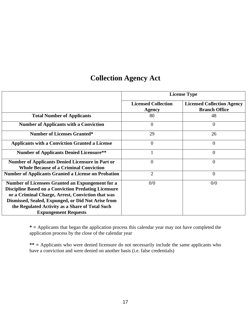## **Collection Agency Act**

|                                                                                                                                                                                                                                                                                                                     | <b>License Type</b>                         |                                                           |  |
|---------------------------------------------------------------------------------------------------------------------------------------------------------------------------------------------------------------------------------------------------------------------------------------------------------------------|---------------------------------------------|-----------------------------------------------------------|--|
|                                                                                                                                                                                                                                                                                                                     | <b>Licensed Collection</b><br><b>Agency</b> | <b>Licensed Collection Agency</b><br><b>Branch Office</b> |  |
| <b>Total Number of Applicants</b>                                                                                                                                                                                                                                                                                   | 80                                          | 48                                                        |  |
| <b>Number of Applicants with a Conviction</b>                                                                                                                                                                                                                                                                       | $\overline{0}$                              | $\overline{0}$                                            |  |
| <b>Number of Licenses Granted*</b>                                                                                                                                                                                                                                                                                  | 29                                          | 26                                                        |  |
| <b>Applicants with a Conviction Granted a License</b>                                                                                                                                                                                                                                                               | $\boldsymbol{0}$                            | 0                                                         |  |
| <b>Number of Applicants Denied Licensure**</b>                                                                                                                                                                                                                                                                      |                                             | $\overline{0}$                                            |  |
| <b>Number of Applicants Denied Licensure in Part or</b><br><b>Whole Because of a Criminal Conviction</b>                                                                                                                                                                                                            | $\overline{0}$                              | $\Omega$                                                  |  |
| <b>Number of Applicants Granted a License on Probation</b>                                                                                                                                                                                                                                                          | $\overline{2}$                              | $\overline{0}$                                            |  |
| <b>Number of Licensees Granted an Expungement for a</b><br><b>Discipline Based on a Conviction Predating Licensure</b><br>or a Criminal Charge, Arrest, Conviction that was<br>Dismissed, Sealed, Expunged, or Did Not Arise from<br>the Regulated Activity as a Share of Total Such<br><b>Expungement Requests</b> | 0/0                                         | 0/0                                                       |  |

**\* =** Applicants that began the application process this calendar year may not have completed the application process by the close of the calendar year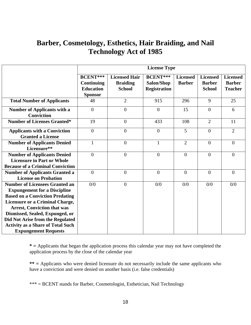#### **Barber, Cosmetology, Esthetics, Hair Braiding, and Nail Technology Act of 1985**

|                                          | <b>License Type</b> |                      |                     |                 |                 |                 |
|------------------------------------------|---------------------|----------------------|---------------------|-----------------|-----------------|-----------------|
|                                          | <b>BCENT***</b>     | <b>Licensed Hair</b> | <b>BCENT***</b>     | <b>Licensed</b> | <b>Licensed</b> | <b>Licensed</b> |
|                                          | <b>Continuing</b>   | <b>Braiding</b>      | Salon/Shop          | <b>Barber</b>   | <b>Barber</b>   | <b>Barber</b>   |
|                                          | <b>Education</b>    | <b>School</b>        | <b>Registration</b> |                 | <b>School</b>   | <b>Teacher</b>  |
|                                          | <b>Sponsor</b>      |                      |                     |                 |                 |                 |
| <b>Total Number of Applicants</b>        | 48                  | $\overline{2}$       | 915                 | 296             | 9               | 25              |
| <b>Number of Applicants with a</b>       | $\overline{0}$      | $\overline{0}$       | $\overline{0}$      | 15              | $\overline{0}$  | 6               |
| <b>Conviction</b>                        |                     |                      |                     |                 |                 |                 |
| <b>Number of Licenses Granted*</b>       | 19                  | $\overline{0}$       | 433                 | 108             | $\overline{2}$  | 11              |
| <b>Applicants with a Conviction</b>      | $\overline{0}$      | $\overline{0}$       | $\overline{0}$      | 5               | $\overline{0}$  | $\overline{2}$  |
| <b>Granted a License</b>                 |                     |                      |                     |                 |                 |                 |
| <b>Number of Applicants Denied</b>       | $\mathbf{1}$        | $\overline{0}$       | $\mathbf{1}$        | $\overline{2}$  | $\Omega$        | $\Omega$        |
| Licensure**                              |                     |                      |                     |                 |                 |                 |
| <b>Number of Applicants Denied</b>       | $\overline{0}$      | $\overline{0}$       | $\overline{0}$      | $\overline{0}$  | $\overline{0}$  | $\theta$        |
| <b>Licensure in Part or Whole</b>        |                     |                      |                     |                 |                 |                 |
| <b>Because of a Criminal Conviction</b>  |                     |                      |                     |                 |                 |                 |
| <b>Number of Applicants Granted a</b>    | $\overline{0}$      | $\overline{0}$       | $\overline{0}$      | $\overline{0}$  | $\overline{0}$  | $\overline{0}$  |
| <b>License on Probation</b>              |                     |                      |                     |                 |                 |                 |
| <b>Number of Licensees Granted an</b>    | 0/0                 | $\overline{0}$       | 0/0                 | 0/0             | 0/0             | 0/0             |
| <b>Expungement for a Discipline</b>      |                     |                      |                     |                 |                 |                 |
| <b>Based on a Conviction Predating</b>   |                     |                      |                     |                 |                 |                 |
| Licensure or a Criminal Charge,          |                     |                      |                     |                 |                 |                 |
| <b>Arrest, Conviction that was</b>       |                     |                      |                     |                 |                 |                 |
| Dismissed, Sealed, Expunged, or          |                     |                      |                     |                 |                 |                 |
| Did Not Arise from the Regulated         |                     |                      |                     |                 |                 |                 |
| <b>Activity as a Share of Total Such</b> |                     |                      |                     |                 |                 |                 |
| <b>Expungement Requests</b>              |                     |                      |                     |                 |                 |                 |

**\* =** Applicants that began the application process this calendar year may not have completed the application process by the close of the calendar year

**\*\* =** Applicants who were denied licensure do not necessarily include the same applicants who have a conviction and were denied on another basis (i.e. false credentials)

\*\*\* = BCENT stands for Barber, Cosmetologist, Esthetician, Nail Technology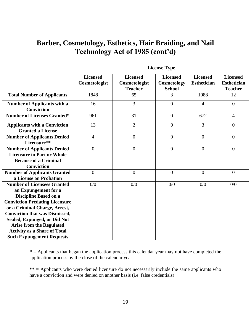#### **Barber, Cosmetology, Esthetics, Hair Braiding, and Nail Technology Act of 1985 (cont'd)**

|                                                                                                                                                                                                                                               | <b>License Type</b>              |                                                    |                                                 |                                       |                                                         |
|-----------------------------------------------------------------------------------------------------------------------------------------------------------------------------------------------------------------------------------------------|----------------------------------|----------------------------------------------------|-------------------------------------------------|---------------------------------------|---------------------------------------------------------|
|                                                                                                                                                                                                                                               | <b>Licensed</b><br>Cosmetologist | <b>Licensed</b><br>Cosmetologist<br><b>Teacher</b> | <b>Licensed</b><br>Cosmetology<br><b>School</b> | <b>Licensed</b><br><b>Esthetician</b> | <b>Licensed</b><br><b>Esthetician</b><br><b>Teacher</b> |
| <b>Total Number of Applicants</b>                                                                                                                                                                                                             | 1848                             | 65                                                 | 3                                               | 1088                                  | 12                                                      |
| <b>Number of Applicants with a</b><br><b>Conviction</b>                                                                                                                                                                                       | 16                               | 3                                                  | $\overline{0}$                                  | $\overline{4}$                        | $\boldsymbol{0}$                                        |
| <b>Number of Licenses Granted*</b>                                                                                                                                                                                                            | 961                              | 31                                                 | $\mathbf{0}$                                    | 672                                   | 4                                                       |
| <b>Applicants with a Conviction</b><br><b>Granted a License</b>                                                                                                                                                                               | 13                               | $\overline{2}$                                     | $\overline{0}$                                  | 3                                     | $\overline{0}$                                          |
| <b>Number of Applicants Denied</b><br>Licensure**                                                                                                                                                                                             | $\overline{4}$                   | $\mathbf{0}$                                       | $\mathbf{0}$                                    | $\overline{0}$                        | $\overline{0}$                                          |
| <b>Number of Applicants Denied</b><br><b>Licensure in Part or Whole</b><br><b>Because of a Criminal</b><br><b>Conviction</b>                                                                                                                  | $\overline{0}$                   | $\overline{0}$                                     | $\overline{0}$                                  | $\overline{0}$                        | $\boldsymbol{0}$                                        |
| <b>Number of Applicants Granted</b><br>a License on Probation                                                                                                                                                                                 | $\overline{0}$                   | $\overline{0}$                                     | $\overline{0}$                                  | $\Omega$                              | $\overline{0}$                                          |
| <b>Number of Licensees Granted</b><br>an Expungement for a<br><b>Discipline Based on a</b><br><b>Conviction Predating Licensure</b><br>or a Criminal Charge, Arrest,<br><b>Conviction that was Dismissed,</b><br>Sealed, Expunged, or Did Not | 0/0                              | 0/0                                                | 0/0                                             | 0/0                                   | 0/0                                                     |
| <b>Arise from the Regulated</b><br><b>Activity as a Share of Total</b><br><b>Such Expungement Requests</b>                                                                                                                                    |                                  |                                                    |                                                 |                                       |                                                         |

**\* =** Applicants that began the application process this calendar year may not have completed the application process by the close of the calendar year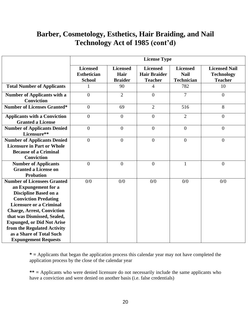#### **Barber, Cosmetology, Esthetics, Hair Braiding, and Nail Technology Act of 1985 (cont'd)**

|                                                                                                                                                                                                                                                                                                                                                                | <b>License Type</b>                                    |                                           |                                                          |                                                     |                                                             |
|----------------------------------------------------------------------------------------------------------------------------------------------------------------------------------------------------------------------------------------------------------------------------------------------------------------------------------------------------------------|--------------------------------------------------------|-------------------------------------------|----------------------------------------------------------|-----------------------------------------------------|-------------------------------------------------------------|
|                                                                                                                                                                                                                                                                                                                                                                | <b>Licensed</b><br><b>Esthetician</b><br><b>School</b> | <b>Licensed</b><br>Hair<br><b>Braider</b> | <b>Licensed</b><br><b>Hair Braider</b><br><b>Teacher</b> | <b>Licensed</b><br><b>Nail</b><br><b>Technician</b> | <b>Licensed Nail</b><br><b>Technology</b><br><b>Teacher</b> |
| <b>Total Number of Applicants</b>                                                                                                                                                                                                                                                                                                                              | 1                                                      | 90                                        | 4                                                        | 782                                                 | 10                                                          |
| <b>Number of Applicants with a</b><br><b>Conviction</b>                                                                                                                                                                                                                                                                                                        | $\overline{0}$                                         | $\overline{2}$                            | $\overline{0}$                                           | $\overline{7}$                                      | $\overline{0}$                                              |
| <b>Number of Licenses Granted*</b>                                                                                                                                                                                                                                                                                                                             | $\overline{0}$                                         | 69                                        | $\overline{2}$                                           | 516                                                 | 8                                                           |
| <b>Applicants with a Conviction</b><br><b>Granted a License</b>                                                                                                                                                                                                                                                                                                | $\overline{0}$                                         | $\overline{0}$                            | $\overline{0}$                                           | $\overline{2}$                                      | $\overline{0}$                                              |
| <b>Number of Applicants Denied</b><br>Licensure**                                                                                                                                                                                                                                                                                                              | $\overline{0}$                                         | $\overline{0}$                            | $\overline{0}$                                           | $\overline{0}$                                      | $\overline{0}$                                              |
| <b>Number of Applicants Denied</b><br><b>Licensure in Part or Whole</b><br><b>Because of a Criminal</b><br><b>Conviction</b>                                                                                                                                                                                                                                   | $\overline{0}$                                         | $\boldsymbol{0}$                          | $\overline{0}$                                           | $\overline{0}$                                      | $\overline{0}$                                              |
| <b>Number of Applicants</b><br><b>Granted a License on</b><br><b>Probation</b>                                                                                                                                                                                                                                                                                 | $\overline{0}$                                         | $\overline{0}$                            | $\overline{0}$                                           | $\mathbf{1}$                                        | $\overline{0}$                                              |
| <b>Number of Licensees Granted</b><br>an Expungement for a<br><b>Discipline Based on a</b><br><b>Conviction Predating</b><br><b>Licensure or a Criminal</b><br><b>Charge, Arrest, Conviction</b><br>that was Dismissed, Sealed,<br><b>Expunged, or Did Not Arise</b><br>from the Regulated Activity<br>as a Share of Total Such<br><b>Expungement Requests</b> | 0/0                                                    | 0/0                                       | 0/0                                                      | 0/0                                                 | 0/0                                                         |

**\* =** Applicants that began the application process this calendar year may not have completed the application process by the close of the calendar year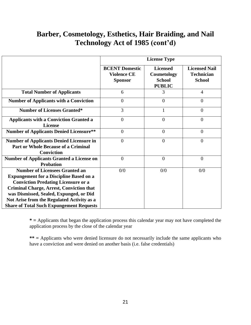#### **Barber, Cosmetology, Esthetics, Hair Braiding, and Nail Technology Act of 1985 (cont'd)**

|                                                                                                                                                                                                                                                                                                                                      | <b>License Type</b>                                           |                                                                  |                                                            |  |
|--------------------------------------------------------------------------------------------------------------------------------------------------------------------------------------------------------------------------------------------------------------------------------------------------------------------------------------|---------------------------------------------------------------|------------------------------------------------------------------|------------------------------------------------------------|--|
|                                                                                                                                                                                                                                                                                                                                      | <b>BCENT Domestic</b><br><b>Violence CE</b><br><b>Sponsor</b> | <b>Licensed</b><br>Cosmetology<br><b>School</b><br><b>PUBLIC</b> | <b>Licensed Nail</b><br><b>Technician</b><br><b>School</b> |  |
| <b>Total Number of Applicants</b>                                                                                                                                                                                                                                                                                                    | 6                                                             | 3                                                                | $\overline{4}$                                             |  |
| <b>Number of Applicants with a Conviction</b>                                                                                                                                                                                                                                                                                        | $\overline{0}$                                                | $\theta$                                                         | $\overline{0}$                                             |  |
| <b>Number of Licenses Granted*</b>                                                                                                                                                                                                                                                                                                   | 3                                                             |                                                                  | $\overline{0}$                                             |  |
| <b>Applicants with a Conviction Granted a</b><br><b>License</b>                                                                                                                                                                                                                                                                      | $\overline{0}$                                                | $\theta$                                                         | $\theta$                                                   |  |
| <b>Number of Applicants Denied Licensure**</b>                                                                                                                                                                                                                                                                                       | $\overline{0}$                                                | $\overline{0}$                                                   | $\overline{0}$                                             |  |
| <b>Number of Applicants Denied Licensure in</b><br><b>Part or Whole Because of a Criminal</b><br><b>Conviction</b>                                                                                                                                                                                                                   | $\theta$                                                      | $\overline{0}$                                                   | $\overline{0}$                                             |  |
| <b>Number of Applicants Granted a License on</b><br><b>Probation</b>                                                                                                                                                                                                                                                                 | $\theta$                                                      | $\theta$                                                         | $\overline{0}$                                             |  |
| <b>Number of Licensees Granted an</b><br><b>Expungement for a Discipline Based on a</b><br><b>Conviction Predating Licensure or a</b><br><b>Criminal Charge, Arrest, Conviction that</b><br>was Dismissed, Sealed, Expunged, or Did<br>Not Arise from the Regulated Activity as a<br><b>Share of Total Such Expungement Requests</b> | 0/0                                                           | 0/0                                                              | 0/0                                                        |  |

**\* =** Applicants that began the application process this calendar year may not have completed the application process by the close of the calendar year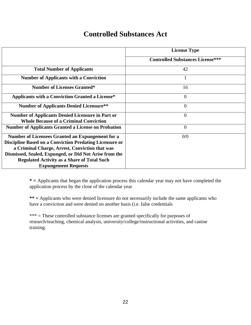#### **Controlled Substances Act**

|                                                                                                                                                                                                                                                                                                                     | <b>License Type</b>                     |
|---------------------------------------------------------------------------------------------------------------------------------------------------------------------------------------------------------------------------------------------------------------------------------------------------------------------|-----------------------------------------|
|                                                                                                                                                                                                                                                                                                                     | <b>Controlled Substances License***</b> |
| <b>Total Number of Applicants</b>                                                                                                                                                                                                                                                                                   | 42                                      |
| <b>Number of Applicants with a Conviction</b>                                                                                                                                                                                                                                                                       | 1                                       |
| <b>Number of Licenses Granted*</b>                                                                                                                                                                                                                                                                                  | 16                                      |
| <b>Applicants with a Conviction Granted a License*</b>                                                                                                                                                                                                                                                              | $\overline{0}$                          |
| <b>Number of Applicants Denied Licensure**</b>                                                                                                                                                                                                                                                                      | $\theta$                                |
| <b>Number of Applicants Denied Licensure in Part or</b><br><b>Whole Because of a Criminal Conviction</b>                                                                                                                                                                                                            | $\overline{0}$                          |
| <b>Number of Applicants Granted a License on Probation</b>                                                                                                                                                                                                                                                          | $\overline{0}$                          |
| Number of Licensees Granted an Expungement for a<br><b>Discipline Based on a Conviction Predating Licensure or</b><br>a Criminal Charge, Arrest, Conviction that was<br>Dismissed, Sealed, Expunged, or Did Not Arise from the<br><b>Regulated Activity as a Share of Total Such</b><br><b>Expungement Requests</b> | 0/0                                     |

**\* =** Applicants that began the application process this calendar year may not have completed the application process by the close of the calendar year

**\*\* =** Applicants who were denied licensure do not necessarily include the same applicants who have a conviction and were denied on another basis (i.e. false credentials

\*\*\* = These controlled substance licenses are granted specifically for purposes of research/teaching, chemical analysis, university/college/instructional activities, and canine training.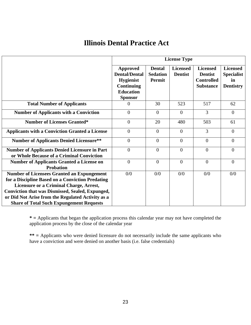#### **Illinois Dental Practice Act**

|                                                                                                                                                                                                                                                                                                                     | <b>License Type</b>                                                                                             |                                                   |                                   |                                                                            |                                                                |
|---------------------------------------------------------------------------------------------------------------------------------------------------------------------------------------------------------------------------------------------------------------------------------------------------------------------|-----------------------------------------------------------------------------------------------------------------|---------------------------------------------------|-----------------------------------|----------------------------------------------------------------------------|----------------------------------------------------------------|
|                                                                                                                                                                                                                                                                                                                     | Approved<br><b>Dental/Dental</b><br><b>Hygienist</b><br><b>Continuing</b><br><b>Education</b><br><b>Sponsor</b> | <b>Dental</b><br><b>Sedation</b><br><b>Permit</b> | <b>Licensed</b><br><b>Dentist</b> | <b>Licensed</b><br><b>Dentist</b><br><b>Controlled</b><br><b>Substance</b> | <b>Licensed</b><br><b>Specialist</b><br>in<br><b>Dentistry</b> |
| <b>Total Number of Applicants</b>                                                                                                                                                                                                                                                                                   | $\theta$                                                                                                        | 30                                                | 523                               | 517                                                                        | 62                                                             |
| <b>Number of Applicants with a Conviction</b>                                                                                                                                                                                                                                                                       | $\Omega$                                                                                                        | $\theta$                                          | $\Omega$                          | $\overline{3}$                                                             | $\Omega$                                                       |
| <b>Number of Licenses Granted*</b>                                                                                                                                                                                                                                                                                  | $\theta$                                                                                                        | 20                                                | 480                               | 503                                                                        | 61                                                             |
| <b>Applicants with a Conviction Granted a License</b>                                                                                                                                                                                                                                                               | $\overline{0}$                                                                                                  | $\Omega$                                          | $\Omega$                          | 3                                                                          | $\overline{0}$                                                 |
| <b>Number of Applicants Denied Licensure**</b>                                                                                                                                                                                                                                                                      | $\Omega$                                                                                                        | $\theta$                                          | $\Omega$                          | $\Omega$                                                                   | $\Omega$                                                       |
| <b>Number of Applicants Denied Licensure in Part</b><br>or Whole Because of a Criminal Conviction                                                                                                                                                                                                                   | $\Omega$                                                                                                        | $\theta$                                          | $\theta$                          | $\Omega$                                                                   | $\Omega$                                                       |
| <b>Number of Applicants Granted a License on</b><br><b>Probation</b>                                                                                                                                                                                                                                                | $\theta$                                                                                                        | $\Omega$                                          | $\Omega$                          | $\Omega$                                                                   | $\Omega$                                                       |
| <b>Number of Licensees Granted an Expungement</b><br>for a Discipline Based on a Conviction Predating<br>Licensure or a Criminal Charge, Arrest,<br><b>Conviction that was Dismissed, Sealed, Expunged,</b><br>or Did Not Arise from the Regulated Activity as a<br><b>Share of Total Such Expungement Requests</b> | 0/0                                                                                                             | 0/0                                               | 0/0                               | 0/0                                                                        | 0/0                                                            |

**\* =** Applicants that began the application process this calendar year may not have completed the application process by the close of the calendar year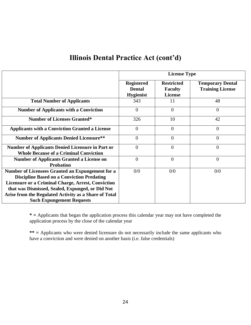|                                                                                                                                                                                                                                                                                                                     | <b>License Type</b>                                    |                                                       |                                                    |  |
|---------------------------------------------------------------------------------------------------------------------------------------------------------------------------------------------------------------------------------------------------------------------------------------------------------------------|--------------------------------------------------------|-------------------------------------------------------|----------------------------------------------------|--|
|                                                                                                                                                                                                                                                                                                                     | <b>Registered</b><br><b>Dental</b><br><b>Hygienist</b> | <b>Restricted</b><br><b>Faculty</b><br><b>License</b> | <b>Temporary Dental</b><br><b>Training License</b> |  |
| <b>Total Number of Applicants</b>                                                                                                                                                                                                                                                                                   | 343                                                    | 11                                                    | 48                                                 |  |
| <b>Number of Applicants with a Conviction</b>                                                                                                                                                                                                                                                                       | $\theta$                                               | $\theta$                                              | $\overline{0}$                                     |  |
| <b>Number of Licenses Granted*</b>                                                                                                                                                                                                                                                                                  | 326                                                    | 10                                                    | 42                                                 |  |
| <b>Applicants with a Conviction Granted a License</b>                                                                                                                                                                                                                                                               | $\Omega$                                               | $\overline{0}$                                        | $\overline{0}$                                     |  |
| <b>Number of Applicants Denied Licensure**</b>                                                                                                                                                                                                                                                                      | $\theta$                                               | $\overline{0}$                                        | $\overline{0}$                                     |  |
| <b>Number of Applicants Denied Licensure in Part or</b><br><b>Whole Because of a Criminal Conviction</b>                                                                                                                                                                                                            | $\theta$                                               | $\theta$                                              | $\overline{0}$                                     |  |
| <b>Number of Applicants Granted a License on</b><br><b>Probation</b>                                                                                                                                                                                                                                                | $\overline{0}$                                         | $\overline{0}$                                        | $\overline{0}$                                     |  |
| Number of Licensees Granted an Expungement for a<br><b>Discipline Based on a Conviction Predating</b><br><b>Licensure or a Criminal Charge, Arrest, Conviction</b><br>that was Dismissed, Sealed, Expunged, or Did Not<br>Arise from the Regulated Activity as a Share of Total<br><b>Such Expungement Requests</b> | 0/0                                                    | 0/0                                                   | 0/0                                                |  |

**\* =** Applicants that began the application process this calendar year may not have completed the application process by the close of the calendar year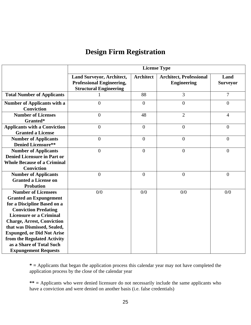## **Design Firm Registration**

|                                                                                                                                                                                                                                                                                                                                                                | <b>License Type</b>                                                                            |                  |                                                      |                         |  |
|----------------------------------------------------------------------------------------------------------------------------------------------------------------------------------------------------------------------------------------------------------------------------------------------------------------------------------------------------------------|------------------------------------------------------------------------------------------------|------------------|------------------------------------------------------|-------------------------|--|
|                                                                                                                                                                                                                                                                                                                                                                | Land Surveyor, Architect,<br><b>Professional Engineering,</b><br><b>Structural Engineering</b> | <b>Architect</b> | <b>Architect, Professional</b><br><b>Engineering</b> | Land<br><b>Surveyor</b> |  |
| <b>Total Number of Applicants</b>                                                                                                                                                                                                                                                                                                                              |                                                                                                | 88               | 3                                                    | $\overline{7}$          |  |
| <b>Number of Applicants with a</b><br><b>Conviction</b>                                                                                                                                                                                                                                                                                                        | $\overline{0}$                                                                                 | $\mathbf{0}$     | $\mathbf{0}$                                         | $\overline{0}$          |  |
| <b>Number of Licenses</b><br>Granted*                                                                                                                                                                                                                                                                                                                          | $\overline{0}$                                                                                 | 48               | $\overline{2}$                                       | $\overline{4}$          |  |
| <b>Applicants with a Conviction</b><br><b>Granted a License</b>                                                                                                                                                                                                                                                                                                | $\overline{0}$                                                                                 | $\theta$         | $\mathbf{0}$                                         | $\theta$                |  |
| <b>Number of Applicants</b><br><b>Denied Licensure**</b>                                                                                                                                                                                                                                                                                                       | $\overline{0}$                                                                                 | $\overline{0}$   | $\boldsymbol{0}$                                     | $\overline{0}$          |  |
| <b>Number of Applicants</b><br><b>Denied Licensure in Part or</b><br><b>Whole Because of a Criminal</b><br><b>Conviction</b>                                                                                                                                                                                                                                   | $\overline{0}$                                                                                 | $\mathbf{0}$     | $\overline{0}$                                       | $\overline{0}$          |  |
| <b>Number of Applicants</b><br><b>Granted a License on</b><br><b>Probation</b>                                                                                                                                                                                                                                                                                 | $\overline{0}$                                                                                 | $\mathbf{0}$     | $\boldsymbol{0}$                                     | $\boldsymbol{0}$        |  |
| <b>Number of Licensees</b><br><b>Granted an Expungement</b><br>for a Discipline Based on a<br><b>Conviction Predating</b><br><b>Licensure or a Criminal</b><br><b>Charge, Arrest, Conviction</b><br>that was Dismissed, Sealed,<br><b>Expunged, or Did Not Arise</b><br>from the Regulated Activity<br>as a Share of Total Such<br><b>Expungement Requests</b> | 0/0                                                                                            | 0/0              | 0/0                                                  | 0/0                     |  |

**\* =** Applicants that began the application process this calendar year may not have completed the application process by the close of the calendar year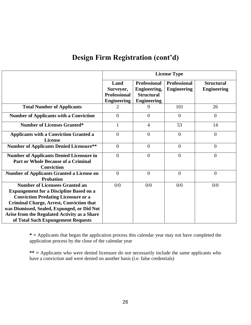#### **Design Firm Registration (cont'd)**

|                                                                                                                                                                                                                                                                                                                               | <b>License Type</b>                                            |                                                                                |                                           |                                         |
|-------------------------------------------------------------------------------------------------------------------------------------------------------------------------------------------------------------------------------------------------------------------------------------------------------------------------------|----------------------------------------------------------------|--------------------------------------------------------------------------------|-------------------------------------------|-----------------------------------------|
|                                                                                                                                                                                                                                                                                                                               | Land<br>Surveyor,<br><b>Professional</b><br><b>Engineering</b> | <b>Professional</b><br>Engineering,<br><b>Structural</b><br><b>Engineering</b> | <b>Professional</b><br><b>Engineering</b> | <b>Structural</b><br><b>Engineering</b> |
| <b>Total Number of Applicants</b>                                                                                                                                                                                                                                                                                             | $\mathcal{D}_{\cdot}$                                          | 9                                                                              | 101                                       | 26                                      |
| <b>Number of Applicants with a Conviction</b>                                                                                                                                                                                                                                                                                 | $\overline{0}$                                                 | $\overline{0}$                                                                 | $\overline{0}$                            | $\overline{0}$                          |
| <b>Number of Licenses Granted*</b>                                                                                                                                                                                                                                                                                            | $\mathbf{1}$                                                   | $\overline{4}$                                                                 | 53                                        | 14                                      |
| <b>Applicants with a Conviction Granted a</b><br><b>License</b>                                                                                                                                                                                                                                                               | $\boldsymbol{0}$                                               | $\overline{0}$                                                                 | $\theta$                                  | $\boldsymbol{0}$                        |
| <b>Number of Applicants Denied Licensure**</b>                                                                                                                                                                                                                                                                                | $\overline{0}$                                                 | $\overline{0}$                                                                 | $\overline{0}$                            | $\overline{0}$                          |
| <b>Number of Applicants Denied Licensure in</b><br><b>Part or Whole Because of a Criminal</b><br><b>Conviction</b>                                                                                                                                                                                                            | $\overline{0}$                                                 | $\theta$                                                                       | $\overline{0}$                            | $\overline{0}$                          |
| <b>Number of Applicants Granted a License on</b><br><b>Probation</b>                                                                                                                                                                                                                                                          | $\theta$                                                       | $\theta$                                                                       | $\theta$                                  | $\overline{0}$                          |
| <b>Number of Licensees Granted an</b><br><b>Expungement for a Discipline Based on a</b><br><b>Conviction Predating Licensure or a</b><br><b>Criminal Charge, Arrest, Conviction that</b><br>was Dismissed, Sealed, Expunged, or Did Not<br>Arise from the Regulated Activity as a Share<br>of Total Such Expungement Requests | 0/0                                                            | 0/0                                                                            | 0/0                                       | 0/0                                     |

**\* =** Applicants that began the application process this calendar year may not have completed the application process by the close of the calendar year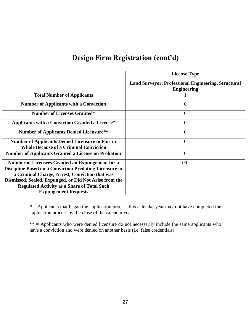#### **Design Firm Registration (cont'd)**

|                                                                                                          | <b>License Type</b>                                                              |
|----------------------------------------------------------------------------------------------------------|----------------------------------------------------------------------------------|
|                                                                                                          | <b>Land Surveyor, Professional Engineering, Structural</b><br><b>Engineering</b> |
| <b>Total Number of Applicants</b>                                                                        |                                                                                  |
| <b>Number of Applicants with a Conviction</b>                                                            | $\overline{0}$                                                                   |
| <b>Number of Licenses Granted*</b>                                                                       | $\boldsymbol{0}$                                                                 |
| <b>Applicants with a Conviction Granted a License*</b>                                                   | $\theta$                                                                         |
| <b>Number of Applicants Denied Licensure**</b>                                                           | $\theta$                                                                         |
| <b>Number of Applicants Denied Licensure in Part or</b><br><b>Whole Because of a Criminal Conviction</b> | $\overline{0}$                                                                   |
| <b>Number of Applicants Granted a License on Probation</b>                                               | $\theta$                                                                         |
| Number of Licensees Granted an Expungement for a                                                         | 0/0                                                                              |
| <b>Discipline Based on a Conviction Predating Licensure or</b>                                           |                                                                                  |
| a Criminal Charge, Arrest, Conviction that was                                                           |                                                                                  |
| Dismissed, Sealed, Expunged, or Did Not Arise from the                                                   |                                                                                  |
| <b>Regulated Activity as a Share of Total Such</b>                                                       |                                                                                  |
| <b>Expungement Requests</b>                                                                              |                                                                                  |

**\* =** Applicants that began the application process this calendar year may not have completed the application process by the close of the calendar year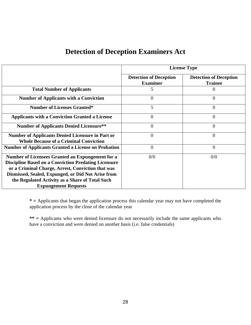#### **Detection of Deception Examiners Act**

|                                                                                                                                                                                                                                                                                                              | <b>License Type</b>                              |                                                 |  |  |
|--------------------------------------------------------------------------------------------------------------------------------------------------------------------------------------------------------------------------------------------------------------------------------------------------------------|--------------------------------------------------|-------------------------------------------------|--|--|
|                                                                                                                                                                                                                                                                                                              | <b>Detection of Deception</b><br><b>Examiner</b> | <b>Detection of Deception</b><br><b>Trainee</b> |  |  |
| <b>Total Number of Applicants</b>                                                                                                                                                                                                                                                                            | 5                                                |                                                 |  |  |
| <b>Number of Applicants with a Conviction</b>                                                                                                                                                                                                                                                                | $\theta$                                         | 0                                               |  |  |
| <b>Number of Licenses Granted*</b>                                                                                                                                                                                                                                                                           | 5                                                | 0                                               |  |  |
| <b>Applicants with a Conviction Granted a License</b>                                                                                                                                                                                                                                                        | $\overline{0}$                                   | 0                                               |  |  |
| <b>Number of Applicants Denied Licensure**</b>                                                                                                                                                                                                                                                               | $\overline{0}$                                   | 0                                               |  |  |
| <b>Number of Applicants Denied Licensure in Part or</b><br><b>Whole Because of a Criminal Conviction</b>                                                                                                                                                                                                     | $\theta$                                         | 0                                               |  |  |
| <b>Number of Applicants Granted a License on Probation</b>                                                                                                                                                                                                                                                   | $\Omega$                                         | $\overline{0}$                                  |  |  |
| Number of Licensees Granted an Expungement for a<br><b>Discipline Based on a Conviction Predating Licensure</b><br>or a Criminal Charge, Arrest, Conviction that was<br>Dismissed, Sealed, Expunged, or Did Not Arise from<br>the Regulated Activity as a Share of Total Such<br><b>Expungement Requests</b> | 0/0                                              | 0/0                                             |  |  |

**\* =** Applicants that began the application process this calendar year may not have completed the application process by the close of the calendar year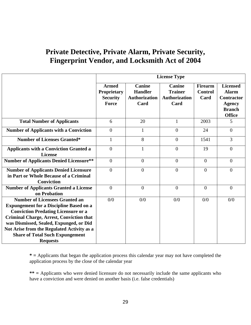|                                                                                                                                                                                                                                                                                                                                                | <b>License Type</b>                                            |                                                                 |                                                                 |                                          |                                                                                                         |
|------------------------------------------------------------------------------------------------------------------------------------------------------------------------------------------------------------------------------------------------------------------------------------------------------------------------------------------------|----------------------------------------------------------------|-----------------------------------------------------------------|-----------------------------------------------------------------|------------------------------------------|---------------------------------------------------------------------------------------------------------|
|                                                                                                                                                                                                                                                                                                                                                | <b>Armed</b><br><b>Proprietary</b><br><b>Security</b><br>Force | <b>Canine</b><br><b>Handler</b><br><b>Authorization</b><br>Card | <b>Canine</b><br><b>Trainer</b><br><b>Authorization</b><br>Card | <b>Firearm</b><br><b>Control</b><br>Card | <b>Licensed</b><br><b>Alarm</b><br><b>Contractor</b><br><b>Agency</b><br><b>Branch</b><br><b>Office</b> |
| <b>Total Number of Applicants</b>                                                                                                                                                                                                                                                                                                              | 6                                                              | 20                                                              | 1                                                               | 2003                                     | 5                                                                                                       |
| <b>Number of Applicants with a Conviction</b>                                                                                                                                                                                                                                                                                                  | $\Omega$                                                       | 1                                                               | $\theta$                                                        | 24                                       | $\theta$                                                                                                |
| <b>Number of Licenses Granted*</b>                                                                                                                                                                                                                                                                                                             | 1                                                              | 8                                                               | $\overline{0}$                                                  | 1541                                     | 3                                                                                                       |
| <b>Applicants with a Conviction Granted a</b><br><b>License</b>                                                                                                                                                                                                                                                                                | $\overline{0}$                                                 | 1                                                               | $\overline{0}$                                                  | 19                                       | $\overline{0}$                                                                                          |
| <b>Number of Applicants Denied Licensure**</b>                                                                                                                                                                                                                                                                                                 | $\overline{0}$                                                 | $\overline{0}$                                                  | $\theta$                                                        | $\theta$                                 | $\theta$                                                                                                |
| <b>Number of Applicants Denied Licensure</b><br>in Part or Whole Because of a Criminal<br><b>Conviction</b>                                                                                                                                                                                                                                    | $\theta$                                                       | $\theta$                                                        | $\Omega$                                                        | $\theta$                                 | $\theta$                                                                                                |
| <b>Number of Applicants Granted a License</b><br>on Probation                                                                                                                                                                                                                                                                                  | $\overline{0}$                                                 | $\overline{0}$                                                  | $\Omega$                                                        | $\overline{0}$                           | $\overline{0}$                                                                                          |
| <b>Number of Licensees Granted an</b><br><b>Expungement for a Discipline Based on a</b><br><b>Conviction Predating Licensure or a</b><br><b>Criminal Charge, Arrest, Conviction that</b><br>was Dismissed, Sealed, Expunged, or Did<br>Not Arise from the Regulated Activity as a<br><b>Share of Total Such Expungement</b><br><b>Requests</b> | 0/0                                                            | 0/0                                                             | 0/0                                                             | 0/0                                      | 0/0                                                                                                     |

**\* =** Applicants that began the application process this calendar year may not have completed the application process by the close of the calendar year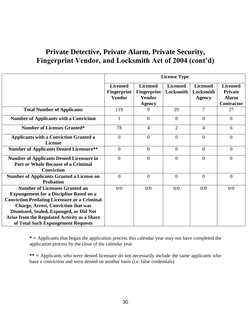|                                                                                                                                                                                                                                                                                                                               | <b>License Type</b>                                    |                                                                         |                              |                                               |                                                                        |
|-------------------------------------------------------------------------------------------------------------------------------------------------------------------------------------------------------------------------------------------------------------------------------------------------------------------------------|--------------------------------------------------------|-------------------------------------------------------------------------|------------------------------|-----------------------------------------------|------------------------------------------------------------------------|
|                                                                                                                                                                                                                                                                                                                               | <b>Licensed</b><br><b>Fingerprint</b><br><b>Vendor</b> | <b>Licensed</b><br><b>Fingerprint</b><br><b>Vendor</b><br><b>Agency</b> | <b>Licensed</b><br>Locksmith | <b>Licensed</b><br>Locksmith<br><b>Agency</b> | <b>Licensed</b><br><b>Private</b><br><b>Alarm</b><br><b>Contractor</b> |
| <b>Total Number of Applicants</b>                                                                                                                                                                                                                                                                                             | 119                                                    | 9                                                                       | 29                           | 7                                             | 27                                                                     |
| <b>Number of Applicants with a Conviction</b>                                                                                                                                                                                                                                                                                 |                                                        | $\Omega$                                                                | $\Omega$                     | $\overline{0}$                                | $\theta$                                                               |
| <b>Number of Licenses Granted*</b>                                                                                                                                                                                                                                                                                            | 78                                                     | $\overline{4}$                                                          | $\overline{2}$               | 4                                             | 6                                                                      |
| <b>Applicants with a Conviction Granted a</b><br><b>License</b>                                                                                                                                                                                                                                                               | $\overline{0}$                                         | $\theta$                                                                | $\theta$                     | $\overline{0}$                                | $\Omega$                                                               |
| <b>Number of Applicants Denied Licensure**</b>                                                                                                                                                                                                                                                                                | $\overline{0}$                                         | $\theta$                                                                | $\theta$                     | $\overline{0}$                                | $\theta$                                                               |
| <b>Number of Applicants Denied Licensure in</b><br><b>Part or Whole Because of a Criminal</b><br><b>Conviction</b>                                                                                                                                                                                                            | $\Omega$                                               | $\theta$                                                                | $\Omega$                     | $\Omega$                                      | $\Omega$                                                               |
| <b>Number of Applicants Granted a License on</b><br><b>Probation</b>                                                                                                                                                                                                                                                          | $\overline{0}$                                         | $\theta$                                                                | $\theta$                     | $\overline{0}$                                | $\overline{0}$                                                         |
| <b>Number of Licensees Granted an</b><br><b>Expungement for a Discipline Based on a</b><br><b>Conviction Predating Licensure or a Criminal</b><br><b>Charge, Arrest, Conviction that was</b><br>Dismissed, Sealed, Expunged, or Did Not<br>Arise from the Regulated Activity as a Share<br>of Total Such Expungement Requests | 0/0                                                    | 0/0                                                                     | 0/0                          | 0/0                                           | 0/0                                                                    |

**\* =** Applicants that began the application process this calendar year may not have completed the application process by the close of the calendar year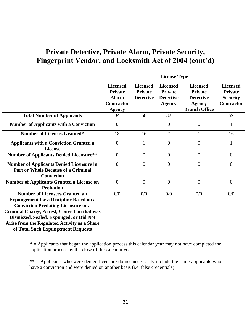|                                                                                                                                                                                                                                                                                                                               | <b>License Type</b>                                                                     |                                                       |                                                                 |                                                                                                |                                                                           |
|-------------------------------------------------------------------------------------------------------------------------------------------------------------------------------------------------------------------------------------------------------------------------------------------------------------------------------|-----------------------------------------------------------------------------------------|-------------------------------------------------------|-----------------------------------------------------------------|------------------------------------------------------------------------------------------------|---------------------------------------------------------------------------|
|                                                                                                                                                                                                                                                                                                                               | <b>Licensed</b><br><b>Private</b><br><b>Alarm</b><br><b>Contractor</b><br><b>Agency</b> | <b>Licensed</b><br><b>Private</b><br><b>Detective</b> | <b>Licensed</b><br>Private<br><b>Detective</b><br><b>Agency</b> | <b>Licensed</b><br><b>Private</b><br><b>Detective</b><br><b>Agency</b><br><b>Branch Office</b> | <b>Licensed</b><br><b>Private</b><br><b>Security</b><br><b>Contractor</b> |
| <b>Total Number of Applicants</b>                                                                                                                                                                                                                                                                                             | 34                                                                                      | 58                                                    | 32                                                              |                                                                                                | 59                                                                        |
| <b>Number of Applicants with a Conviction</b>                                                                                                                                                                                                                                                                                 | $\theta$                                                                                | 1                                                     | $\Omega$                                                        | $\theta$                                                                                       | 1                                                                         |
| <b>Number of Licenses Granted*</b>                                                                                                                                                                                                                                                                                            | 18                                                                                      | 16                                                    | 21                                                              | $\mathbf{1}$                                                                                   | 16                                                                        |
| <b>Applicants with a Conviction Granted a</b><br><b>License</b>                                                                                                                                                                                                                                                               | $\theta$                                                                                | $\mathbf{1}$                                          | $\Omega$                                                        | $\theta$                                                                                       | 1                                                                         |
| <b>Number of Applicants Denied Licensure**</b>                                                                                                                                                                                                                                                                                | $\theta$                                                                                | $\overline{0}$                                        | $\Omega$                                                        | $\overline{0}$                                                                                 | $\theta$                                                                  |
| <b>Number of Applicants Denied Licensure in</b><br><b>Part or Whole Because of a Criminal</b><br><b>Conviction</b>                                                                                                                                                                                                            | $\theta$                                                                                | $\theta$                                              | $\theta$                                                        | $\overline{0}$                                                                                 | $\theta$                                                                  |
| <b>Number of Applicants Granted a License on</b><br><b>Probation</b>                                                                                                                                                                                                                                                          | $\theta$                                                                                | $\overline{0}$                                        | $\overline{0}$                                                  | $\overline{0}$                                                                                 | $\overline{0}$                                                            |
| <b>Number of Licensees Granted an</b><br><b>Expungement for a Discipline Based on a</b><br><b>Conviction Predating Licensure or a</b><br><b>Criminal Charge, Arrest, Conviction that was</b><br>Dismissed, Sealed, Expunged, or Did Not<br>Arise from the Regulated Activity as a Share<br>of Total Such Expungement Requests | 0/0                                                                                     | 0/0                                                   | 0/0                                                             | 0/0                                                                                            | 0/0                                                                       |

**\* =** Applicants that began the application process this calendar year may not have completed the application process by the close of the calendar year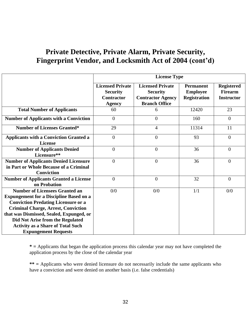|                                                                                                                                                                                                                                                                                                                                                | <b>License Type</b>                                                              |                                                                                                |                                                            |                                                          |
|------------------------------------------------------------------------------------------------------------------------------------------------------------------------------------------------------------------------------------------------------------------------------------------------------------------------------------------------|----------------------------------------------------------------------------------|------------------------------------------------------------------------------------------------|------------------------------------------------------------|----------------------------------------------------------|
|                                                                                                                                                                                                                                                                                                                                                | <b>Licensed Private</b><br><b>Security</b><br><b>Contractor</b><br><b>Agency</b> | <b>Licensed Private</b><br><b>Security</b><br><b>Contractor Agency</b><br><b>Branch Office</b> | <b>Permanent</b><br><b>Employee</b><br><b>Registration</b> | <b>Registered</b><br><b>Firearm</b><br><b>Instructor</b> |
| <b>Total Number of Applicants</b>                                                                                                                                                                                                                                                                                                              | 60                                                                               | 6                                                                                              | 12420                                                      | 23                                                       |
| <b>Number of Applicants with a Conviction</b>                                                                                                                                                                                                                                                                                                  | $\overline{0}$                                                                   | $\theta$                                                                                       | 160                                                        | $\overline{0}$                                           |
| <b>Number of Licenses Granted*</b>                                                                                                                                                                                                                                                                                                             | 29                                                                               | 4                                                                                              | 11314                                                      | 11                                                       |
| <b>Applicants with a Conviction Granted a</b><br><b>License</b>                                                                                                                                                                                                                                                                                | $\theta$                                                                         | $\overline{0}$                                                                                 | 93                                                         | $\theta$                                                 |
| <b>Number of Applicants Denied</b><br>Licensure**                                                                                                                                                                                                                                                                                              | $\overline{0}$                                                                   | $\overline{0}$                                                                                 | 36                                                         | $\theta$                                                 |
| <b>Number of Applicants Denied Licensure</b><br>in Part or Whole Because of a Criminal<br><b>Conviction</b>                                                                                                                                                                                                                                    | $\overline{0}$                                                                   | $\overline{0}$                                                                                 | 36                                                         | $\theta$                                                 |
| <b>Number of Applicants Granted a License</b><br>on Probation                                                                                                                                                                                                                                                                                  | $\overline{0}$                                                                   | $\overline{0}$                                                                                 | 32                                                         | $\mathbf{0}$                                             |
| <b>Number of Licensees Granted an</b><br><b>Expungement for a Discipline Based on a</b><br><b>Conviction Predating Licensure or a</b><br><b>Criminal Charge, Arrest, Conviction</b><br>that was Dismissed, Sealed, Expunged, or<br>Did Not Arise from the Regulated<br><b>Activity as a Share of Total Such</b><br><b>Expungement Requests</b> | 0/0                                                                              | 0/0                                                                                            | 1/1                                                        | 0/0                                                      |

**\* =** Applicants that began the application process this calendar year may not have completed the application process by the close of the calendar year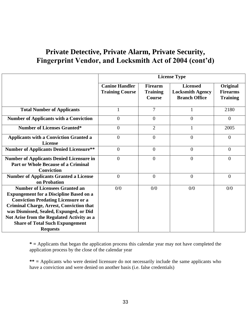|                                                                                                                                                                                                                                                                                                                                                | <b>License Type</b>                             |                                                    |                                                                    |                                                |
|------------------------------------------------------------------------------------------------------------------------------------------------------------------------------------------------------------------------------------------------------------------------------------------------------------------------------------------------|-------------------------------------------------|----------------------------------------------------|--------------------------------------------------------------------|------------------------------------------------|
|                                                                                                                                                                                                                                                                                                                                                | <b>Canine Handler</b><br><b>Training Course</b> | <b>Firearm</b><br><b>Training</b><br><b>Course</b> | <b>Licensed</b><br><b>Locksmith Agency</b><br><b>Branch Office</b> | Original<br><b>Firearms</b><br><b>Training</b> |
| <b>Total Number of Applicants</b>                                                                                                                                                                                                                                                                                                              |                                                 | 7                                                  |                                                                    | 2180                                           |
| <b>Number of Applicants with a Conviction</b>                                                                                                                                                                                                                                                                                                  | $\overline{0}$                                  | $\overline{0}$                                     | $\overline{0}$                                                     | $\mathbf{0}$                                   |
| <b>Number of Licenses Granted*</b>                                                                                                                                                                                                                                                                                                             | $\overline{0}$                                  | $\overline{2}$                                     | $\mathbf{1}$                                                       | 2005                                           |
| <b>Applicants with a Conviction Granted a</b><br><b>License</b>                                                                                                                                                                                                                                                                                | $\overline{0}$                                  | $\overline{0}$                                     | $\overline{0}$                                                     | $\theta$                                       |
| <b>Number of Applicants Denied Licensure**</b>                                                                                                                                                                                                                                                                                                 | $\overline{0}$                                  | $\overline{0}$                                     | $\overline{0}$                                                     | $\theta$                                       |
| <b>Number of Applicants Denied Licensure in</b><br><b>Part or Whole Because of a Criminal</b><br><b>Conviction</b>                                                                                                                                                                                                                             | $\overline{0}$                                  | $\theta$                                           | $\overline{0}$                                                     | $\theta$                                       |
| <b>Number of Applicants Granted a License</b><br>on Probation                                                                                                                                                                                                                                                                                  | $\theta$                                        | $\theta$                                           | $\overline{0}$                                                     | $\theta$                                       |
| <b>Number of Licensees Granted an</b><br><b>Expungement for a Discipline Based on a</b><br><b>Conviction Predating Licensure or a</b><br><b>Criminal Charge, Arrest, Conviction that</b><br>was Dismissed, Sealed, Expunged, or Did<br>Not Arise from the Regulated Activity as a<br><b>Share of Total Such Expungement</b><br><b>Requests</b> | 0/0                                             | 0/0                                                | 0/0                                                                | 0/0                                            |

**\* =** Applicants that began the application process this calendar year may not have completed the application process by the close of the calendar year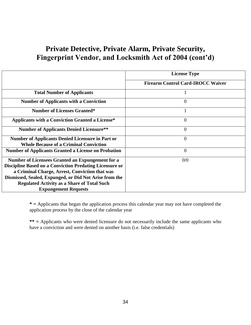|                                                                                                                                                                                                                                                                                                                            | <b>License Type</b>                      |  |  |
|----------------------------------------------------------------------------------------------------------------------------------------------------------------------------------------------------------------------------------------------------------------------------------------------------------------------------|------------------------------------------|--|--|
|                                                                                                                                                                                                                                                                                                                            | <b>Firearm Control Card-IROCC Waiver</b> |  |  |
| <b>Total Number of Applicants</b>                                                                                                                                                                                                                                                                                          |                                          |  |  |
| <b>Number of Applicants with a Conviction</b>                                                                                                                                                                                                                                                                              | $\overline{0}$                           |  |  |
| <b>Number of Licenses Granted*</b>                                                                                                                                                                                                                                                                                         |                                          |  |  |
| <b>Applicants with a Conviction Granted a License*</b>                                                                                                                                                                                                                                                                     | $\Omega$                                 |  |  |
| <b>Number of Applicants Denied Licensure**</b>                                                                                                                                                                                                                                                                             | $\overline{0}$                           |  |  |
| <b>Number of Applicants Denied Licensure in Part or</b><br><b>Whole Because of a Criminal Conviction</b>                                                                                                                                                                                                                   | $\overline{0}$                           |  |  |
| <b>Number of Applicants Granted a License on Probation</b>                                                                                                                                                                                                                                                                 | $\overline{0}$                           |  |  |
| <b>Number of Licensees Granted an Expungement for a</b><br><b>Discipline Based on a Conviction Predating Licensure or</b><br>a Criminal Charge, Arrest, Conviction that was<br>Dismissed, Sealed, Expunged, or Did Not Arise from the<br><b>Regulated Activity as a Share of Total Such</b><br><b>Expungement Requests</b> | 0/0                                      |  |  |

**\* =** Applicants that began the application process this calendar year may not have completed the application process by the close of the calendar year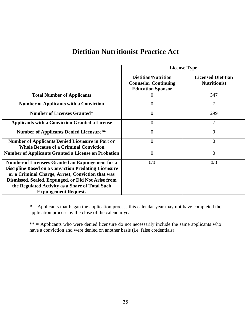#### **Dietitian Nutritionist Practice Act**

|                                                                                                                                                                                                                                                                                                              | <b>License Type</b>                                                                   |                                                  |  |  |
|--------------------------------------------------------------------------------------------------------------------------------------------------------------------------------------------------------------------------------------------------------------------------------------------------------------|---------------------------------------------------------------------------------------|--------------------------------------------------|--|--|
|                                                                                                                                                                                                                                                                                                              | <b>Dietitian/Nutrition</b><br><b>Counselor Continuing</b><br><b>Education Sponsor</b> | <b>Licensed Dietitian</b><br><b>Nutritionist</b> |  |  |
| <b>Total Number of Applicants</b>                                                                                                                                                                                                                                                                            | O                                                                                     | 347                                              |  |  |
| <b>Number of Applicants with a Conviction</b>                                                                                                                                                                                                                                                                | $\overline{0}$                                                                        | 7                                                |  |  |
| <b>Number of Licenses Granted*</b>                                                                                                                                                                                                                                                                           | $\overline{0}$                                                                        | 299                                              |  |  |
| <b>Applicants with a Conviction Granted a License</b>                                                                                                                                                                                                                                                        | 0                                                                                     | 7                                                |  |  |
| <b>Number of Applicants Denied Licensure**</b>                                                                                                                                                                                                                                                               | $\overline{0}$                                                                        | 0                                                |  |  |
| <b>Number of Applicants Denied Licensure in Part or</b><br><b>Whole Because of a Criminal Conviction</b>                                                                                                                                                                                                     | $\overline{0}$                                                                        | $\Omega$                                         |  |  |
| <b>Number of Applicants Granted a License on Probation</b>                                                                                                                                                                                                                                                   | $\overline{0}$                                                                        | 0                                                |  |  |
| Number of Licensees Granted an Expungement for a<br><b>Discipline Based on a Conviction Predating Licensure</b><br>or a Criminal Charge, Arrest, Conviction that was<br>Dismissed, Sealed, Expunged, or Did Not Arise from<br>the Regulated Activity as a Share of Total Such<br><b>Expungement Requests</b> | 0/0                                                                                   | 0/0                                              |  |  |

**\* =** Applicants that began the application process this calendar year may not have completed the application process by the close of the calendar year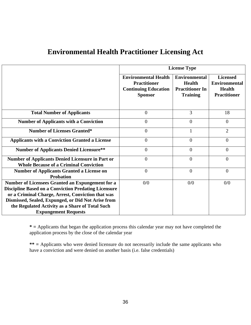|                                                                                                                                                                                                                                                                                                              | <b>License Type</b>                                                                                 |                                                                                    |                                                                                 |  |
|--------------------------------------------------------------------------------------------------------------------------------------------------------------------------------------------------------------------------------------------------------------------------------------------------------------|-----------------------------------------------------------------------------------------------------|------------------------------------------------------------------------------------|---------------------------------------------------------------------------------|--|
|                                                                                                                                                                                                                                                                                                              | <b>Environmental Health</b><br><b>Practitioner</b><br><b>Continuing Education</b><br><b>Sponsor</b> | <b>Environmental</b><br><b>Health</b><br><b>Practitioner In</b><br><b>Training</b> | <b>Licensed</b><br><b>Environmental</b><br><b>Health</b><br><b>Practitioner</b> |  |
| <b>Total Number of Applicants</b>                                                                                                                                                                                                                                                                            | $\boldsymbol{0}$                                                                                    | 3                                                                                  | 18                                                                              |  |
| <b>Number of Applicants with a Conviction</b>                                                                                                                                                                                                                                                                | $\overline{0}$                                                                                      | $\overline{0}$                                                                     | $\overline{0}$                                                                  |  |
| <b>Number of Licenses Granted*</b>                                                                                                                                                                                                                                                                           | $\overline{0}$                                                                                      | 1                                                                                  | $\overline{2}$                                                                  |  |
| <b>Applicants with a Conviction Granted a License</b>                                                                                                                                                                                                                                                        | $\overline{0}$                                                                                      | $\overline{0}$                                                                     | $\theta$                                                                        |  |
| <b>Number of Applicants Denied Licensure**</b>                                                                                                                                                                                                                                                               | $\boldsymbol{0}$                                                                                    | $\overline{0}$                                                                     | $\overline{0}$                                                                  |  |
| <b>Number of Applicants Denied Licensure in Part or</b><br><b>Whole Because of a Criminal Conviction</b>                                                                                                                                                                                                     | $\boldsymbol{0}$                                                                                    | $\overline{0}$                                                                     | $\overline{0}$                                                                  |  |
| <b>Number of Applicants Granted a License on</b><br><b>Probation</b>                                                                                                                                                                                                                                         | $\overline{0}$                                                                                      | $\overline{0}$                                                                     | $\overline{0}$                                                                  |  |
| Number of Licensees Granted an Expungement for a<br><b>Discipline Based on a Conviction Predating Licensure</b><br>or a Criminal Charge, Arrest, Conviction that was<br>Dismissed, Sealed, Expunged, or Did Not Arise from<br>the Regulated Activity as a Share of Total Such<br><b>Expungement Requests</b> | 0/0                                                                                                 | 0/0                                                                                | 0/0                                                                             |  |

#### **Environmental Health Practitioner Licensing Act**

**\* =** Applicants that began the application process this calendar year may not have completed the application process by the close of the calendar year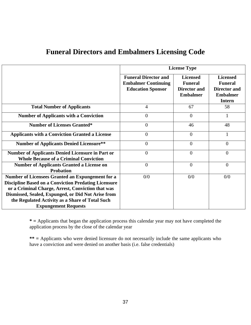| <b>Funeral Directors and Embalmers Licensing Code</b> |
|-------------------------------------------------------|
|-------------------------------------------------------|

|                                                                                                                                                                                                                                                                               | <b>License Type</b>                                                                   |                                                                      |                                                                                              |
|-------------------------------------------------------------------------------------------------------------------------------------------------------------------------------------------------------------------------------------------------------------------------------|---------------------------------------------------------------------------------------|----------------------------------------------------------------------|----------------------------------------------------------------------------------------------|
|                                                                                                                                                                                                                                                                               | <b>Funeral Director and</b><br><b>Embalmer Continuing</b><br><b>Education Sponsor</b> | <b>Licensed</b><br><b>Funeral</b><br>Director and<br><b>Embalmer</b> | <b>Licensed</b><br><b>Funeral</b><br><b>Director and</b><br><b>Embalmer</b><br><b>Intern</b> |
| <b>Total Number of Applicants</b>                                                                                                                                                                                                                                             | $\overline{4}$                                                                        | 67                                                                   | 58                                                                                           |
| <b>Number of Applicants with a Conviction</b>                                                                                                                                                                                                                                 | $\overline{0}$                                                                        | $\theta$                                                             |                                                                                              |
| <b>Number of Licenses Granted*</b>                                                                                                                                                                                                                                            | $\overline{0}$                                                                        | 46                                                                   | 48                                                                                           |
| <b>Applicants with a Conviction Granted a License</b>                                                                                                                                                                                                                         | $\overline{0}$                                                                        | $\theta$                                                             |                                                                                              |
| <b>Number of Applicants Denied Licensure**</b>                                                                                                                                                                                                                                | $\overline{0}$                                                                        | $\theta$                                                             | $\Omega$                                                                                     |
| <b>Number of Applicants Denied Licensure in Part or</b><br><b>Whole Because of a Criminal Conviction</b>                                                                                                                                                                      | $\overline{0}$                                                                        | $\overline{0}$                                                       | $\Omega$                                                                                     |
| <b>Number of Applicants Granted a License on</b><br><b>Probation</b>                                                                                                                                                                                                          | $\mathbf{0}$                                                                          | $\overline{0}$                                                       | $\overline{0}$                                                                               |
| Number of Licensees Granted an Expungement for a<br><b>Discipline Based on a Conviction Predating Licensure</b><br>or a Criminal Charge, Arrest, Conviction that was<br>Dismissed, Sealed, Expunged, or Did Not Arise from<br>the Regulated Activity as a Share of Total Such | 0/0                                                                                   | 0/0                                                                  | 0/0                                                                                          |
| <b>Expungement Requests</b>                                                                                                                                                                                                                                                   |                                                                                       |                                                                      |                                                                                              |

**\* =** Applicants that began the application process this calendar year may not have completed the application process by the close of the calendar year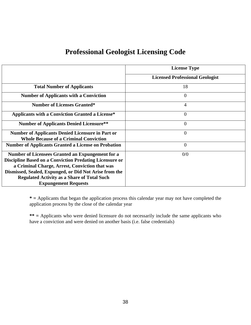#### **Professional Geologist Licensing Code**

|                                                                | <b>License Type</b>                    |
|----------------------------------------------------------------|----------------------------------------|
|                                                                | <b>Licensed Professional Geologist</b> |
| <b>Total Number of Applicants</b>                              | 18                                     |
| <b>Number of Applicants with a Conviction</b>                  | $\theta$                               |
| <b>Number of Licenses Granted*</b>                             | $\overline{4}$                         |
| <b>Applicants with a Conviction Granted a License*</b>         | $\overline{0}$                         |
| <b>Number of Applicants Denied Licensure**</b>                 | $\theta$                               |
| <b>Number of Applicants Denied Licensure in Part or</b>        | $\overline{0}$                         |
| <b>Whole Because of a Criminal Conviction</b>                  |                                        |
| <b>Number of Applicants Granted a License on Probation</b>     | $\overline{0}$                         |
| Number of Licensees Granted an Expungement for a               | 0/0                                    |
| <b>Discipline Based on a Conviction Predating Licensure or</b> |                                        |
| a Criminal Charge, Arrest, Conviction that was                 |                                        |
| Dismissed, Sealed, Expunged, or Did Not Arise from the         |                                        |
| <b>Regulated Activity as a Share of Total Such</b>             |                                        |
| <b>Expungement Requests</b>                                    |                                        |

**\* =** Applicants that began the application process this calendar year may not have completed the application process by the close of the calendar year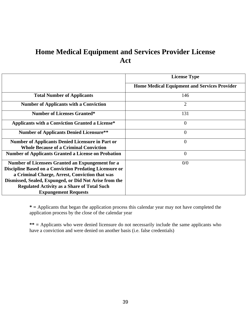## **Home Medical Equipment and Services Provider License Act**

|                                                                                                                                                                                                                                                                                                                     | <b>License Type</b>                                 |  |  |
|---------------------------------------------------------------------------------------------------------------------------------------------------------------------------------------------------------------------------------------------------------------------------------------------------------------------|-----------------------------------------------------|--|--|
|                                                                                                                                                                                                                                                                                                                     | <b>Home Medical Equipment and Services Provider</b> |  |  |
| <b>Total Number of Applicants</b>                                                                                                                                                                                                                                                                                   | 146                                                 |  |  |
| <b>Number of Applicants with a Conviction</b>                                                                                                                                                                                                                                                                       | $\overline{2}$                                      |  |  |
| <b>Number of Licenses Granted*</b>                                                                                                                                                                                                                                                                                  | 131                                                 |  |  |
| <b>Applicants with a Conviction Granted a License*</b>                                                                                                                                                                                                                                                              | $\overline{0}$                                      |  |  |
| <b>Number of Applicants Denied Licensure**</b>                                                                                                                                                                                                                                                                      | $\overline{0}$                                      |  |  |
| <b>Number of Applicants Denied Licensure in Part or</b><br><b>Whole Because of a Criminal Conviction</b>                                                                                                                                                                                                            | $\overline{0}$                                      |  |  |
| <b>Number of Applicants Granted a License on Probation</b>                                                                                                                                                                                                                                                          | $\overline{0}$                                      |  |  |
| Number of Licensees Granted an Expungement for a<br><b>Discipline Based on a Conviction Predating Licensure or</b><br>a Criminal Charge, Arrest, Conviction that was<br>Dismissed, Sealed, Expunged, or Did Not Arise from the<br><b>Regulated Activity as a Share of Total Such</b><br><b>Expungement Requests</b> | 0/0                                                 |  |  |

**\* =** Applicants that began the application process this calendar year may not have completed the application process by the close of the calendar year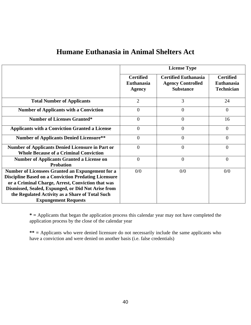|                                                                                                                                                                                                                            | <b>License Type</b>                                    |                                                                             |                                                            |
|----------------------------------------------------------------------------------------------------------------------------------------------------------------------------------------------------------------------------|--------------------------------------------------------|-----------------------------------------------------------------------------|------------------------------------------------------------|
|                                                                                                                                                                                                                            | <b>Certified</b><br><b>Euthanasia</b><br><b>Agency</b> | <b>Certified Euthanasia</b><br><b>Agency Controlled</b><br><b>Substance</b> | <b>Certified</b><br><b>Euthanasia</b><br><b>Technician</b> |
| <b>Total Number of Applicants</b>                                                                                                                                                                                          | $\overline{2}$                                         | 3                                                                           | 24                                                         |
| <b>Number of Applicants with a Conviction</b>                                                                                                                                                                              | $\overline{0}$                                         | $\overline{0}$                                                              | $\overline{0}$                                             |
| <b>Number of Licenses Granted*</b>                                                                                                                                                                                         | $\theta$                                               | $\overline{0}$                                                              | 16                                                         |
| <b>Applicants with a Conviction Granted a License</b>                                                                                                                                                                      | $\overline{0}$                                         | $\overline{0}$                                                              | $\overline{0}$                                             |
| <b>Number of Applicants Denied Licensure**</b>                                                                                                                                                                             | $\overline{0}$                                         | $\boldsymbol{0}$                                                            | $\overline{0}$                                             |
| <b>Number of Applicants Denied Licensure in Part or</b><br><b>Whole Because of a Criminal Conviction</b>                                                                                                                   | $\overline{0}$                                         | $\overline{0}$                                                              | $\overline{0}$                                             |
| <b>Number of Applicants Granted a License on</b><br><b>Probation</b>                                                                                                                                                       | $\Omega$                                               | $\overline{0}$                                                              | $\overline{0}$                                             |
| Number of Licensees Granted an Expungement for a<br><b>Discipline Based on a Conviction Predating Licensure</b><br>or a Criminal Charge, Arrest, Conviction that was<br>Dismissed, Sealed, Expunged, or Did Not Arise from | 0/0                                                    | 0/0                                                                         | 0/0                                                        |
| the Regulated Activity as a Share of Total Such<br><b>Expungement Requests</b>                                                                                                                                             |                                                        |                                                                             |                                                            |

#### **Humane Euthanasia in Animal Shelters Act**

**\* =** Applicants that began the application process this calendar year may not have completed the application process by the close of the calendar year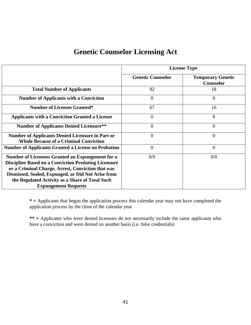### **Genetic Counselor Licensing Act**

|                                                                                                                                                                                                                                                                                                              | <b>License Type</b>      |                                       |  |
|--------------------------------------------------------------------------------------------------------------------------------------------------------------------------------------------------------------------------------------------------------------------------------------------------------------|--------------------------|---------------------------------------|--|
|                                                                                                                                                                                                                                                                                                              | <b>Genetic Counselor</b> | <b>Temporary Genetic</b><br>Counselor |  |
| <b>Total Number of Applicants</b>                                                                                                                                                                                                                                                                            | 92                       | 18                                    |  |
| <b>Number of Applicants with a Conviction</b>                                                                                                                                                                                                                                                                | $\overline{0}$           | $\Omega$                              |  |
| <b>Number of Licenses Granted*</b>                                                                                                                                                                                                                                                                           | 67                       | 16                                    |  |
| <b>Applicants with a Conviction Granted a License</b>                                                                                                                                                                                                                                                        | $\overline{0}$           | 0                                     |  |
| <b>Number of Applicants Denied Licensure**</b>                                                                                                                                                                                                                                                               | $\boldsymbol{0}$         | 0                                     |  |
| <b>Number of Applicants Denied Licensure in Part or</b><br><b>Whole Because of a Criminal Conviction</b>                                                                                                                                                                                                     | $\overline{0}$           | 0                                     |  |
| <b>Number of Applicants Granted a License on Probation</b>                                                                                                                                                                                                                                                   | $\overline{0}$           | $\overline{0}$                        |  |
| Number of Licensees Granted an Expungement for a<br><b>Discipline Based on a Conviction Predating Licensure</b><br>or a Criminal Charge, Arrest, Conviction that was<br>Dismissed, Sealed, Expunged, or Did Not Arise from<br>the Regulated Activity as a Share of Total Such<br><b>Expungement Requests</b> | 0/0                      | 0/0                                   |  |

**\* =** Applicants that began the application process this calendar year may not have completed the application process by the close of the calendar year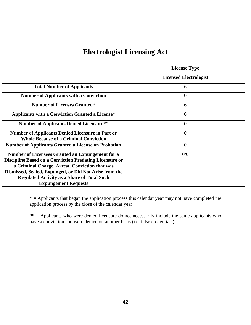### **Electrologist Licensing Act**

|                                                                                                          | <b>License Type</b>           |  |
|----------------------------------------------------------------------------------------------------------|-------------------------------|--|
|                                                                                                          | <b>Licensed Electrologist</b> |  |
| <b>Total Number of Applicants</b>                                                                        | 6                             |  |
| <b>Number of Applicants with a Conviction</b>                                                            | $\overline{0}$                |  |
| <b>Number of Licenses Granted*</b>                                                                       | 6                             |  |
| <b>Applicants with a Conviction Granted a License*</b>                                                   | $\overline{0}$                |  |
| <b>Number of Applicants Denied Licensure**</b>                                                           | $\overline{0}$                |  |
| <b>Number of Applicants Denied Licensure in Part or</b><br><b>Whole Because of a Criminal Conviction</b> | $\overline{0}$                |  |
| <b>Number of Applicants Granted a License on Probation</b>                                               | $\theta$                      |  |
| Number of Licensees Granted an Expungement for a                                                         | 0/0                           |  |
| <b>Discipline Based on a Conviction Predating Licensure or</b>                                           |                               |  |
| a Criminal Charge, Arrest, Conviction that was                                                           |                               |  |
| Dismissed, Sealed, Expunged, or Did Not Arise from the                                                   |                               |  |
| <b>Regulated Activity as a Share of Total Such</b>                                                       |                               |  |
| <b>Expungement Requests</b>                                                                              |                               |  |

**\* =** Applicants that began the application process this calendar year may not have completed the application process by the close of the calendar year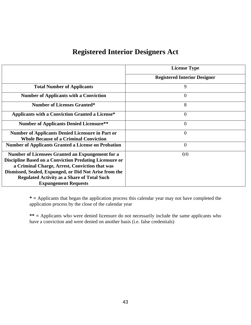### **Registered Interior Designers Act**

|                                                                                                          | <b>License Type</b>                 |
|----------------------------------------------------------------------------------------------------------|-------------------------------------|
|                                                                                                          | <b>Registered Interior Designer</b> |
| <b>Total Number of Applicants</b>                                                                        | 9                                   |
| <b>Number of Applicants with a Conviction</b>                                                            | $\overline{0}$                      |
| <b>Number of Licenses Granted*</b>                                                                       | 8                                   |
| <b>Applicants with a Conviction Granted a License*</b>                                                   | $\overline{0}$                      |
| <b>Number of Applicants Denied Licensure**</b>                                                           | $\overline{0}$                      |
| <b>Number of Applicants Denied Licensure in Part or</b><br><b>Whole Because of a Criminal Conviction</b> | $\overline{0}$                      |
| <b>Number of Applicants Granted a License on Probation</b>                                               | $\overline{0}$                      |
| Number of Licensees Granted an Expungement for a                                                         | 0/0                                 |
| <b>Discipline Based on a Conviction Predating Licensure or</b>                                           |                                     |
| a Criminal Charge, Arrest, Conviction that was                                                           |                                     |
| Dismissed, Sealed, Expunged, or Did Not Arise from the                                                   |                                     |
| <b>Regulated Activity as a Share of Total Such</b>                                                       |                                     |
| <b>Expungement Requests</b>                                                                              |                                     |

**\* =** Applicants that began the application process this calendar year may not have completed the application process by the close of the calendar year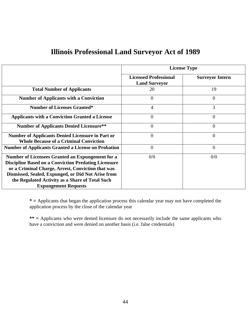### **Illinois Professional Land Surveyor Act of 1989**

|                                                                                                                                                                                                                                                                                                              | <b>License Type</b>                                  |                        |  |
|--------------------------------------------------------------------------------------------------------------------------------------------------------------------------------------------------------------------------------------------------------------------------------------------------------------|------------------------------------------------------|------------------------|--|
|                                                                                                                                                                                                                                                                                                              | <b>Licensed Professional</b><br><b>Land Surveyor</b> | <b>Surveyor Intern</b> |  |
| <b>Total Number of Applicants</b>                                                                                                                                                                                                                                                                            | 20                                                   | 19                     |  |
| <b>Number of Applicants with a Conviction</b>                                                                                                                                                                                                                                                                | $\overline{0}$                                       | 0                      |  |
| <b>Number of Licenses Granted*</b>                                                                                                                                                                                                                                                                           | $\overline{4}$                                       | 3                      |  |
| <b>Applicants with a Conviction Granted a License</b>                                                                                                                                                                                                                                                        | $\overline{0}$                                       | 0                      |  |
| <b>Number of Applicants Denied Licensure**</b>                                                                                                                                                                                                                                                               | $\theta$                                             | 0                      |  |
| <b>Number of Applicants Denied Licensure in Part or</b><br><b>Whole Because of a Criminal Conviction</b>                                                                                                                                                                                                     | $\overline{0}$                                       | 0                      |  |
| <b>Number of Applicants Granted a License on Probation</b>                                                                                                                                                                                                                                                   | $\overline{0}$                                       | $\overline{0}$         |  |
| Number of Licensees Granted an Expungement for a<br><b>Discipline Based on a Conviction Predating Licensure</b><br>or a Criminal Charge, Arrest, Conviction that was<br>Dismissed, Sealed, Expunged, or Did Not Arise from<br>the Regulated Activity as a Share of Total Such<br><b>Expungement Requests</b> | 0/0                                                  | 0/0                    |  |

**\* =** Applicants that began the application process this calendar year may not have completed the application process by the close of the calendar year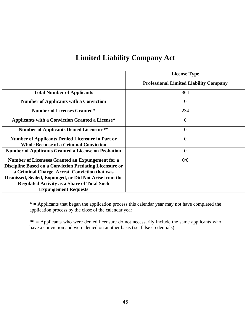# **Limited Liability Company Act**

|                                                                                                          | <b>License Type</b>                           |
|----------------------------------------------------------------------------------------------------------|-----------------------------------------------|
|                                                                                                          | <b>Professional Limited Liability Company</b> |
| <b>Total Number of Applicants</b>                                                                        | 364                                           |
| <b>Number of Applicants with a Conviction</b>                                                            | $\overline{0}$                                |
| <b>Number of Licenses Granted*</b>                                                                       | 234                                           |
| <b>Applicants with a Conviction Granted a License*</b>                                                   | $\overline{0}$                                |
| <b>Number of Applicants Denied Licensure**</b>                                                           | $\overline{0}$                                |
| <b>Number of Applicants Denied Licensure in Part or</b><br><b>Whole Because of a Criminal Conviction</b> | $\overline{0}$                                |
| <b>Number of Applicants Granted a License on Probation</b>                                               | $\overline{0}$                                |
| Number of Licensees Granted an Expungement for a                                                         | 0/0                                           |
| <b>Discipline Based on a Conviction Predating Licensure or</b>                                           |                                               |
| a Criminal Charge, Arrest, Conviction that was                                                           |                                               |
| Dismissed, Sealed, Expunged, or Did Not Arise from the                                                   |                                               |
| <b>Regulated Activity as a Share of Total Such</b>                                                       |                                               |
| <b>Expungement Requests</b>                                                                              |                                               |

**\* =** Applicants that began the application process this calendar year may not have completed the application process by the close of the calendar year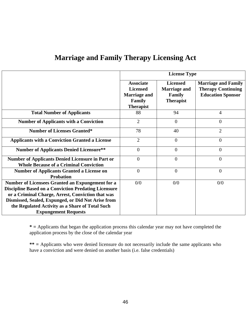|                                                                                                                                                                                                                                                                                                              | <b>License Type</b>                                                                             |                                                                      |                                                                                     |
|--------------------------------------------------------------------------------------------------------------------------------------------------------------------------------------------------------------------------------------------------------------------------------------------------------------|-------------------------------------------------------------------------------------------------|----------------------------------------------------------------------|-------------------------------------------------------------------------------------|
|                                                                                                                                                                                                                                                                                                              | <b>Associate</b><br><b>Licensed</b><br><b>Marriage and</b><br><b>Family</b><br><b>Therapist</b> | <b>Licensed</b><br><b>Marriage and</b><br>Family<br><b>Therapist</b> | <b>Marriage and Family</b><br><b>Therapy Continuing</b><br><b>Education Sponsor</b> |
| <b>Total Number of Applicants</b>                                                                                                                                                                                                                                                                            | 88                                                                                              | 94                                                                   | $\overline{4}$                                                                      |
| <b>Number of Applicants with a Conviction</b>                                                                                                                                                                                                                                                                | $\overline{2}$                                                                                  | $\overline{0}$                                                       | $\overline{0}$                                                                      |
| <b>Number of Licenses Granted*</b>                                                                                                                                                                                                                                                                           | 78                                                                                              | 40                                                                   | $\overline{2}$                                                                      |
| <b>Applicants with a Conviction Granted a License</b>                                                                                                                                                                                                                                                        | $\overline{2}$                                                                                  | $\mathbf{0}$                                                         | $\overline{0}$                                                                      |
| <b>Number of Applicants Denied Licensure**</b>                                                                                                                                                                                                                                                               | $\overline{0}$                                                                                  | $\mathbf{0}$                                                         | $\overline{0}$                                                                      |
| <b>Number of Applicants Denied Licensure in Part or</b><br><b>Whole Because of a Criminal Conviction</b>                                                                                                                                                                                                     | $\overline{0}$                                                                                  | $\overline{0}$                                                       | $\overline{0}$                                                                      |
| <b>Number of Applicants Granted a License on</b><br><b>Probation</b>                                                                                                                                                                                                                                         | $\theta$                                                                                        | $\mathbf{0}$                                                         | $\overline{0}$                                                                      |
| Number of Licensees Granted an Expungement for a<br><b>Discipline Based on a Conviction Predating Licensure</b><br>or a Criminal Charge, Arrest, Conviction that was<br>Dismissed, Sealed, Expunged, or Did Not Arise from<br>the Regulated Activity as a Share of Total Such<br><b>Expungement Requests</b> | 0/0                                                                                             | 0/0                                                                  | 0/0                                                                                 |

### **Marriage and Family Therapy Licensing Act**

**\* =** Applicants that began the application process this calendar year may not have completed the application process by the close of the calendar year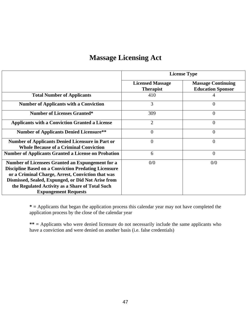#### **Massage Licensing Act**

|                                                                                                                                                                                                                                                                                                              | <b>License Type</b>                         |                                                       |  |
|--------------------------------------------------------------------------------------------------------------------------------------------------------------------------------------------------------------------------------------------------------------------------------------------------------------|---------------------------------------------|-------------------------------------------------------|--|
|                                                                                                                                                                                                                                                                                                              | <b>Licensed Massage</b><br><b>Therapist</b> | <b>Massage Continuing</b><br><b>Education Sponsor</b> |  |
| <b>Total Number of Applicants</b>                                                                                                                                                                                                                                                                            | 410                                         |                                                       |  |
| <b>Number of Applicants with a Conviction</b>                                                                                                                                                                                                                                                                | 3                                           | 0                                                     |  |
| <b>Number of Licenses Granted*</b>                                                                                                                                                                                                                                                                           | 309                                         | 0                                                     |  |
| <b>Applicants with a Conviction Granted a License</b>                                                                                                                                                                                                                                                        | 2                                           | $\theta$                                              |  |
| <b>Number of Applicants Denied Licensure**</b>                                                                                                                                                                                                                                                               | $\overline{0}$                              | $\overline{0}$                                        |  |
| <b>Number of Applicants Denied Licensure in Part or</b><br><b>Whole Because of a Criminal Conviction</b>                                                                                                                                                                                                     | $\overline{0}$                              | 0                                                     |  |
| <b>Number of Applicants Granted a License on Probation</b>                                                                                                                                                                                                                                                   | 6                                           | 0                                                     |  |
| Number of Licensees Granted an Expungement for a<br><b>Discipline Based on a Conviction Predating Licensure</b><br>or a Criminal Charge, Arrest, Conviction that was<br>Dismissed, Sealed, Expunged, or Did Not Arise from<br>the Regulated Activity as a Share of Total Such<br><b>Expungement Requests</b> | 0/0                                         | 0/0                                                   |  |

**\* =** Applicants that began the application process this calendar year may not have completed the application process by the close of the calendar year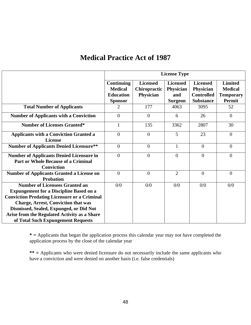#### **Medical Practice Act of 1987**

|                                                                                                                                                                                                                                                                                                                               | <b>License Type</b>                                                       |                                              |                                                       |                                                                       |                                                                       |
|-------------------------------------------------------------------------------------------------------------------------------------------------------------------------------------------------------------------------------------------------------------------------------------------------------------------------------|---------------------------------------------------------------------------|----------------------------------------------|-------------------------------------------------------|-----------------------------------------------------------------------|-----------------------------------------------------------------------|
|                                                                                                                                                                                                                                                                                                                               | <b>Continuing</b><br><b>Medical</b><br><b>Education</b><br><b>Sponsor</b> | <b>Licensed</b><br>Chiropractic<br>Physician | <b>Licensed</b><br>Physician<br>and<br><b>Surgeon</b> | <b>Licensed</b><br>Physician<br><b>Controlled</b><br><b>Substance</b> | <b>Limited</b><br><b>Medical</b><br><b>Temporary</b><br><b>Permit</b> |
| <b>Total Number of Applicants</b>                                                                                                                                                                                                                                                                                             | 2                                                                         | 177                                          | 4063                                                  | 3095                                                                  | 52                                                                    |
| <b>Number of Applicants with a Conviction</b>                                                                                                                                                                                                                                                                                 | $\overline{0}$                                                            | $\theta$                                     | 6                                                     | 26                                                                    | $\mathbf{0}$                                                          |
| <b>Number of Licenses Granted*</b>                                                                                                                                                                                                                                                                                            | 1                                                                         | 135                                          | 3362                                                  | 2807                                                                  | 30                                                                    |
| <b>Applicants with a Conviction Granted a</b><br><b>License</b>                                                                                                                                                                                                                                                               | $\overline{0}$                                                            | $\theta$                                     | 5                                                     | 23                                                                    | $\overline{0}$                                                        |
| <b>Number of Applicants Denied Licensure**</b>                                                                                                                                                                                                                                                                                | $\overline{0}$                                                            | $\overline{0}$                               | 1                                                     | $\overline{0}$                                                        | $\overline{0}$                                                        |
| <b>Number of Applicants Denied Licensure in</b><br>Part or Whole Because of a Criminal<br><b>Conviction</b>                                                                                                                                                                                                                   | $\Omega$                                                                  | $\theta$                                     | $\theta$                                              | $\theta$                                                              | $\theta$                                                              |
| <b>Number of Applicants Granted a License on</b><br><b>Probation</b>                                                                                                                                                                                                                                                          | $\overline{0}$                                                            | $\Omega$                                     | $\overline{2}$                                        | $\overline{0}$                                                        | $\overline{0}$                                                        |
| <b>Number of Licensees Granted an</b><br><b>Expungement for a Discipline Based on a</b><br><b>Conviction Predating Licensure or a Criminal</b><br><b>Charge, Arrest, Conviction that was</b><br>Dismissed, Sealed, Expunged, or Did Not<br>Arise from the Regulated Activity as a Share<br>of Total Such Expungement Requests | 0/0                                                                       | 0/0                                          | 0/0                                                   | 0/0                                                                   | 0/0                                                                   |

**\* =** Applicants that began the application process this calendar year may not have completed the application process by the close of the calendar year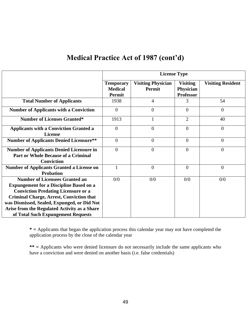#### **Medical Practice Act of 1987 (cont'd)**

|                                                                                                                                                                                                                                                                                                                               | <b>License Type</b>                          |                                            |                                                  |                          |  |
|-------------------------------------------------------------------------------------------------------------------------------------------------------------------------------------------------------------------------------------------------------------------------------------------------------------------------------|----------------------------------------------|--------------------------------------------|--------------------------------------------------|--------------------------|--|
|                                                                                                                                                                                                                                                                                                                               | <b>Temporary</b><br><b>Medical</b><br>Permit | <b>Visiting Physician</b><br><b>Permit</b> | <b>Visiting</b><br>Physician<br><b>Professor</b> | <b>Visiting Resident</b> |  |
| <b>Total Number of Applicants</b>                                                                                                                                                                                                                                                                                             | 1938                                         | $\overline{4}$                             | 3                                                | 54                       |  |
| <b>Number of Applicants with a Conviction</b>                                                                                                                                                                                                                                                                                 | $\overline{0}$                               | $\overline{0}$                             | $\overline{0}$                                   | $\overline{0}$           |  |
| <b>Number of Licenses Granted*</b>                                                                                                                                                                                                                                                                                            | 1913                                         | $\mathbf{1}$                               | $\overline{2}$                                   | 40                       |  |
| <b>Applicants with a Conviction Granted a</b><br><b>License</b>                                                                                                                                                                                                                                                               | $\overline{0}$                               | $\mathbf{0}$                               | $\overline{0}$                                   | $\boldsymbol{0}$         |  |
| <b>Number of Applicants Denied Licensure**</b>                                                                                                                                                                                                                                                                                | $\overline{0}$                               | $\mathbf{0}$                               | $\overline{0}$                                   | $\overline{0}$           |  |
| <b>Number of Applicants Denied Licensure in</b><br><b>Part or Whole Because of a Criminal</b><br><b>Conviction</b>                                                                                                                                                                                                            | $\theta$                                     | $\overline{0}$                             | $\Omega$                                         | $\overline{0}$           |  |
| <b>Number of Applicants Granted a License on</b><br><b>Probation</b>                                                                                                                                                                                                                                                          |                                              | $\mathbf{0}$                               | $\overline{0}$                                   | $\overline{0}$           |  |
| <b>Number of Licensees Granted an</b><br><b>Expungement for a Discipline Based on a</b><br><b>Conviction Predating Licensure or a</b><br><b>Criminal Charge, Arrest, Conviction that</b><br>was Dismissed, Sealed, Expunged, or Did Not<br>Arise from the Regulated Activity as a Share<br>of Total Such Expungement Requests | 0/0                                          | 0/0                                        | 0/0                                              | 0/0                      |  |

**\* =** Applicants that began the application process this calendar year may not have completed the application process by the close of the calendar year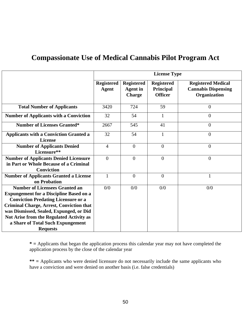## **Compassionate Use of Medical Cannabis Pilot Program Act**

|                                                                                                                                                                                                                                                                                                                                         | <b>License Type</b>        |                                                       |                                                  |                                                                         |  |
|-----------------------------------------------------------------------------------------------------------------------------------------------------------------------------------------------------------------------------------------------------------------------------------------------------------------------------------------|----------------------------|-------------------------------------------------------|--------------------------------------------------|-------------------------------------------------------------------------|--|
|                                                                                                                                                                                                                                                                                                                                         | Registered<br><b>Agent</b> | <b>Registered</b><br><b>Agent</b> in<br><b>Charge</b> | <b>Registered</b><br>Principal<br><b>Officer</b> | <b>Registered Medical</b><br><b>Cannabis Dispensing</b><br>Organization |  |
| <b>Total Number of Applicants</b>                                                                                                                                                                                                                                                                                                       | 3420                       | 724                                                   | 59                                               | $\theta$                                                                |  |
| <b>Number of Applicants with a Conviction</b>                                                                                                                                                                                                                                                                                           | 32                         | 54                                                    | 1                                                | $\theta$                                                                |  |
| <b>Number of Licenses Granted*</b>                                                                                                                                                                                                                                                                                                      | 2667                       | 545                                                   | 41                                               | $\overline{0}$                                                          |  |
| <b>Applicants with a Conviction Granted a</b><br><b>License</b>                                                                                                                                                                                                                                                                         | 32                         | 54                                                    | 1                                                | $\mathbf{0}$                                                            |  |
| <b>Number of Applicants Denied</b><br>Licensure**                                                                                                                                                                                                                                                                                       | $\overline{4}$             | $\overline{0}$                                        | $\overline{0}$                                   | $\overline{0}$                                                          |  |
| <b>Number of Applicants Denied Licensure</b><br>in Part or Whole Because of a Criminal<br><b>Conviction</b>                                                                                                                                                                                                                             | $\theta$                   | $\overline{0}$                                        | $\theta$                                         | $\mathbf{0}$                                                            |  |
| <b>Number of Applicants Granted a License</b><br>on Probation                                                                                                                                                                                                                                                                           | $\mathbf{1}$               | $\overline{0}$                                        | $\overline{0}$                                   | 1                                                                       |  |
| <b>Number of Licensees Granted an</b><br><b>Expungement for a Discipline Based on a</b><br><b>Conviction Predating Licensure or a</b><br><b>Criminal Charge, Arrest, Conviction that</b><br>was Dismissed, Sealed, Expunged, or Did<br>Not Arise from the Regulated Activity as<br>a Share of Total Such Expungement<br><b>Requests</b> | 0/0                        | 0/0                                                   | 0/0                                              | 0/0                                                                     |  |

**\* =** Applicants that began the application process this calendar year may not have completed the application process by the close of the calendar year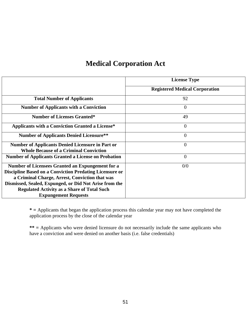## **Medical Corporation Act**

|                                                                | <b>License Type</b>                   |
|----------------------------------------------------------------|---------------------------------------|
|                                                                | <b>Registered Medical Corporation</b> |
| <b>Total Number of Applicants</b>                              | 92                                    |
| <b>Number of Applicants with a Conviction</b>                  | $\overline{0}$                        |
| <b>Number of Licenses Granted*</b>                             | 49                                    |
| <b>Applicants with a Conviction Granted a License*</b>         | $\overline{0}$                        |
| <b>Number of Applicants Denied Licensure**</b>                 | $\overline{0}$                        |
| <b>Number of Applicants Denied Licensure in Part or</b>        | $\overline{0}$                        |
| <b>Whole Because of a Criminal Conviction</b>                  |                                       |
| <b>Number of Applicants Granted a License on Probation</b>     | $\overline{0}$                        |
| Number of Licensees Granted an Expungement for a               | 0/0                                   |
| <b>Discipline Based on a Conviction Predating Licensure or</b> |                                       |
| a Criminal Charge, Arrest, Conviction that was                 |                                       |
| Dismissed, Sealed, Expunged, or Did Not Arise from the         |                                       |
| <b>Regulated Activity as a Share of Total Such</b>             |                                       |
| <b>Expungement Requests</b>                                    |                                       |

**\* =** Applicants that began the application process this calendar year may not have completed the application process by the close of the calendar year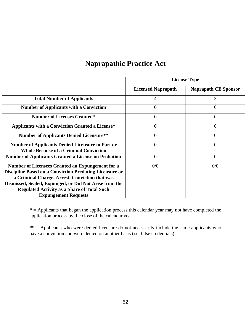#### **Naprapathic Practice Act**

|                                                                | <b>License Type</b>       |                             |  |
|----------------------------------------------------------------|---------------------------|-----------------------------|--|
|                                                                | <b>Licensed Naprapath</b> | <b>Naprapath CE Sponsor</b> |  |
| <b>Total Number of Applicants</b>                              | 4                         | 3                           |  |
| <b>Number of Applicants with a Conviction</b>                  | $\theta$                  | $\overline{0}$              |  |
| <b>Number of Licenses Granted*</b>                             | 0                         | $\overline{0}$              |  |
| <b>Applicants with a Conviction Granted a License*</b>         | $\theta$                  | $\theta$                    |  |
| <b>Number of Applicants Denied Licensure**</b>                 | $\theta$                  | $\theta$                    |  |
| <b>Number of Applicants Denied Licensure in Part or</b>        | 0                         | $\theta$                    |  |
| <b>Whole Because of a Criminal Conviction</b>                  |                           |                             |  |
| <b>Number of Applicants Granted a License on Probation</b>     | $\theta$                  | $\overline{0}$              |  |
| Number of Licensees Granted an Expungement for a               | 0/0                       | 0/0                         |  |
| <b>Discipline Based on a Conviction Predating Licensure or</b> |                           |                             |  |
| a Criminal Charge, Arrest, Conviction that was                 |                           |                             |  |
| Dismissed, Sealed, Expunged, or Did Not Arise from the         |                           |                             |  |
| <b>Regulated Activity as a Share of Total Such</b>             |                           |                             |  |
| <b>Expungement Requests</b>                                    |                           |                             |  |

**\* =** Applicants that began the application process this calendar year may not have completed the application process by the close of the calendar year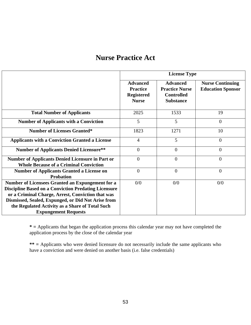#### **Nurse Practice Act**

|                                                                                                                                                                                                                                                                                                              | <b>License Type</b>                                                     |                                                                                   |                                                     |  |
|--------------------------------------------------------------------------------------------------------------------------------------------------------------------------------------------------------------------------------------------------------------------------------------------------------------|-------------------------------------------------------------------------|-----------------------------------------------------------------------------------|-----------------------------------------------------|--|
|                                                                                                                                                                                                                                                                                                              | <b>Advanced</b><br><b>Practice</b><br><b>Registered</b><br><b>Nurse</b> | <b>Advanced</b><br><b>Practice Nurse</b><br><b>Controlled</b><br><b>Substance</b> | <b>Nurse Continuing</b><br><b>Education Sponsor</b> |  |
| <b>Total Number of Applicants</b>                                                                                                                                                                                                                                                                            | 2025                                                                    | 1533                                                                              | 19                                                  |  |
| <b>Number of Applicants with a Conviction</b>                                                                                                                                                                                                                                                                | 5                                                                       | 5                                                                                 | $\overline{0}$                                      |  |
| <b>Number of Licenses Granted*</b>                                                                                                                                                                                                                                                                           | 1823                                                                    | 1271                                                                              | 10                                                  |  |
| <b>Applicants with a Conviction Granted a License</b>                                                                                                                                                                                                                                                        | $\overline{4}$                                                          | 5                                                                                 | $\overline{0}$                                      |  |
| <b>Number of Applicants Denied Licensure**</b>                                                                                                                                                                                                                                                               | $\overline{0}$                                                          | $\overline{0}$                                                                    | $\overline{0}$                                      |  |
| Number of Applicants Denied Licensure in Part or<br><b>Whole Because of a Criminal Conviction</b>                                                                                                                                                                                                            | $\overline{0}$                                                          | $\overline{0}$                                                                    | $\overline{0}$                                      |  |
| <b>Number of Applicants Granted a License on</b><br><b>Probation</b>                                                                                                                                                                                                                                         | $\Omega$                                                                | $\overline{0}$                                                                    | $\Omega$                                            |  |
| Number of Licensees Granted an Expungement for a<br><b>Discipline Based on a Conviction Predating Licensure</b><br>or a Criminal Charge, Arrest, Conviction that was<br>Dismissed, Sealed, Expunged, or Did Not Arise from<br>the Regulated Activity as a Share of Total Such<br><b>Expungement Requests</b> | 0/0                                                                     | 0/0                                                                               | 0/0                                                 |  |

**\* =** Applicants that began the application process this calendar year may not have completed the application process by the close of the calendar year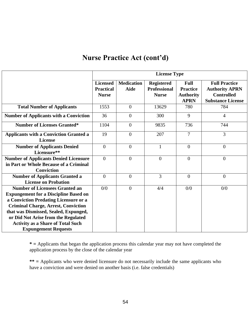### **Nurse Practice Act (cont'd)**

|                                                                                                                                                                                                                                                                                                                                         | <b>License Type</b>                                 |                                  |                                                          |                                                                   |                                                                                                |
|-----------------------------------------------------------------------------------------------------------------------------------------------------------------------------------------------------------------------------------------------------------------------------------------------------------------------------------------|-----------------------------------------------------|----------------------------------|----------------------------------------------------------|-------------------------------------------------------------------|------------------------------------------------------------------------------------------------|
|                                                                                                                                                                                                                                                                                                                                         | <b>Licensed</b><br><b>Practical</b><br><b>Nurse</b> | <b>Medication</b><br><b>Aide</b> | <b>Registered</b><br><b>Professional</b><br><b>Nurse</b> | <b>Full</b><br><b>Practice</b><br><b>Authority</b><br><b>APRN</b> | <b>Full Practice</b><br><b>Authority APRN</b><br><b>Controlled</b><br><b>Substance License</b> |
| <b>Total Number of Applicants</b>                                                                                                                                                                                                                                                                                                       | 1553                                                | $\overline{0}$                   | 13629                                                    | 780                                                               | 784                                                                                            |
| <b>Number of Applicants with a Conviction</b>                                                                                                                                                                                                                                                                                           | 36                                                  | $\overline{0}$                   | 300                                                      | 9                                                                 | $\overline{4}$                                                                                 |
| <b>Number of Licenses Granted*</b>                                                                                                                                                                                                                                                                                                      | 1104                                                | $\theta$                         | 9835                                                     | 736                                                               | 744                                                                                            |
| <b>Applicants with a Conviction Granted a</b><br><b>License</b>                                                                                                                                                                                                                                                                         | 19                                                  | $\theta$                         | 207                                                      | $\overline{7}$                                                    | $\overline{3}$                                                                                 |
| <b>Number of Applicants Denied</b><br>Licensure**                                                                                                                                                                                                                                                                                       | $\overline{0}$                                      | $\theta$                         | $\mathbf{1}$                                             | $\overline{0}$                                                    | $\overline{0}$                                                                                 |
| <b>Number of Applicants Denied Licensure</b><br>in Part or Whole Because of a Criminal<br><b>Conviction</b>                                                                                                                                                                                                                             | $\theta$                                            | $\theta$                         | $\overline{0}$                                           | $\theta$                                                          | $\overline{0}$                                                                                 |
| <b>Number of Applicants Granted a</b><br><b>License on Probation</b>                                                                                                                                                                                                                                                                    | $\overline{0}$                                      | $\overline{0}$                   | 3                                                        | $\overline{0}$                                                    | $\overline{0}$                                                                                 |
| <b>Number of Licensees Granted an</b><br><b>Expungement for a Discipline Based on</b><br>a Conviction Predating Licensure or a<br><b>Criminal Charge, Arrest, Conviction</b><br>that was Dismissed, Sealed, Expunged,<br>or Did Not Arise from the Regulated<br><b>Activity as a Share of Total Such</b><br><b>Expungement Requests</b> | 0/0                                                 | $\Omega$                         | 4/4                                                      | 0/0                                                               | 0/0                                                                                            |

**\* =** Applicants that began the application process this calendar year may not have completed the application process by the close of the calendar year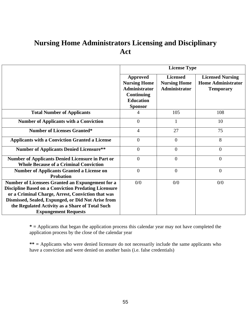# **Nursing Home Administrators Licensing and Disciplinary Act**

|                                                                                                                                                                                                                                                                                                              | <b>License Type</b>                                                                                                |                                                         |                                                                          |  |
|--------------------------------------------------------------------------------------------------------------------------------------------------------------------------------------------------------------------------------------------------------------------------------------------------------------|--------------------------------------------------------------------------------------------------------------------|---------------------------------------------------------|--------------------------------------------------------------------------|--|
|                                                                                                                                                                                                                                                                                                              | Approved<br><b>Nursing Home</b><br><b>Administrator</b><br><b>Continuing</b><br><b>Education</b><br><b>Sponsor</b> | <b>Licensed</b><br><b>Nursing Home</b><br>Administrator | <b>Licensed Nursing</b><br><b>Home Administrator</b><br><b>Temporary</b> |  |
| <b>Total Number of Applicants</b>                                                                                                                                                                                                                                                                            | 4                                                                                                                  | 105                                                     | 108                                                                      |  |
| <b>Number of Applicants with a Conviction</b>                                                                                                                                                                                                                                                                | $\theta$                                                                                                           | 1                                                       | 10                                                                       |  |
| <b>Number of Licenses Granted*</b>                                                                                                                                                                                                                                                                           | $\overline{4}$                                                                                                     | 27                                                      | 75                                                                       |  |
| <b>Applicants with a Conviction Granted a License</b>                                                                                                                                                                                                                                                        | $\overline{0}$                                                                                                     | $\theta$                                                | 8                                                                        |  |
| <b>Number of Applicants Denied Licensure**</b>                                                                                                                                                                                                                                                               | $\overline{0}$                                                                                                     | $\overline{0}$                                          | $\overline{0}$                                                           |  |
| <b>Number of Applicants Denied Licensure in Part or</b><br><b>Whole Because of a Criminal Conviction</b>                                                                                                                                                                                                     | $\overline{0}$                                                                                                     | $\theta$                                                | $\theta$                                                                 |  |
| <b>Number of Applicants Granted a License on</b><br><b>Probation</b>                                                                                                                                                                                                                                         | $\overline{0}$                                                                                                     | $\overline{0}$                                          | $\overline{0}$                                                           |  |
| Number of Licensees Granted an Expungement for a<br><b>Discipline Based on a Conviction Predating Licensure</b><br>or a Criminal Charge, Arrest, Conviction that was<br>Dismissed, Sealed, Expunged, or Did Not Arise from<br>the Regulated Activity as a Share of Total Such<br><b>Expungement Requests</b> | 0/0                                                                                                                | 0/0                                                     | 0/0                                                                      |  |

**\* =** Applicants that began the application process this calendar year may not have completed the application process by the close of the calendar year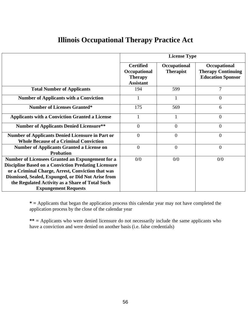### **Illinois Occupational Therapy Practice Act**

|                                                                                                                                                                                                                                                                                                              | <b>License Type</b>                                                    |                                  |                                                                       |  |
|--------------------------------------------------------------------------------------------------------------------------------------------------------------------------------------------------------------------------------------------------------------------------------------------------------------|------------------------------------------------------------------------|----------------------------------|-----------------------------------------------------------------------|--|
|                                                                                                                                                                                                                                                                                                              | <b>Certified</b><br>Occupational<br><b>Therapy</b><br><b>Assistant</b> | Occupational<br><b>Therapist</b> | Occupational<br><b>Therapy Continuing</b><br><b>Education Sponsor</b> |  |
| <b>Total Number of Applicants</b>                                                                                                                                                                                                                                                                            | 194                                                                    | 599                              | 7                                                                     |  |
| <b>Number of Applicants with a Conviction</b>                                                                                                                                                                                                                                                                |                                                                        |                                  | $\Omega$                                                              |  |
| <b>Number of Licenses Granted*</b>                                                                                                                                                                                                                                                                           | 175                                                                    | 569                              | 6                                                                     |  |
| <b>Applicants with a Conviction Granted a License</b>                                                                                                                                                                                                                                                        |                                                                        | 1                                | $\overline{0}$                                                        |  |
| <b>Number of Applicants Denied Licensure**</b>                                                                                                                                                                                                                                                               | $\theta$                                                               | $\overline{0}$                   | $\overline{0}$                                                        |  |
| <b>Number of Applicants Denied Licensure in Part or</b><br><b>Whole Because of a Criminal Conviction</b>                                                                                                                                                                                                     | $\Omega$                                                               | $\theta$                         | $\Omega$                                                              |  |
| <b>Number of Applicants Granted a License on</b><br><b>Probation</b>                                                                                                                                                                                                                                         | $\overline{0}$                                                         | $\overline{0}$                   | $\overline{0}$                                                        |  |
| Number of Licensees Granted an Expungement for a<br><b>Discipline Based on a Conviction Predating Licensure</b><br>or a Criminal Charge, Arrest, Conviction that was<br>Dismissed, Sealed, Expunged, or Did Not Arise from<br>the Regulated Activity as a Share of Total Such<br><b>Expungement Requests</b> | 0/0                                                                    | 0/0                              | 0/0                                                                   |  |

**\* =** Applicants that began the application process this calendar year may not have completed the application process by the close of the calendar year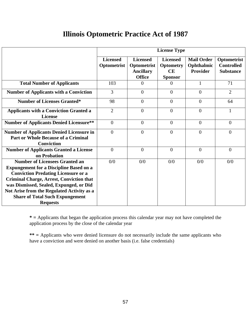### **Illinois Optometric Practice Act of 1987**

|                                                                                                                                                                                                                                                                                                                                                | <b>License Type</b>            |                                                                     |                                                             |                                             |                                                      |
|------------------------------------------------------------------------------------------------------------------------------------------------------------------------------------------------------------------------------------------------------------------------------------------------------------------------------------------------|--------------------------------|---------------------------------------------------------------------|-------------------------------------------------------------|---------------------------------------------|------------------------------------------------------|
|                                                                                                                                                                                                                                                                                                                                                | <b>Licensed</b><br>Optometrist | <b>Licensed</b><br>Optometrist<br><b>Ancillary</b><br><b>Office</b> | <b>Licensed</b><br><b>Optometry</b><br>CE<br><b>Sponsor</b> | <b>Mail Order</b><br>Ophthalmic<br>Provider | Optometrist<br><b>Controlled</b><br><b>Substance</b> |
| <b>Total Number of Applicants</b>                                                                                                                                                                                                                                                                                                              | 103                            | $\Omega$                                                            | $\theta$                                                    |                                             | 71                                                   |
| <b>Number of Applicants with a Conviction</b>                                                                                                                                                                                                                                                                                                  | $\overline{3}$                 | $\overline{0}$                                                      | $\overline{0}$                                              | $\Omega$                                    | $\overline{2}$                                       |
| <b>Number of Licenses Granted*</b>                                                                                                                                                                                                                                                                                                             | 98                             | $\overline{0}$                                                      | $\overline{0}$                                              | $\Omega$                                    | 64                                                   |
| <b>Applicants with a Conviction Granted a</b><br><b>License</b>                                                                                                                                                                                                                                                                                | $\overline{2}$                 | $\overline{0}$                                                      | $\theta$                                                    | $\Omega$                                    | 1                                                    |
| <b>Number of Applicants Denied Licensure**</b>                                                                                                                                                                                                                                                                                                 | $\overline{0}$                 | $\overline{0}$                                                      | $\overline{0}$                                              | $\theta$                                    | $\overline{0}$                                       |
| <b>Number of Applicants Denied Licensure in</b><br><b>Part or Whole Because of a Criminal</b><br><b>Conviction</b>                                                                                                                                                                                                                             | $\Omega$                       | $\theta$                                                            | $\Omega$                                                    | $\Omega$                                    | $\overline{0}$                                       |
| <b>Number of Applicants Granted a License</b><br>on Probation                                                                                                                                                                                                                                                                                  | $\Omega$                       | $\theta$                                                            | $\Omega$                                                    | $\Omega$                                    | $\overline{0}$                                       |
| <b>Number of Licensees Granted an</b><br><b>Expungement for a Discipline Based on a</b><br><b>Conviction Predating Licensure or a</b><br><b>Criminal Charge, Arrest, Conviction that</b><br>was Dismissed, Sealed, Expunged, or Did<br>Not Arise from the Regulated Activity as a<br><b>Share of Total Such Expungement</b><br><b>Requests</b> | 0/0                            | 0/0                                                                 | 0/0                                                         | 0/0                                         | 0/0                                                  |

**\* =** Applicants that began the application process this calendar year may not have completed the application process by the close of the calendar year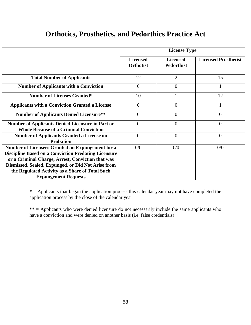#### **Orthotics, Prosthetics, and Pedorthics Practice Act**

|                                                                                                                 | <b>License Type</b>                 |                                      |                             |  |
|-----------------------------------------------------------------------------------------------------------------|-------------------------------------|--------------------------------------|-----------------------------|--|
|                                                                                                                 | <b>Licensed</b><br><b>Orthotist</b> | <b>Licensed</b><br><b>Pedorthist</b> | <b>Licensed Prosthetist</b> |  |
| <b>Total Number of Applicants</b>                                                                               | 12                                  | $\overline{2}$                       | 15                          |  |
| <b>Number of Applicants with a Conviction</b>                                                                   | $\Omega$                            | $\overline{0}$                       |                             |  |
| <b>Number of Licenses Granted*</b>                                                                              | 10                                  | 1                                    | 12                          |  |
| <b>Applicants with a Conviction Granted a License</b>                                                           | $\Omega$                            | $\theta$                             |                             |  |
| <b>Number of Applicants Denied Licensure**</b>                                                                  | $\theta$                            | $\overline{0}$                       | $\overline{0}$              |  |
| <b>Number of Applicants Denied Licensure in Part or</b><br><b>Whole Because of a Criminal Conviction</b>        | $\theta$                            | $\overline{0}$                       | $\overline{0}$              |  |
| <b>Number of Applicants Granted a License on</b><br><b>Probation</b>                                            | $\Omega$                            | $\overline{0}$                       | $\overline{0}$              |  |
| Number of Licensees Granted an Expungement for a<br><b>Discipline Based on a Conviction Predating Licensure</b> | 0/0                                 | 0/0                                  | 0/0                         |  |
| or a Criminal Charge, Arrest, Conviction that was<br>Dismissed, Sealed, Expunged, or Did Not Arise from         |                                     |                                      |                             |  |
| the Regulated Activity as a Share of Total Such<br><b>Expungement Requests</b>                                  |                                     |                                      |                             |  |

**\* =** Applicants that began the application process this calendar year may not have completed the application process by the close of the calendar year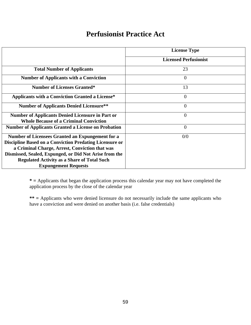#### **Perfusionist Practice Act**

|                                                                | <b>License Type</b>          |
|----------------------------------------------------------------|------------------------------|
|                                                                | <b>Licensed Perfusionist</b> |
| <b>Total Number of Applicants</b>                              | 23                           |
| <b>Number of Applicants with a Conviction</b>                  | $\overline{0}$               |
| <b>Number of Licenses Granted*</b>                             | 13                           |
| <b>Applicants with a Conviction Granted a License*</b>         | $\Omega$                     |
| <b>Number of Applicants Denied Licensure**</b>                 | $\Omega$                     |
| <b>Number of Applicants Denied Licensure in Part or</b>        | $\overline{0}$               |
| <b>Whole Because of a Criminal Conviction</b>                  |                              |
| <b>Number of Applicants Granted a License on Probation</b>     | $\overline{0}$               |
| Number of Licensees Granted an Expungement for a               | 0/0                          |
| <b>Discipline Based on a Conviction Predating Licensure or</b> |                              |
| a Criminal Charge, Arrest, Conviction that was                 |                              |
| Dismissed, Sealed, Expunged, or Did Not Arise from the         |                              |
| <b>Regulated Activity as a Share of Total Such</b>             |                              |
| <b>Expungement Requests</b>                                    |                              |

**\* =** Applicants that began the application process this calendar year may not have completed the application process by the close of the calendar year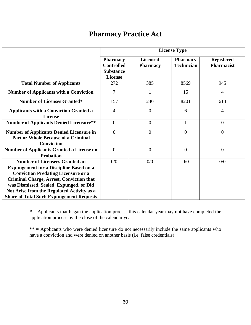### **Pharmacy Practice Act**

|                                                                                                                                                                                                                                                                                                                                      | <b>License Type</b>                                                        |                                    |                                      |                                        |
|--------------------------------------------------------------------------------------------------------------------------------------------------------------------------------------------------------------------------------------------------------------------------------------------------------------------------------------|----------------------------------------------------------------------------|------------------------------------|--------------------------------------|----------------------------------------|
|                                                                                                                                                                                                                                                                                                                                      | <b>Pharmacy</b><br><b>Controlled</b><br><b>Substance</b><br><b>License</b> | <b>Licensed</b><br><b>Pharmacy</b> | <b>Pharmacy</b><br><b>Technician</b> | <b>Registered</b><br><b>Pharmacist</b> |
| <b>Total Number of Applicants</b>                                                                                                                                                                                                                                                                                                    | 272                                                                        | 385                                | 8569                                 | 945                                    |
| <b>Number of Applicants with a Conviction</b>                                                                                                                                                                                                                                                                                        | $\overline{7}$                                                             | $\mathbf{1}$                       | 15                                   | $\overline{4}$                         |
| <b>Number of Licenses Granted*</b>                                                                                                                                                                                                                                                                                                   | 157                                                                        | 240                                | 8201                                 | 614                                    |
| <b>Applicants with a Conviction Granted a</b><br><b>License</b>                                                                                                                                                                                                                                                                      | $\overline{4}$                                                             | $\overline{0}$                     | 6                                    | $\overline{4}$                         |
| <b>Number of Applicants Denied Licensure**</b>                                                                                                                                                                                                                                                                                       | $\overline{0}$                                                             | $\overline{0}$                     | $\mathbf{1}$                         | $\overline{0}$                         |
| <b>Number of Applicants Denied Licensure in</b><br>Part or Whole Because of a Criminal<br><b>Conviction</b>                                                                                                                                                                                                                          | $\overline{0}$                                                             | $\overline{0}$                     | $\overline{0}$                       | $\boldsymbol{0}$                       |
| <b>Number of Applicants Granted a License on</b><br><b>Probation</b>                                                                                                                                                                                                                                                                 | $\theta$                                                                   | $\theta$                           | $\Omega$                             | $\theta$                               |
| <b>Number of Licensees Granted an</b><br><b>Expungement for a Discipline Based on a</b><br><b>Conviction Predating Licensure or a</b><br><b>Criminal Charge, Arrest, Conviction that</b><br>was Dismissed, Sealed, Expunged, or Did<br>Not Arise from the Regulated Activity as a<br><b>Share of Total Such Expungement Requests</b> | 0/0                                                                        | 0/0                                | 0/0                                  | 0/0                                    |

**\* =** Applicants that began the application process this calendar year may not have completed the application process by the close of the calendar year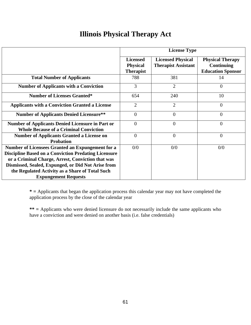## **Illinois Physical Therapy Act**

|                                                                                                                 |                                                        | <b>License Type</b>                                    |                                                                          |  |  |
|-----------------------------------------------------------------------------------------------------------------|--------------------------------------------------------|--------------------------------------------------------|--------------------------------------------------------------------------|--|--|
|                                                                                                                 | <b>Licensed</b><br><b>Physical</b><br><b>Therapist</b> | <b>Licensed Physical</b><br><b>Therapist Assistant</b> | <b>Physical Therapy</b><br><b>Continuing</b><br><b>Education Sponsor</b> |  |  |
| <b>Total Number of Applicants</b>                                                                               | 788                                                    | 381                                                    | 14                                                                       |  |  |
| <b>Number of Applicants with a Conviction</b>                                                                   | 3                                                      | $\overline{2}$                                         | $\overline{0}$                                                           |  |  |
| <b>Number of Licenses Granted*</b>                                                                              | 654                                                    | 240                                                    | 10                                                                       |  |  |
| <b>Applicants with a Conviction Granted a License</b>                                                           | $\overline{2}$                                         | $\overline{2}$                                         | $\Omega$                                                                 |  |  |
| <b>Number of Applicants Denied Licensure**</b>                                                                  | $\overline{0}$                                         | $\theta$                                               | $\overline{0}$                                                           |  |  |
| <b>Number of Applicants Denied Licensure in Part or</b><br><b>Whole Because of a Criminal Conviction</b>        | $\theta$                                               | $\theta$                                               | $\Omega$                                                                 |  |  |
| <b>Number of Applicants Granted a License on</b><br><b>Probation</b>                                            | $\theta$                                               | $\theta$                                               | $\overline{0}$                                                           |  |  |
| Number of Licensees Granted an Expungement for a<br><b>Discipline Based on a Conviction Predating Licensure</b> | 0/0                                                    | 0/0                                                    | 0/0                                                                      |  |  |
| or a Criminal Charge, Arrest, Conviction that was<br>Dismissed, Sealed, Expunged, or Did Not Arise from         |                                                        |                                                        |                                                                          |  |  |
| the Regulated Activity as a Share of Total Such<br><b>Expungement Requests</b>                                  |                                                        |                                                        |                                                                          |  |  |

**\* =** Applicants that began the application process this calendar year may not have completed the application process by the close of the calendar year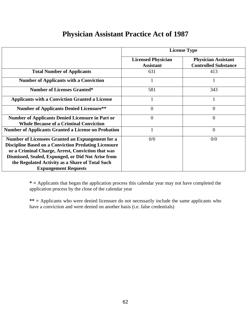|                                                                                                                                                                                                                                                                                                              |                                               | <b>License Type</b>                                       |
|--------------------------------------------------------------------------------------------------------------------------------------------------------------------------------------------------------------------------------------------------------------------------------------------------------------|-----------------------------------------------|-----------------------------------------------------------|
|                                                                                                                                                                                                                                                                                                              | <b>Licensed Physician</b><br><b>Assistant</b> | <b>Physician Assistant</b><br><b>Controlled Substance</b> |
| <b>Total Number of Applicants</b>                                                                                                                                                                                                                                                                            | 631                                           | 413                                                       |
| <b>Number of Applicants with a Conviction</b>                                                                                                                                                                                                                                                                | $\mathbf{1}$                                  |                                                           |
| <b>Number of Licenses Granted*</b>                                                                                                                                                                                                                                                                           | 581                                           | 343                                                       |
| <b>Applicants with a Conviction Granted a License</b>                                                                                                                                                                                                                                                        | 1                                             |                                                           |
| <b>Number of Applicants Denied Licensure**</b>                                                                                                                                                                                                                                                               | $\theta$                                      | $\overline{0}$                                            |
| <b>Number of Applicants Denied Licensure in Part or</b><br><b>Whole Because of a Criminal Conviction</b>                                                                                                                                                                                                     | $\theta$                                      | $\overline{0}$                                            |
| <b>Number of Applicants Granted a License on Probation</b>                                                                                                                                                                                                                                                   |                                               | $\overline{0}$                                            |
| Number of Licensees Granted an Expungement for a<br><b>Discipline Based on a Conviction Predating Licensure</b><br>or a Criminal Charge, Arrest, Conviction that was<br>Dismissed, Sealed, Expunged, or Did Not Arise from<br>the Regulated Activity as a Share of Total Such<br><b>Expungement Requests</b> | 0/0                                           | 0/0                                                       |

## **Physician Assistant Practice Act of 1987**

**\* =** Applicants that began the application process this calendar year may not have completed the application process by the close of the calendar year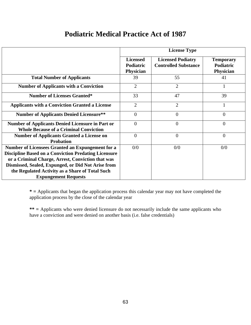## **Podiatric Medical Practice Act of 1987**

|                                                                                                                                                                                                                            |                                           | <b>License Type</b>                                     |                                                   |  |  |
|----------------------------------------------------------------------------------------------------------------------------------------------------------------------------------------------------------------------------|-------------------------------------------|---------------------------------------------------------|---------------------------------------------------|--|--|
|                                                                                                                                                                                                                            | <b>Licensed</b><br>Podiatric<br>Physician | <b>Licensed Podiatry</b><br><b>Controlled Substance</b> | <b>Temporary</b><br>Podiatric<br><b>Physician</b> |  |  |
| <b>Total Number of Applicants</b>                                                                                                                                                                                          | 39                                        | 55                                                      | 41                                                |  |  |
| <b>Number of Applicants with a Conviction</b>                                                                                                                                                                              | $\overline{2}$                            | $\overline{2}$                                          |                                                   |  |  |
| <b>Number of Licenses Granted*</b>                                                                                                                                                                                         | 33                                        | 47                                                      | 39                                                |  |  |
| <b>Applicants with a Conviction Granted a License</b>                                                                                                                                                                      | $\overline{2}$                            | $\overline{2}$                                          | 1                                                 |  |  |
| <b>Number of Applicants Denied Licensure**</b>                                                                                                                                                                             | $\theta$                                  | $\overline{0}$                                          | $\overline{0}$                                    |  |  |
| <b>Number of Applicants Denied Licensure in Part or</b><br><b>Whole Because of a Criminal Conviction</b>                                                                                                                   | $\overline{0}$                            | $\theta$                                                | $\overline{0}$                                    |  |  |
| <b>Number of Applicants Granted a License on</b><br><b>Probation</b>                                                                                                                                                       | $\theta$                                  | $\theta$                                                | $\overline{0}$                                    |  |  |
| Number of Licensees Granted an Expungement for a<br><b>Discipline Based on a Conviction Predating Licensure</b><br>or a Criminal Charge, Arrest, Conviction that was<br>Dismissed, Sealed, Expunged, or Did Not Arise from | 0/0                                       | 0/0                                                     | 0/0                                               |  |  |
| the Regulated Activity as a Share of Total Such<br><b>Expungement Requests</b>                                                                                                                                             |                                           |                                                         |                                                   |  |  |

**\* =** Applicants that began the application process this calendar year may not have completed the application process by the close of the calendar year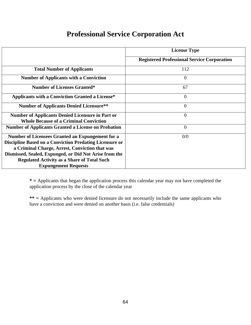## **Professional Service Corporation Act**

|                                                                                                                                                                                                                                                                                                                     | <b>License Type</b>                                |
|---------------------------------------------------------------------------------------------------------------------------------------------------------------------------------------------------------------------------------------------------------------------------------------------------------------------|----------------------------------------------------|
|                                                                                                                                                                                                                                                                                                                     | <b>Registered Professional Service Corporation</b> |
| <b>Total Number of Applicants</b>                                                                                                                                                                                                                                                                                   | 112                                                |
| <b>Number of Applicants with a Conviction</b>                                                                                                                                                                                                                                                                       | $\Omega$                                           |
| <b>Number of Licenses Granted*</b>                                                                                                                                                                                                                                                                                  | 67                                                 |
| <b>Applicants with a Conviction Granted a License*</b>                                                                                                                                                                                                                                                              | $\theta$                                           |
| <b>Number of Applicants Denied Licensure**</b>                                                                                                                                                                                                                                                                      | $\overline{0}$                                     |
| <b>Number of Applicants Denied Licensure in Part or</b><br><b>Whole Because of a Criminal Conviction</b>                                                                                                                                                                                                            | $\overline{0}$                                     |
| <b>Number of Applicants Granted a License on Probation</b>                                                                                                                                                                                                                                                          | $\overline{0}$                                     |
| Number of Licensees Granted an Expungement for a<br><b>Discipline Based on a Conviction Predating Licensure or</b><br>a Criminal Charge, Arrest, Conviction that was<br>Dismissed, Sealed, Expunged, or Did Not Arise from the<br><b>Regulated Activity as a Share of Total Such</b><br><b>Expungement Requests</b> | 0/0                                                |

**\* =** Applicants that began the application process this calendar year may not have completed the application process by the close of the calendar year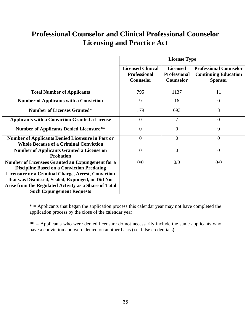# **Professional Counselor and Clinical Professional Counselor Licensing and Practice Act**

|                                                                                                                                                                                                                                                                                                                            | <b>License Type</b>                                                 |                                                            |                                                                                |  |
|----------------------------------------------------------------------------------------------------------------------------------------------------------------------------------------------------------------------------------------------------------------------------------------------------------------------------|---------------------------------------------------------------------|------------------------------------------------------------|--------------------------------------------------------------------------------|--|
|                                                                                                                                                                                                                                                                                                                            | <b>Licensed Clinical</b><br><b>Professional</b><br><b>Counselor</b> | <b>Licensed</b><br><b>Professional</b><br><b>Counselor</b> | <b>Professional Counselor</b><br><b>Continuing Education</b><br><b>Sponsor</b> |  |
| <b>Total Number of Applicants</b>                                                                                                                                                                                                                                                                                          | 795                                                                 | 1137                                                       | 11                                                                             |  |
| <b>Number of Applicants with a Conviction</b>                                                                                                                                                                                                                                                                              | 9                                                                   | 16                                                         | $\overline{0}$                                                                 |  |
| <b>Number of Licenses Granted*</b>                                                                                                                                                                                                                                                                                         | 179                                                                 | 693                                                        | 8                                                                              |  |
| <b>Applicants with a Conviction Granted a License</b>                                                                                                                                                                                                                                                                      | $\overline{0}$                                                      | $\overline{7}$                                             | $\overline{0}$                                                                 |  |
| <b>Number of Applicants Denied Licensure**</b>                                                                                                                                                                                                                                                                             | $\theta$                                                            | $\Omega$                                                   | $\theta$                                                                       |  |
| <b>Number of Applicants Denied Licensure in Part or</b><br><b>Whole Because of a Criminal Conviction</b>                                                                                                                                                                                                                   | $\theta$                                                            | $\overline{0}$                                             | $\overline{0}$                                                                 |  |
| <b>Number of Applicants Granted a License on</b><br><b>Probation</b>                                                                                                                                                                                                                                                       | $\overline{0}$                                                      | $\Omega$                                                   | $\overline{0}$                                                                 |  |
| <b>Number of Licensees Granted an Expungement for a</b><br><b>Discipline Based on a Conviction Predating</b><br><b>Licensure or a Criminal Charge, Arrest, Conviction</b><br>that was Dismissed, Sealed, Expunged, or Did Not<br>Arise from the Regulated Activity as a Share of Total<br><b>Such Expungement Requests</b> | 0/0                                                                 | 0/0                                                        | 0/0                                                                            |  |

**\* =** Applicants that began the application process this calendar year may not have completed the application process by the close of the calendar year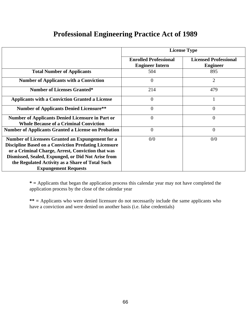| <b>Professional Engineering Practice Act of 1989</b> |  |  |  |
|------------------------------------------------------|--|--|--|
|                                                      |  |  |  |

|                                                                                                                                                                                                                                                                                                              | <b>License Type</b>                                    |                                                 |  |  |
|--------------------------------------------------------------------------------------------------------------------------------------------------------------------------------------------------------------------------------------------------------------------------------------------------------------|--------------------------------------------------------|-------------------------------------------------|--|--|
|                                                                                                                                                                                                                                                                                                              | <b>Enrolled Professional</b><br><b>Engineer Intern</b> | <b>Licensed Professional</b><br><b>Engineer</b> |  |  |
| <b>Total Number of Applicants</b>                                                                                                                                                                                                                                                                            | 504                                                    | 895                                             |  |  |
| <b>Number of Applicants with a Conviction</b>                                                                                                                                                                                                                                                                | $\Omega$                                               | $\overline{2}$                                  |  |  |
| <b>Number of Licenses Granted*</b>                                                                                                                                                                                                                                                                           | 214                                                    | 479                                             |  |  |
| <b>Applicants with a Conviction Granted a License</b>                                                                                                                                                                                                                                                        | $\overline{0}$                                         |                                                 |  |  |
| <b>Number of Applicants Denied Licensure**</b>                                                                                                                                                                                                                                                               | $\theta$                                               | 0                                               |  |  |
| <b>Number of Applicants Denied Licensure in Part or</b><br><b>Whole Because of a Criminal Conviction</b>                                                                                                                                                                                                     | $\Omega$                                               | $\theta$                                        |  |  |
| <b>Number of Applicants Granted a License on Probation</b>                                                                                                                                                                                                                                                   | $\overline{0}$                                         | $\overline{0}$                                  |  |  |
| Number of Licensees Granted an Expungement for a<br><b>Discipline Based on a Conviction Predating Licensure</b><br>or a Criminal Charge, Arrest, Conviction that was<br>Dismissed, Sealed, Expunged, or Did Not Arise from<br>the Regulated Activity as a Share of Total Such<br><b>Expungement Requests</b> | 0/0                                                    | 0/0                                             |  |  |

**\* =** Applicants that began the application process this calendar year may not have completed the application process by the close of the calendar year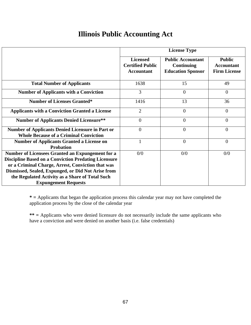# **Illinois Public Accounting Act**

|                                                                                                                                                                                                                                                                               | <b>License Type</b>                                             |                                                                    |                                                           |  |
|-------------------------------------------------------------------------------------------------------------------------------------------------------------------------------------------------------------------------------------------------------------------------------|-----------------------------------------------------------------|--------------------------------------------------------------------|-----------------------------------------------------------|--|
|                                                                                                                                                                                                                                                                               | <b>Licensed</b><br><b>Certified Public</b><br><b>Accountant</b> | <b>Public Accountant</b><br>Continuing<br><b>Education Sponsor</b> | <b>Public</b><br><b>Accountant</b><br><b>Firm License</b> |  |
| <b>Total Number of Applicants</b>                                                                                                                                                                                                                                             | 1638                                                            | 15                                                                 | 49                                                        |  |
| <b>Number of Applicants with a Conviction</b>                                                                                                                                                                                                                                 | 3                                                               | $\overline{0}$                                                     | $\overline{0}$                                            |  |
| <b>Number of Licenses Granted*</b>                                                                                                                                                                                                                                            | 1416                                                            | 13                                                                 | 36                                                        |  |
| <b>Applicants with a Conviction Granted a License</b>                                                                                                                                                                                                                         | $\overline{2}$                                                  | $\overline{0}$                                                     | $\overline{0}$                                            |  |
| <b>Number of Applicants Denied Licensure**</b>                                                                                                                                                                                                                                | $\theta$                                                        | $\overline{0}$                                                     | $\overline{0}$                                            |  |
| <b>Number of Applicants Denied Licensure in Part or</b><br><b>Whole Because of a Criminal Conviction</b>                                                                                                                                                                      | $\overline{0}$                                                  | $\overline{0}$                                                     | $\overline{0}$                                            |  |
| <b>Number of Applicants Granted a License on</b><br><b>Probation</b>                                                                                                                                                                                                          | $\mathbf{1}$                                                    | $\overline{0}$                                                     | $\overline{0}$                                            |  |
| Number of Licensees Granted an Expungement for a<br><b>Discipline Based on a Conviction Predating Licensure</b><br>or a Criminal Charge, Arrest, Conviction that was<br>Dismissed, Sealed, Expunged, or Did Not Arise from<br>the Regulated Activity as a Share of Total Such | 0/0                                                             | 0/0                                                                | 0/0                                                       |  |
| <b>Expungement Requests</b>                                                                                                                                                                                                                                                   |                                                                 |                                                                    |                                                           |  |

**\* =** Applicants that began the application process this calendar year may not have completed the application process by the close of the calendar year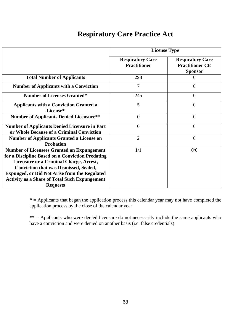### **Respiratory Care Practice Act**

|                                                                                                                                                                                                                                                                                                                                      | <b>License Type</b>                            |                                                                     |  |
|--------------------------------------------------------------------------------------------------------------------------------------------------------------------------------------------------------------------------------------------------------------------------------------------------------------------------------------|------------------------------------------------|---------------------------------------------------------------------|--|
|                                                                                                                                                                                                                                                                                                                                      | <b>Respiratory Care</b><br><b>Practitioner</b> | <b>Respiratory Care</b><br><b>Practitioner CE</b><br><b>Sponsor</b> |  |
| <b>Total Number of Applicants</b>                                                                                                                                                                                                                                                                                                    | 298                                            | 0                                                                   |  |
| <b>Number of Applicants with a Conviction</b>                                                                                                                                                                                                                                                                                        | 7                                              | $\theta$                                                            |  |
| <b>Number of Licenses Granted*</b>                                                                                                                                                                                                                                                                                                   | 245                                            | $\theta$                                                            |  |
| <b>Applicants with a Conviction Granted a</b><br>License*                                                                                                                                                                                                                                                                            | 5                                              | $\theta$                                                            |  |
| <b>Number of Applicants Denied Licensure**</b>                                                                                                                                                                                                                                                                                       | $\overline{0}$                                 | $\theta$                                                            |  |
| <b>Number of Applicants Denied Licensure in Part</b><br>or Whole Because of a Criminal Conviction                                                                                                                                                                                                                                    | $\overline{0}$                                 | $\theta$                                                            |  |
| <b>Number of Applicants Granted a License on</b><br><b>Probation</b>                                                                                                                                                                                                                                                                 | $\overline{2}$                                 | $\theta$                                                            |  |
| <b>Number of Licensees Granted an Expungement</b><br>for a Discipline Based on a Conviction Predating<br>Licensure or a Criminal Charge, Arrest,<br><b>Conviction that was Dismissed, Sealed,</b><br><b>Expunged, or Did Not Arise from the Regulated</b><br><b>Activity as a Share of Total Such Expungement</b><br><b>Requests</b> | 1/1                                            | 0/0                                                                 |  |

**\* =** Applicants that began the application process this calendar year may not have completed the application process by the close of the calendar year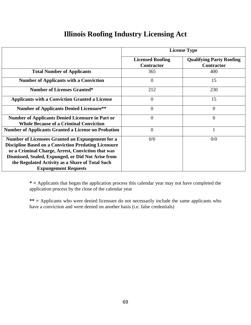## **Illinois Roofing Industry Licensing Act**

|                                                                                                                                                                                                                                                                                                              |                                              | <b>License Type</b>                                  |
|--------------------------------------------------------------------------------------------------------------------------------------------------------------------------------------------------------------------------------------------------------------------------------------------------------------|----------------------------------------------|------------------------------------------------------|
|                                                                                                                                                                                                                                                                                                              | <b>Licensed Roofing</b><br><b>Contractor</b> | <b>Qualifying Party Roofing</b><br><b>Contractor</b> |
| <b>Total Number of Applicants</b>                                                                                                                                                                                                                                                                            | 365                                          | 400                                                  |
| <b>Number of Applicants with a Conviction</b>                                                                                                                                                                                                                                                                | $\overline{0}$                               | 15                                                   |
| <b>Number of Licenses Granted*</b>                                                                                                                                                                                                                                                                           | 212                                          | 230                                                  |
| <b>Applicants with a Conviction Granted a License</b>                                                                                                                                                                                                                                                        | $\theta$                                     | 15                                                   |
| <b>Number of Applicants Denied Licensure**</b>                                                                                                                                                                                                                                                               | $\boldsymbol{0}$                             | $\overline{0}$                                       |
| <b>Number of Applicants Denied Licensure in Part or</b><br><b>Whole Because of a Criminal Conviction</b>                                                                                                                                                                                                     | $\overline{0}$                               | $\overline{0}$                                       |
| <b>Number of Applicants Granted a License on Probation</b>                                                                                                                                                                                                                                                   | $\overline{0}$                               |                                                      |
| Number of Licensees Granted an Expungement for a<br><b>Discipline Based on a Conviction Predating Licensure</b><br>or a Criminal Charge, Arrest, Conviction that was<br>Dismissed, Sealed, Expunged, or Did Not Arise from<br>the Regulated Activity as a Share of Total Such<br><b>Expungement Requests</b> | 0/0                                          | 0/0                                                  |

**\* =** Applicants that began the application process this calendar year may not have completed the application process by the close of the calendar year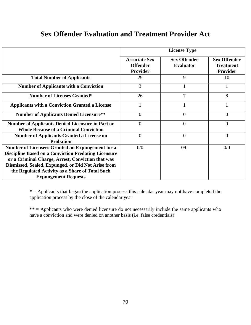## **Sex Offender Evaluation and Treatment Provider Act**

|                                                             |                      | <b>License Type</b> |                     |
|-------------------------------------------------------------|----------------------|---------------------|---------------------|
|                                                             | <b>Associate Sex</b> | <b>Sex Offender</b> | <b>Sex Offender</b> |
|                                                             | <b>Offender</b>      | <b>Evaluator</b>    | <b>Treatment</b>    |
|                                                             | Provider             |                     | Provider            |
| <b>Total Number of Applicants</b>                           | 29                   | 9                   | 10                  |
| <b>Number of Applicants with a Conviction</b>               | 3                    |                     |                     |
| <b>Number of Licenses Granted*</b>                          | 26                   | $\overline{7}$      | 8                   |
| <b>Applicants with a Conviction Granted a License</b>       |                      |                     |                     |
| <b>Number of Applicants Denied Licensure**</b>              | $\overline{0}$       | $\overline{0}$      | $\Omega$            |
| <b>Number of Applicants Denied Licensure in Part or</b>     | $\overline{0}$       | $\overline{0}$      | $\theta$            |
| <b>Whole Because of a Criminal Conviction</b>               |                      |                     |                     |
| <b>Number of Applicants Granted a License on</b>            | $\theta$             | $\theta$            | $\theta$            |
| <b>Probation</b>                                            |                      |                     |                     |
| Number of Licensees Granted an Expungement for a            | 0/0                  | 0/0                 | 0/0                 |
| <b>Discipline Based on a Conviction Predating Licensure</b> |                      |                     |                     |
| or a Criminal Charge, Arrest, Conviction that was           |                      |                     |                     |
| Dismissed, Sealed, Expunged, or Did Not Arise from          |                      |                     |                     |
| the Regulated Activity as a Share of Total Such             |                      |                     |                     |
| <b>Expungement Requests</b>                                 |                      |                     |                     |

**\* =** Applicants that began the application process this calendar year may not have completed the application process by the close of the calendar year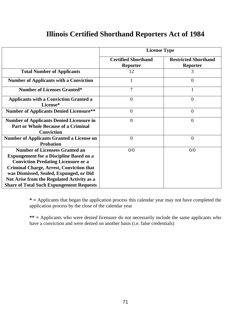#### **Illinois Certified Shorthand Reporters Act of 1984**

|                                                                                                                                                                                                                                                                                                                                      | <b>License Type</b>                           |                                                |
|--------------------------------------------------------------------------------------------------------------------------------------------------------------------------------------------------------------------------------------------------------------------------------------------------------------------------------------|-----------------------------------------------|------------------------------------------------|
|                                                                                                                                                                                                                                                                                                                                      | <b>Certified Shorthand</b><br><b>Reporter</b> | <b>Restricted Shorthand</b><br><b>Reporter</b> |
| <b>Total Number of Applicants</b>                                                                                                                                                                                                                                                                                                    | 12                                            | 3                                              |
| <b>Number of Applicants with a Conviction</b>                                                                                                                                                                                                                                                                                        |                                               | $\overline{0}$                                 |
| <b>Number of Licenses Granted*</b>                                                                                                                                                                                                                                                                                                   | 7                                             |                                                |
| <b>Applicants with a Conviction Granted a</b><br>License*                                                                                                                                                                                                                                                                            | $\overline{0}$                                | $\Omega$                                       |
| <b>Number of Applicants Denied Licensure**</b>                                                                                                                                                                                                                                                                                       | $\overline{0}$                                | $\Omega$                                       |
| <b>Number of Applicants Denied Licensure in</b><br><b>Part or Whole Because of a Criminal</b><br><b>Conviction</b>                                                                                                                                                                                                                   | $\theta$                                      | $\Omega$                                       |
| <b>Number of Applicants Granted a License on</b><br><b>Probation</b>                                                                                                                                                                                                                                                                 | $\overline{0}$                                | $\Omega$                                       |
| <b>Number of Licensees Granted an</b><br><b>Expungement for a Discipline Based on a</b><br><b>Conviction Predating Licensure or a</b><br><b>Criminal Charge, Arrest, Conviction that</b><br>was Dismissed, Sealed, Expunged, or Did<br>Not Arise from the Regulated Activity as a<br><b>Share of Total Such Expungement Requests</b> | 0/0                                           | 0/0                                            |

**\* =** Applicants that began the application process this calendar year may not have completed the application process by the close of the calendar year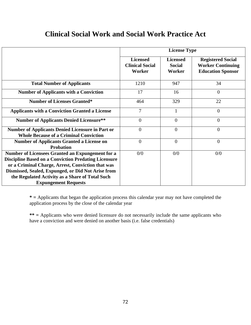### **Clinical Social Work and Social Work Practice Act**

|                                                                                                                                                                                                                                                                                                              | <b>License Type</b>                                 |                                            |                                                                                  |
|--------------------------------------------------------------------------------------------------------------------------------------------------------------------------------------------------------------------------------------------------------------------------------------------------------------|-----------------------------------------------------|--------------------------------------------|----------------------------------------------------------------------------------|
|                                                                                                                                                                                                                                                                                                              | <b>Licensed</b><br><b>Clinical Social</b><br>Worker | <b>Licensed</b><br><b>Social</b><br>Worker | <b>Registered Social</b><br><b>Worker Continuing</b><br><b>Education Sponsor</b> |
| <b>Total Number of Applicants</b>                                                                                                                                                                                                                                                                            | 1210                                                | 947                                        | 34                                                                               |
| <b>Number of Applicants with a Conviction</b>                                                                                                                                                                                                                                                                | 17                                                  | 16                                         | $\theta$                                                                         |
| <b>Number of Licenses Granted*</b>                                                                                                                                                                                                                                                                           | 464                                                 | 329                                        | 22                                                                               |
| <b>Applicants with a Conviction Granted a License</b>                                                                                                                                                                                                                                                        | $\overline{7}$                                      | 1                                          | $\overline{0}$                                                                   |
| <b>Number of Applicants Denied Licensure**</b>                                                                                                                                                                                                                                                               | $\overline{0}$                                      | $\overline{0}$                             | $\overline{0}$                                                                   |
| <b>Number of Applicants Denied Licensure in Part or</b><br><b>Whole Because of a Criminal Conviction</b>                                                                                                                                                                                                     | $\overline{0}$                                      | $\overline{0}$                             | $\overline{0}$                                                                   |
| <b>Number of Applicants Granted a License on</b><br><b>Probation</b>                                                                                                                                                                                                                                         | $\overline{0}$                                      | $\overline{0}$                             | $\overline{0}$                                                                   |
| Number of Licensees Granted an Expungement for a<br><b>Discipline Based on a Conviction Predating Licensure</b><br>or a Criminal Charge, Arrest, Conviction that was<br>Dismissed, Sealed, Expunged, or Did Not Arise from<br>the Regulated Activity as a Share of Total Such<br><b>Expungement Requests</b> | 0/0                                                 | 0/0                                        | 0/0                                                                              |

**\* =** Applicants that began the application process this calendar year may not have completed the application process by the close of the calendar year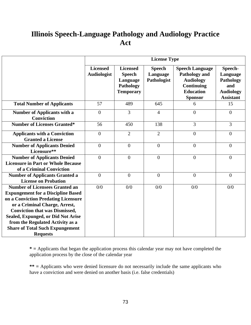# **Illinois Speech-Language Pathology and Audiology Practice Act**

|                                                                                                                                                                                                                                                                                                                                            | <b>License Type</b>                   |                                                                               |                                          |                                                                                                                               |                                                                                 |
|--------------------------------------------------------------------------------------------------------------------------------------------------------------------------------------------------------------------------------------------------------------------------------------------------------------------------------------------|---------------------------------------|-------------------------------------------------------------------------------|------------------------------------------|-------------------------------------------------------------------------------------------------------------------------------|---------------------------------------------------------------------------------|
|                                                                                                                                                                                                                                                                                                                                            | <b>Licensed</b><br><b>Audiologist</b> | <b>Licensed</b><br><b>Speech</b><br>Language<br>Pathology<br><b>Temporary</b> | <b>Speech</b><br>Language<br>Pathologist | <b>Speech Language</b><br><b>Pathology and</b><br><b>Audiology</b><br><b>Continuing</b><br><b>Education</b><br><b>Sponsor</b> | Speech-<br>Language<br>Pathology<br>and<br><b>Audiology</b><br><b>Assistant</b> |
| <b>Total Number of Applicants</b>                                                                                                                                                                                                                                                                                                          | 57                                    | 489                                                                           | 645                                      | 6                                                                                                                             | 15                                                                              |
| <b>Number of Applicants with a</b><br><b>Conviction</b>                                                                                                                                                                                                                                                                                    | $\overline{0}$                        | $\overline{3}$                                                                | $\overline{4}$                           | $\overline{0}$                                                                                                                | $\overline{0}$                                                                  |
| <b>Number of Licenses Granted*</b>                                                                                                                                                                                                                                                                                                         | 56                                    | 450                                                                           | 138                                      | 3                                                                                                                             | 3                                                                               |
| <b>Applicants with a Conviction</b><br><b>Granted a License</b>                                                                                                                                                                                                                                                                            | $\overline{0}$                        | $\overline{2}$                                                                | $\overline{2}$                           | $\overline{0}$                                                                                                                | $\boldsymbol{0}$                                                                |
| <b>Number of Applicants Denied</b><br>Licensure**                                                                                                                                                                                                                                                                                          | $\mathbf{0}$                          | $\boldsymbol{0}$                                                              | $\boldsymbol{0}$                         | $\overline{0}$                                                                                                                | $\boldsymbol{0}$                                                                |
| <b>Number of Applicants Denied</b><br><b>Licensure in Part or Whole Because</b><br>of a Criminal Conviction                                                                                                                                                                                                                                | $\overline{0}$                        | $\overline{0}$                                                                | $\overline{0}$                           | $\overline{0}$                                                                                                                | $\boldsymbol{0}$                                                                |
| <b>Number of Applicants Granted a</b><br><b>License on Probation</b>                                                                                                                                                                                                                                                                       | $\overline{0}$                        | $\mathbf{0}$                                                                  | $\boldsymbol{0}$                         | $\overline{0}$                                                                                                                | $\boldsymbol{0}$                                                                |
| <b>Number of Licensees Granted an</b><br><b>Expungement for a Discipline Based</b><br>on a Conviction Predating Licensure<br>or a Criminal Charge, Arrest,<br><b>Conviction that was Dismissed,</b><br>Sealed, Expunged, or Did Not Arise<br>from the Regulated Activity as a<br><b>Share of Total Such Expungement</b><br><b>Requests</b> | 0/0                                   | 0/0                                                                           | 0/0                                      | 0/0                                                                                                                           | 0/0                                                                             |

**\* =** Applicants that began the application process this calendar year may not have completed the application process by the close of the calendar year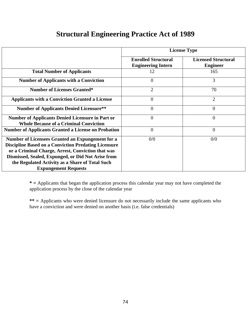### **Structural Engineering Practice Act of 1989**

|                                                                                                                                                                                                                                                                                                              | <b>License Type</b>                                     |                                               |  |
|--------------------------------------------------------------------------------------------------------------------------------------------------------------------------------------------------------------------------------------------------------------------------------------------------------------|---------------------------------------------------------|-----------------------------------------------|--|
|                                                                                                                                                                                                                                                                                                              | <b>Enrolled Structural</b><br><b>Engineering Intern</b> | <b>Licensed Structural</b><br><b>Engineer</b> |  |
| <b>Total Number of Applicants</b>                                                                                                                                                                                                                                                                            | 12                                                      | 165                                           |  |
| <b>Number of Applicants with a Conviction</b>                                                                                                                                                                                                                                                                | 0                                                       | 3                                             |  |
| <b>Number of Licenses Granted*</b>                                                                                                                                                                                                                                                                           | $\overline{2}$                                          | 70                                            |  |
| <b>Applicants with a Conviction Granted a License</b>                                                                                                                                                                                                                                                        | $\overline{0}$                                          | $\overline{2}$                                |  |
| <b>Number of Applicants Denied Licensure**</b>                                                                                                                                                                                                                                                               | $\overline{0}$                                          | 0                                             |  |
| <b>Number of Applicants Denied Licensure in Part or</b><br><b>Whole Because of a Criminal Conviction</b>                                                                                                                                                                                                     | $\overline{0}$                                          | $\overline{0}$                                |  |
| <b>Number of Applicants Granted a License on Probation</b>                                                                                                                                                                                                                                                   | $\overline{0}$                                          | $\overline{0}$                                |  |
| Number of Licensees Granted an Expungement for a<br><b>Discipline Based on a Conviction Predating Licensure</b><br>or a Criminal Charge, Arrest, Conviction that was<br>Dismissed, Sealed, Expunged, or Did Not Arise from<br>the Regulated Activity as a Share of Total Such<br><b>Expungement Requests</b> | 0/0                                                     | 0/0                                           |  |

**\* =** Applicants that began the application process this calendar year may not have completed the application process by the close of the calendar year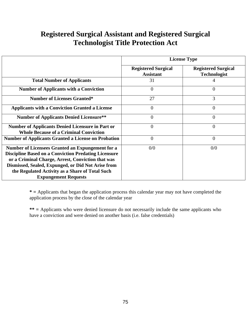# **Registered Surgical Assistant and Registered Surgical Technologist Title Protection Act**

|                                                                                                                                                                                                                                                                                                              | <b>License Type</b>                            |                                                   |  |
|--------------------------------------------------------------------------------------------------------------------------------------------------------------------------------------------------------------------------------------------------------------------------------------------------------------|------------------------------------------------|---------------------------------------------------|--|
|                                                                                                                                                                                                                                                                                                              | <b>Registered Surgical</b><br><b>Assistant</b> | <b>Registered Surgical</b><br><b>Technologist</b> |  |
| <b>Total Number of Applicants</b>                                                                                                                                                                                                                                                                            | 31                                             |                                                   |  |
| <b>Number of Applicants with a Conviction</b>                                                                                                                                                                                                                                                                | $\Omega$                                       | 0                                                 |  |
| <b>Number of Licenses Granted*</b>                                                                                                                                                                                                                                                                           | 27                                             | 3                                                 |  |
| <b>Applicants with a Conviction Granted a License</b>                                                                                                                                                                                                                                                        | $\theta$                                       | $\overline{0}$                                    |  |
| <b>Number of Applicants Denied Licensure**</b>                                                                                                                                                                                                                                                               | $\overline{0}$                                 | $\overline{0}$                                    |  |
| <b>Number of Applicants Denied Licensure in Part or</b><br><b>Whole Because of a Criminal Conviction</b>                                                                                                                                                                                                     | $\overline{0}$                                 | $\overline{0}$                                    |  |
| <b>Number of Applicants Granted a License on Probation</b>                                                                                                                                                                                                                                                   | $\overline{0}$                                 | $\Omega$                                          |  |
| Number of Licensees Granted an Expungement for a<br><b>Discipline Based on a Conviction Predating Licensure</b><br>or a Criminal Charge, Arrest, Conviction that was<br>Dismissed, Sealed, Expunged, or Did Not Arise from<br>the Regulated Activity as a Share of Total Such<br><b>Expungement Requests</b> | 0/0                                            | 0/0                                               |  |

**\* =** Applicants that began the application process this calendar year may not have completed the application process by the close of the calendar year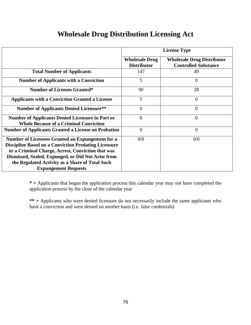# **Wholesale Drug Distribution Licensing Act**

|                                                                                                                                                                                                                                                                                                              | <b>License Type</b>                         |                                                                  |
|--------------------------------------------------------------------------------------------------------------------------------------------------------------------------------------------------------------------------------------------------------------------------------------------------------------|---------------------------------------------|------------------------------------------------------------------|
|                                                                                                                                                                                                                                                                                                              | <b>Wholesale Drug</b><br><b>Distributor</b> | <b>Wholesale Drug Distributor</b><br><b>Controlled Substance</b> |
| <b>Total Number of Applicants</b>                                                                                                                                                                                                                                                                            | 147                                         | 49                                                               |
| <b>Number of Applicants with a Conviction</b>                                                                                                                                                                                                                                                                | 5                                           | $\Omega$                                                         |
| <b>Number of Licenses Granted*</b>                                                                                                                                                                                                                                                                           | 90                                          | 28                                                               |
| <b>Applicants with a Conviction Granted a License</b>                                                                                                                                                                                                                                                        | 5                                           | $\overline{0}$                                                   |
| <b>Number of Applicants Denied Licensure**</b>                                                                                                                                                                                                                                                               | $\Omega$                                    | 0                                                                |
| <b>Number of Applicants Denied Licensure in Part or</b><br><b>Whole Because of a Criminal Conviction</b>                                                                                                                                                                                                     | $\Omega$                                    | $\theta$                                                         |
| <b>Number of Applicants Granted a License on Probation</b>                                                                                                                                                                                                                                                   | $\Omega$                                    | $\overline{0}$                                                   |
| Number of Licensees Granted an Expungement for a<br><b>Discipline Based on a Conviction Predating Licensure</b><br>or a Criminal Charge, Arrest, Conviction that was<br>Dismissed, Sealed, Expunged, or Did Not Arise from<br>the Regulated Activity as a Share of Total Such<br><b>Expungement Requests</b> | 0/0                                         | 0/0                                                              |

**\* =** Applicants that began the application process this calendar year may not have completed the application process by the close of the calendar year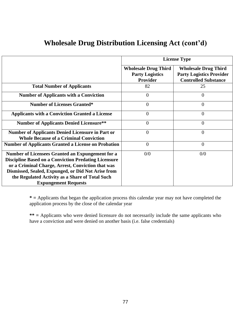|                                                                                                                                                                                                                                                                                                              | <b>License Type</b>                                               |                                                                                               |  |
|--------------------------------------------------------------------------------------------------------------------------------------------------------------------------------------------------------------------------------------------------------------------------------------------------------------|-------------------------------------------------------------------|-----------------------------------------------------------------------------------------------|--|
|                                                                                                                                                                                                                                                                                                              | <b>Wholesale Drug Third</b><br><b>Party Logistics</b><br>Provider | <b>Wholesale Drug Third</b><br><b>Party Logistics Provider</b><br><b>Controlled Substance</b> |  |
| <b>Total Number of Applicants</b>                                                                                                                                                                                                                                                                            | 82                                                                | 25                                                                                            |  |
| <b>Number of Applicants with a Conviction</b>                                                                                                                                                                                                                                                                | $\theta$                                                          | $\theta$                                                                                      |  |
| <b>Number of Licenses Granted*</b>                                                                                                                                                                                                                                                                           | $\Omega$                                                          | $\Omega$                                                                                      |  |
| <b>Applicants with a Conviction Granted a License</b>                                                                                                                                                                                                                                                        | $\Omega$                                                          | $\theta$                                                                                      |  |
| <b>Number of Applicants Denied Licensure**</b>                                                                                                                                                                                                                                                               | $\theta$                                                          | $\theta$                                                                                      |  |
| <b>Number of Applicants Denied Licensure in Part or</b><br><b>Whole Because of a Criminal Conviction</b>                                                                                                                                                                                                     | $\theta$                                                          | $\theta$                                                                                      |  |
| <b>Number of Applicants Granted a License on Probation</b>                                                                                                                                                                                                                                                   | $\Omega$                                                          | $\overline{0}$                                                                                |  |
| Number of Licensees Granted an Expungement for a<br><b>Discipline Based on a Conviction Predating Licensure</b><br>or a Criminal Charge, Arrest, Conviction that was<br>Dismissed, Sealed, Expunged, or Did Not Arise from<br>the Regulated Activity as a Share of Total Such<br><b>Expungement Requests</b> | 0/0                                                               | 0/0                                                                                           |  |

### **Wholesale Drug Distribution Licensing Act (cont'd)**

**\* =** Applicants that began the application process this calendar year may not have completed the application process by the close of the calendar year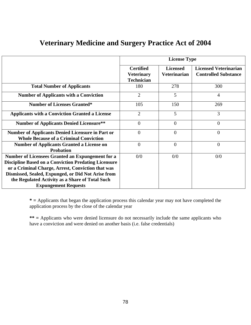|                                                                                                                                                                                                                                                                                                              | <b>License Type</b>                                        |                                        |                                                             |  |
|--------------------------------------------------------------------------------------------------------------------------------------------------------------------------------------------------------------------------------------------------------------------------------------------------------------|------------------------------------------------------------|----------------------------------------|-------------------------------------------------------------|--|
|                                                                                                                                                                                                                                                                                                              | <b>Certified</b><br><b>Veterinary</b><br><b>Technician</b> | <b>Licensed</b><br><b>Veterinarian</b> | <b>Licensed Veterinarian</b><br><b>Controlled Substance</b> |  |
| <b>Total Number of Applicants</b>                                                                                                                                                                                                                                                                            | 180                                                        | 278                                    | 300                                                         |  |
| <b>Number of Applicants with a Conviction</b>                                                                                                                                                                                                                                                                | $\overline{2}$                                             | 5                                      | $\overline{4}$                                              |  |
| <b>Number of Licenses Granted*</b>                                                                                                                                                                                                                                                                           | 105                                                        | 150                                    | 269                                                         |  |
| <b>Applicants with a Conviction Granted a License</b>                                                                                                                                                                                                                                                        | $\overline{2}$                                             | 5                                      | 3                                                           |  |
| <b>Number of Applicants Denied Licensure**</b>                                                                                                                                                                                                                                                               | $\overline{0}$                                             | $\overline{0}$                         | $\theta$                                                    |  |
| <b>Number of Applicants Denied Licensure in Part or</b><br><b>Whole Because of a Criminal Conviction</b>                                                                                                                                                                                                     | $\overline{0}$                                             | $\overline{0}$                         | $\theta$                                                    |  |
| <b>Number of Applicants Granted a License on</b><br><b>Probation</b>                                                                                                                                                                                                                                         | $\theta$                                                   | $\overline{0}$                         | $\theta$                                                    |  |
| Number of Licensees Granted an Expungement for a<br><b>Discipline Based on a Conviction Predating Licensure</b><br>or a Criminal Charge, Arrest, Conviction that was<br>Dismissed, Sealed, Expunged, or Did Not Arise from<br>the Regulated Activity as a Share of Total Such<br><b>Expungement Requests</b> | 0/0                                                        | 0/0                                    | 0/0                                                         |  |

### **Veterinary Medicine and Surgery Practice Act of 2004**

**\* =** Applicants that began the application process this calendar year may not have completed the application process by the close of the calendar year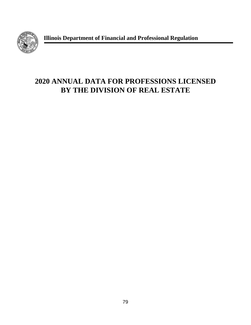

**Illinois Department of Financial and Professional Regulation**

# **2020 ANNUAL DATA FOR PROFESSIONS LICENSED BY THE DIVISION OF REAL ESTATE**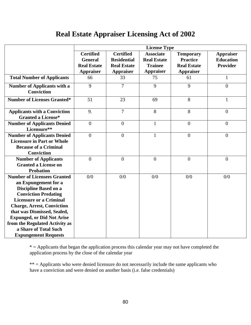# **Real Estate Appraiser Licensing Act of 2002**

|                                                                         | <b>License Type</b>                                                          |                    |                    |                    |                  |
|-------------------------------------------------------------------------|------------------------------------------------------------------------------|--------------------|--------------------|--------------------|------------------|
|                                                                         | <b>Certified</b><br><b>Certified</b><br><b>Associate</b><br><b>Temporary</b> |                    |                    | <b>Appraiser</b>   |                  |
|                                                                         | <b>General</b>                                                               | <b>Residential</b> | <b>Real Estate</b> | <b>Practice</b>    | <b>Education</b> |
|                                                                         | <b>Real Estate</b>                                                           | <b>Real Estate</b> | <b>Trainee</b>     | <b>Real Estate</b> | <b>Provider</b>  |
|                                                                         | <b>Appraiser</b>                                                             | <b>Appraiser</b>   | <b>Appraiser</b>   | <b>Appraiser</b>   |                  |
| <b>Total Number of Applicants</b>                                       | 66                                                                           | 33                 | 75                 | 61                 | $\mathbf{1}$     |
| <b>Number of Applicants with a</b><br><b>Conviction</b>                 | 9                                                                            | $\overline{7}$     | 9                  | 9                  | $\overline{0}$   |
| <b>Number of Licenses Granted*</b>                                      | 51                                                                           | 23                 | 69                 | 8                  | $\mathbf{1}$     |
| <b>Applicants with a Conviction</b><br><b>Granted a License*</b>        | 9.                                                                           | $\overline{7}$     | 8                  | 8                  | $\overline{0}$   |
| <b>Number of Applicants Denied</b><br>Licensure**                       | $\mathbf{0}$                                                                 | $\overline{0}$     | $\mathbf{1}$       | $\overline{0}$     | $\overline{0}$   |
| <b>Number of Applicants Denied</b><br><b>Licensure in Part or Whole</b> | $\mathbf{0}$                                                                 | $\overline{0}$     | $\mathbf{1}$       | $\overline{0}$     | $\theta$         |
| <b>Because of a Criminal</b><br>Conviction                              |                                                                              |                    |                    |                    |                  |
| <b>Number of Applicants</b><br><b>Granted a License on</b>              | $\overline{0}$                                                               | $\overline{0}$     | $\overline{0}$     | $\overline{0}$     | $\theta$         |
| <b>Probation</b>                                                        |                                                                              |                    |                    |                    |                  |
| <b>Number of Licensees Granted</b><br>an Expungement for a              | 0/0                                                                          | 0/0                | 0/0                | 0/0                | 0/0              |
| <b>Discipline Based on a</b>                                            |                                                                              |                    |                    |                    |                  |
| <b>Conviction Predating</b>                                             |                                                                              |                    |                    |                    |                  |
| <b>Licensure or a Criminal</b>                                          |                                                                              |                    |                    |                    |                  |
| <b>Charge, Arrest, Conviction</b>                                       |                                                                              |                    |                    |                    |                  |
| that was Dismissed, Sealed,                                             |                                                                              |                    |                    |                    |                  |
| <b>Expunged, or Did Not Arise</b>                                       |                                                                              |                    |                    |                    |                  |
| from the Regulated Activity as                                          |                                                                              |                    |                    |                    |                  |
| a Share of Total Such                                                   |                                                                              |                    |                    |                    |                  |
| <b>Expungement Requests</b>                                             |                                                                              |                    |                    |                    |                  |

 $*$  = Applicants that began the application process this calendar year may not have completed the application process by the close of the calendar year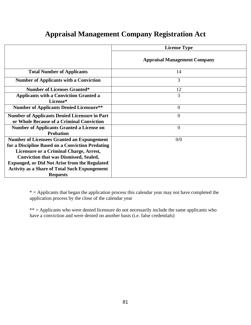|  | <b>Appraisal Management Company Registration Act</b> |  |  |  |
|--|------------------------------------------------------|--|--|--|
|--|------------------------------------------------------|--|--|--|

|                                                                                                       | <b>License Type</b>                 |
|-------------------------------------------------------------------------------------------------------|-------------------------------------|
|                                                                                                       | <b>Appraisal Management Company</b> |
| <b>Total Number of Applicants</b>                                                                     | 14                                  |
| <b>Number of Applicants with a Conviction</b>                                                         | 3                                   |
| <b>Number of Licenses Granted*</b>                                                                    | 12                                  |
| <b>Applicants with a Conviction Granted a</b><br>License*                                             | 3                                   |
| <b>Number of Applicants Denied Licensure**</b>                                                        | $\overline{0}$                      |
| <b>Number of Applicants Denied Licensure in Part</b><br>or Whole Because of a Criminal Conviction     | $\overline{0}$                      |
| <b>Number of Applicants Granted a License on</b><br><b>Probation</b>                                  | $\overline{0}$                      |
| <b>Number of Licensees Granted an Expungement</b><br>for a Discipline Based on a Conviction Predating | 0/0                                 |
| <b>Licensure or a Criminal Charge, Arrest,</b>                                                        |                                     |
| <b>Conviction that was Dismissed, Sealed,</b>                                                         |                                     |
| <b>Expunged, or Did Not Arise from the Regulated</b>                                                  |                                     |
| <b>Activity as a Share of Total Such Expungement</b>                                                  |                                     |
| <b>Requests</b>                                                                                       |                                     |

 $*$  = Applicants that began the application process this calendar year may not have completed the application process by the close of the calendar year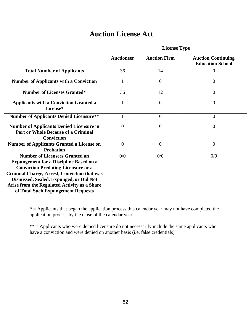# **Auction License Act**

|                                                                                                                                                                                                                                                                                                                               | <b>License Type</b> |                     |                                                      |  |
|-------------------------------------------------------------------------------------------------------------------------------------------------------------------------------------------------------------------------------------------------------------------------------------------------------------------------------|---------------------|---------------------|------------------------------------------------------|--|
|                                                                                                                                                                                                                                                                                                                               | <b>Auctioneer</b>   | <b>Auction Firm</b> | <b>Auction Continuing</b><br><b>Education School</b> |  |
| <b>Total Number of Applicants</b>                                                                                                                                                                                                                                                                                             | 36                  | 14                  | 0                                                    |  |
| <b>Number of Applicants with a Conviction</b>                                                                                                                                                                                                                                                                                 | $\mathbf{1}$        | $\overline{0}$      | $\overline{0}$                                       |  |
| <b>Number of Licenses Granted*</b>                                                                                                                                                                                                                                                                                            | 36                  | 12                  | $\overline{0}$                                       |  |
| <b>Applicants with a Conviction Granted a</b><br>License*                                                                                                                                                                                                                                                                     | $\mathbf{1}$        | $\overline{0}$      | $\theta$                                             |  |
| <b>Number of Applicants Denied Licensure**</b>                                                                                                                                                                                                                                                                                | $\mathbf{1}$        | $\boldsymbol{0}$    | $\overline{0}$                                       |  |
| <b>Number of Applicants Denied Licensure in</b><br><b>Part or Whole Because of a Criminal</b><br><b>Conviction</b>                                                                                                                                                                                                            | $\theta$            | $\theta$            | $\theta$                                             |  |
| <b>Number of Applicants Granted a License on</b><br><b>Probation</b>                                                                                                                                                                                                                                                          | $\overline{0}$      | $\boldsymbol{0}$    | $\overline{0}$                                       |  |
| <b>Number of Licensees Granted an</b><br><b>Expungement for a Discipline Based on a</b><br><b>Conviction Predating Licensure or a</b><br><b>Criminal Charge, Arrest, Conviction that was</b><br>Dismissed, Sealed, Expunged, or Did Not<br>Arise from the Regulated Activity as a Share<br>of Total Such Expungement Requests | 0/0                 | 0/0                 | 0/0                                                  |  |

 $*$  = Applicants that began the application process this calendar year may not have completed the application process by the close of the calendar year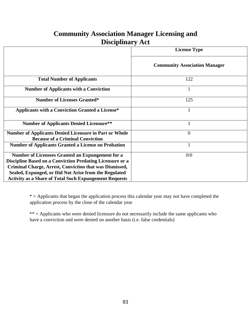### **Community Association Manager Licensing and Disciplinary Act**

|                                                                                                                                                                                                                                          | <b>License Type</b>                  |
|------------------------------------------------------------------------------------------------------------------------------------------------------------------------------------------------------------------------------------------|--------------------------------------|
|                                                                                                                                                                                                                                          | <b>Community Association Manager</b> |
| <b>Total Number of Applicants</b>                                                                                                                                                                                                        | 122                                  |
| <b>Number of Applicants with a Conviction</b>                                                                                                                                                                                            |                                      |
| <b>Number of Licenses Granted*</b>                                                                                                                                                                                                       | 125                                  |
| <b>Applicants with a Conviction Granted a License*</b>                                                                                                                                                                                   |                                      |
| <b>Number of Applicants Denied Licensure**</b>                                                                                                                                                                                           |                                      |
| <b>Number of Applicants Denied Licensure in Part or Whole</b><br><b>Because of a Criminal Conviction</b>                                                                                                                                 | $\Omega$                             |
| <b>Number of Applicants Granted a License on Probation</b>                                                                                                                                                                               |                                      |
| Number of Licensees Granted an Expungement for a<br>Discipline Based on a Conviction Predating Licensure or a<br><b>Criminal Charge, Arrest, Conviction that was Dismissed,</b><br>Sealed, Expunged, or Did Not Arise from the Regulated | 0/0                                  |
| <b>Activity as a Share of Total Such Expungement Requests</b>                                                                                                                                                                            |                                      |

 $*$  = Applicants that began the application process this calendar year may not have completed the application process by the close of the calendar year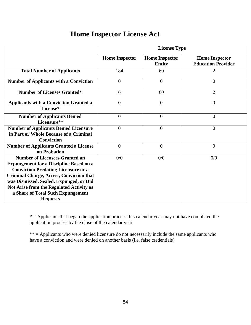|  | <b>Home Inspector License Act</b> |
|--|-----------------------------------|
|  |                                   |

|                                                                                                                                                                                                                                                                                                                                         | <b>License Type</b>   |                                        |                                                    |  |
|-----------------------------------------------------------------------------------------------------------------------------------------------------------------------------------------------------------------------------------------------------------------------------------------------------------------------------------------|-----------------------|----------------------------------------|----------------------------------------------------|--|
|                                                                                                                                                                                                                                                                                                                                         | <b>Home Inspector</b> | <b>Home Inspector</b><br><b>Entity</b> | <b>Home Inspector</b><br><b>Education Provider</b> |  |
| <b>Total Number of Applicants</b>                                                                                                                                                                                                                                                                                                       | 184                   | 60                                     | $\overline{2}$                                     |  |
| <b>Number of Applicants with a Conviction</b>                                                                                                                                                                                                                                                                                           | $\overline{0}$        | $\overline{0}$                         | $\overline{0}$                                     |  |
| <b>Number of Licenses Granted*</b>                                                                                                                                                                                                                                                                                                      | 161                   | 60                                     | $\overline{2}$                                     |  |
| <b>Applicants with a Conviction Granted a</b><br>License*                                                                                                                                                                                                                                                                               | $\theta$              | $\overline{0}$                         | $\overline{0}$                                     |  |
| <b>Number of Applicants Denied</b><br>Licensure**                                                                                                                                                                                                                                                                                       | $\overline{0}$        | $\overline{0}$                         | $\overline{0}$                                     |  |
| <b>Number of Applicants Denied Licensure</b><br>in Part or Whole Because of a Criminal<br><b>Conviction</b>                                                                                                                                                                                                                             | $\Omega$              | $\overline{0}$                         | $\overline{0}$                                     |  |
| <b>Number of Applicants Granted a License</b><br>on Probation                                                                                                                                                                                                                                                                           | $\overline{0}$        | $\overline{0}$                         | $\overline{0}$                                     |  |
| <b>Number of Licensees Granted an</b><br><b>Expungement for a Discipline Based on a</b><br><b>Conviction Predating Licensure or a</b><br><b>Criminal Charge, Arrest, Conviction that</b><br>was Dismissed, Sealed, Expunged, or Did<br>Not Arise from the Regulated Activity as<br>a Share of Total Such Expungement<br><b>Requests</b> | 0/0                   | 0/0                                    | 0/0                                                |  |

 $*$  = Applicants that began the application process this calendar year may not have completed the application process by the close of the calendar year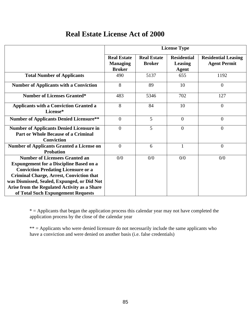## **Real Estate License Act of 2000**

|                                                                                                                                                                                                                                                                                                                               | <b>License Type</b>                                    |                                     |                                               |                                                   |
|-------------------------------------------------------------------------------------------------------------------------------------------------------------------------------------------------------------------------------------------------------------------------------------------------------------------------------|--------------------------------------------------------|-------------------------------------|-----------------------------------------------|---------------------------------------------------|
|                                                                                                                                                                                                                                                                                                                               | <b>Real Estate</b><br><b>Managing</b><br><b>Broker</b> | <b>Real Estate</b><br><b>Broker</b> | <b>Residential</b><br>Leasing<br><b>Agent</b> | <b>Residential Leasing</b><br><b>Agent Permit</b> |
| <b>Total Number of Applicants</b>                                                                                                                                                                                                                                                                                             | 490                                                    | 5137                                | 655                                           | 1192                                              |
| <b>Number of Applicants with a Conviction</b>                                                                                                                                                                                                                                                                                 | 8                                                      | 89                                  | 10                                            | $\theta$                                          |
| <b>Number of Licenses Granted*</b>                                                                                                                                                                                                                                                                                            | 483                                                    | 5346                                | 702                                           | 127                                               |
| <b>Applicants with a Conviction Granted a</b><br>License*                                                                                                                                                                                                                                                                     | 8                                                      | 84                                  | 10                                            | $\overline{0}$                                    |
| <b>Number of Applicants Denied Licensure**</b>                                                                                                                                                                                                                                                                                | $\overline{0}$                                         | 5                                   | $\overline{0}$                                | $\overline{0}$                                    |
| <b>Number of Applicants Denied Licensure in</b><br><b>Part or Whole Because of a Criminal</b><br><b>Conviction</b>                                                                                                                                                                                                            | $\overline{0}$                                         | 5                                   | $\Omega$                                      | $\overline{0}$                                    |
| <b>Number of Applicants Granted a License on</b><br><b>Probation</b>                                                                                                                                                                                                                                                          | $\overline{0}$                                         | 6                                   |                                               | $\overline{0}$                                    |
| <b>Number of Licensees Granted an</b><br><b>Expungement for a Discipline Based on a</b><br><b>Conviction Predating Licensure or a</b><br><b>Criminal Charge, Arrest, Conviction that</b><br>was Dismissed, Sealed, Expunged, or Did Not<br>Arise from the Regulated Activity as a Share<br>of Total Such Expungement Requests | 0/0                                                    | 0/0                                 | 0/0                                           | 0/0                                               |

 $*$  = Applicants that began the application process this calendar year may not have completed the application process by the close of the calendar year